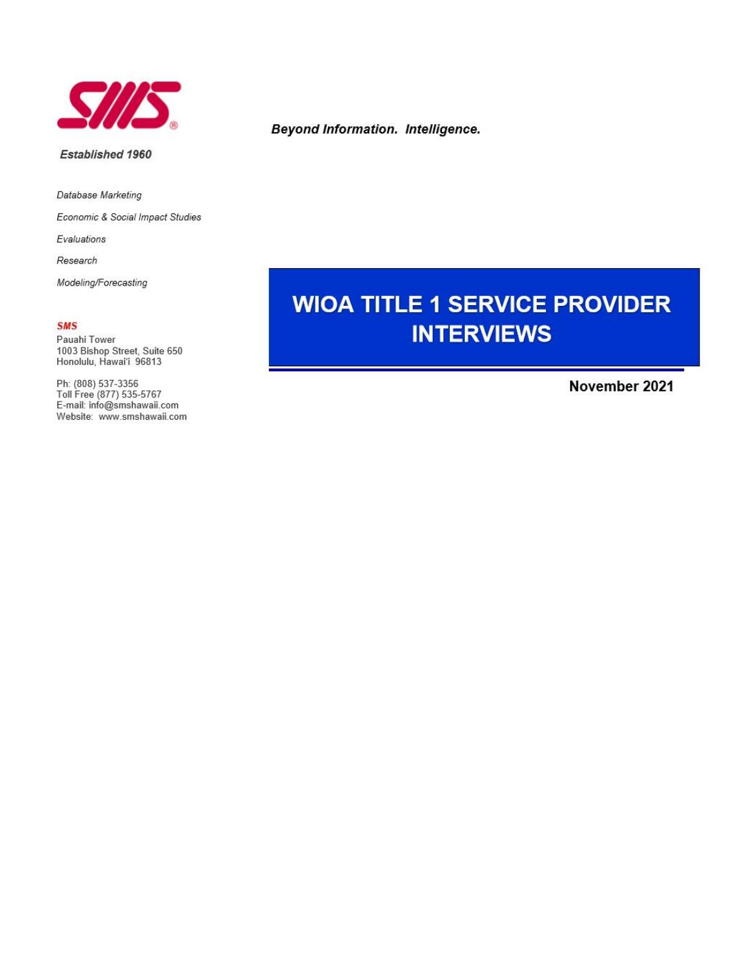

#### Established 1960

Database Marketing

Economic & Social Impact Studies

Evaluations

Research

Modeling/Forecasting

## **SMS**

Pauahi Tower 1003 Bishop Street, Suite 650 Honolulu, Hawai'i 96813

Ph: (808) 537-3356<br>Toll Free (877) 535-5767 E-mail: info@smshawaii.com Website: www.smshawaii.com

# **Beyond Information. Intelligence.**

# **WIOA TITLE 1 SERVICE PROVIDER INTERVIEWS**

November 2021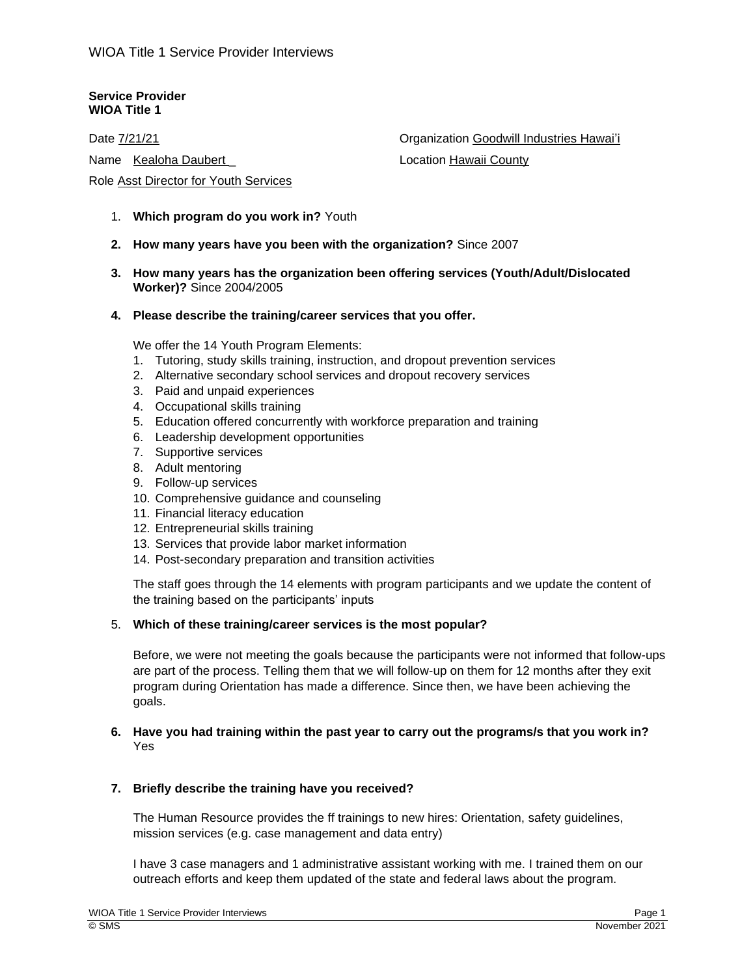## **Service Provider WIOA Title 1**

Date 7/21/21

Name Kealoha Daubert

Role Asst Director for Youth Services

Organization Goodwill Industries Hawai'i

Location Hawaii County

- 1. **Which program do you work in?** Youth
- **2. How many years have you been with the organization?** Since 2007
- **3. How many years has the organization been offering services (Youth/Adult/Dislocated Worker)?** Since 2004/2005
- **4. Please describe the training/career services that you offer.**

We offer the 14 Youth Program Elements:

- 1. Tutoring, study skills training, instruction, and dropout prevention services
- 2. Alternative secondary school services and dropout recovery services
- 3. Paid and unpaid experiences
- 4. Occupational skills training
- 5. Education offered concurrently with workforce preparation and training
- 6. Leadership development opportunities
- 7. Supportive services
- 8. Adult mentoring
- 9. Follow-up services
- 10. Comprehensive guidance and counseling
- 11. Financial literacy education
- 12. Entrepreneurial skills training
- 13. Services that provide labor market information
- 14. Post-secondary preparation and transition activities

The staff goes through the 14 elements with program participants and we update the content of the training based on the participants' inputs

## 5. **Which of these training/career services is the most popular?**

Before, we were not meeting the goals because the participants were not informed that follow-ups are part of the process. Telling them that we will follow-up on them for 12 months after they exit program during Orientation has made a difference. Since then, we have been achieving the goals.

# **6. Have you had training within the past year to carry out the programs/s that you work in?** Yes

## **7. Briefly describe the training have you received?**

The Human Resource provides the ff trainings to new hires: Orientation, safety guidelines, mission services (e.g. case management and data entry)

I have 3 case managers and 1 administrative assistant working with me. I trained them on our outreach efforts and keep them updated of the state and federal laws about the program.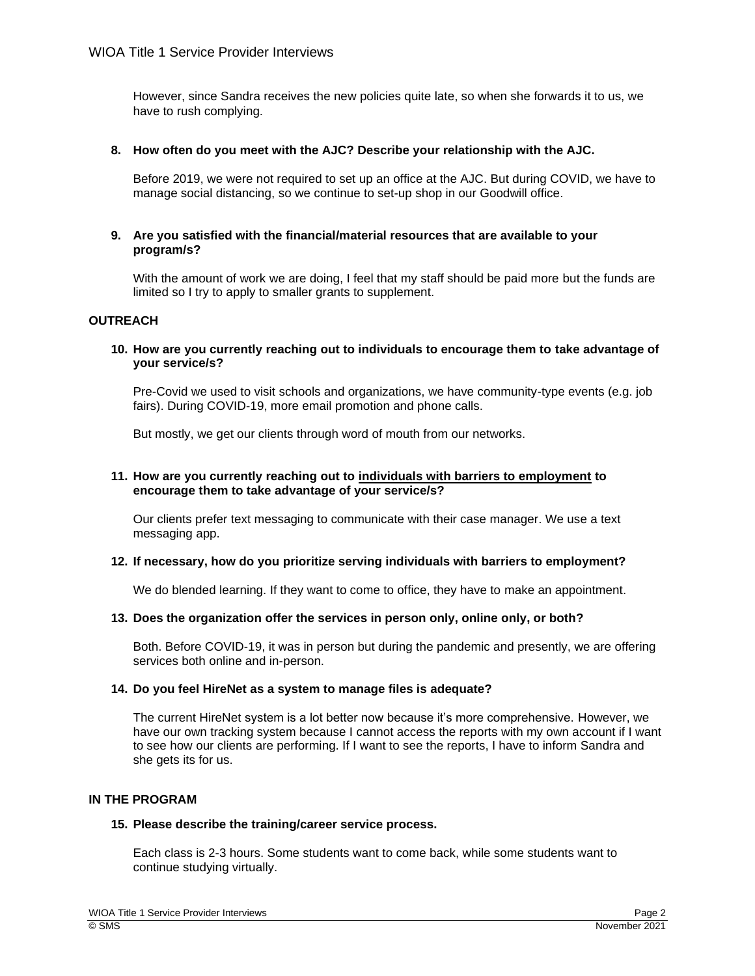However, since Sandra receives the new policies quite late, so when she forwards it to us, we have to rush complying.

## **8. How often do you meet with the AJC? Describe your relationship with the AJC.**

Before 2019, we were not required to set up an office at the AJC. But during COVID, we have to manage social distancing, so we continue to set-up shop in our Goodwill office.

## **9. Are you satisfied with the financial/material resources that are available to your program/s?**

With the amount of work we are doing, I feel that my staff should be paid more but the funds are limited so I try to apply to smaller grants to supplement.

# **OUTREACH**

## **10. How are you currently reaching out to individuals to encourage them to take advantage of your service/s?**

Pre-Covid we used to visit schools and organizations, we have community-type events (e.g. job fairs). During COVID-19, more email promotion and phone calls.

But mostly, we get our clients through word of mouth from our networks.

## **11. How are you currently reaching out to individuals with barriers to employment to encourage them to take advantage of your service/s?**

Our clients prefer text messaging to communicate with their case manager. We use a text messaging app.

## **12. If necessary, how do you prioritize serving individuals with barriers to employment?**

We do blended learning. If they want to come to office, they have to make an appointment.

## **13. Does the organization offer the services in person only, online only, or both?**

Both. Before COVID-19, it was in person but during the pandemic and presently, we are offering services both online and in-person.

## **14. Do you feel HireNet as a system to manage files is adequate?**

The current HireNet system is a lot better now because it's more comprehensive. However, we have our own tracking system because I cannot access the reports with my own account if I want to see how our clients are performing. If I want to see the reports, I have to inform Sandra and she gets its for us.

# **IN THE PROGRAM**

## **15. Please describe the training/career service process.**

Each class is 2-3 hours. Some students want to come back, while some students want to continue studying virtually.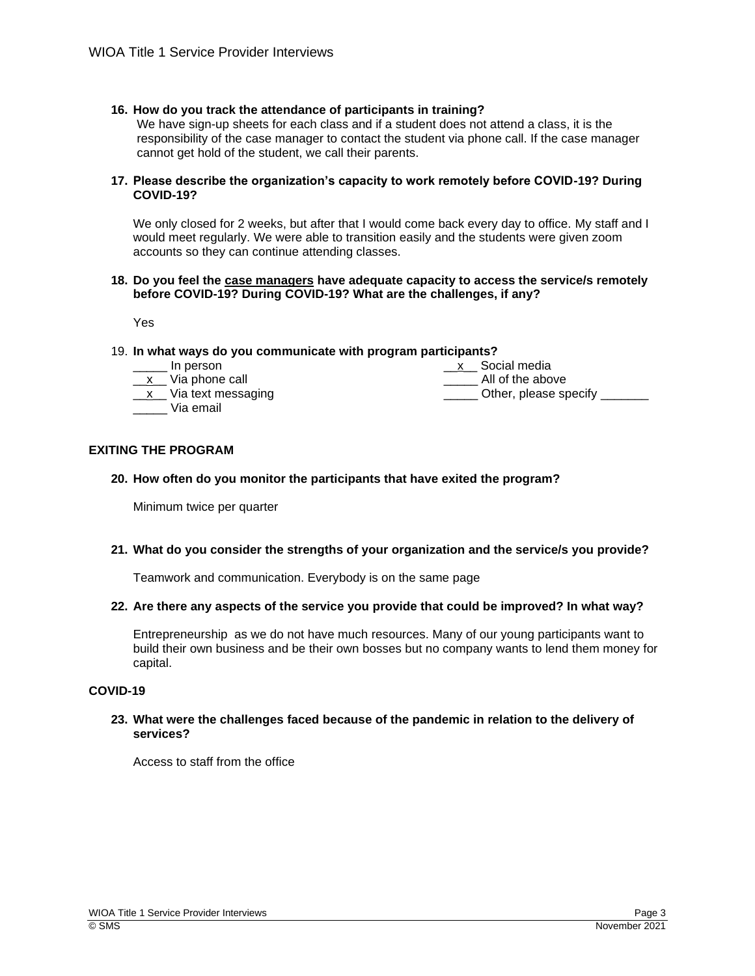# **16. How do you track the attendance of participants in training?**

We have sign-up sheets for each class and if a student does not attend a class, it is the responsibility of the case manager to contact the student via phone call. If the case manager cannot get hold of the student, we call their parents.

## **17. Please describe the organization's capacity to work remotely before COVID-19? During COVID-19?**

We only closed for 2 weeks, but after that I would come back every day to office. My staff and I would meet regularly. We were able to transition easily and the students were given zoom accounts so they can continue attending classes.

#### **18. Do you feel the case managers have adequate capacity to access the service/s remotely before COVID-19? During COVID-19? What are the challenges, if any?**

Yes

## 19. **In what ways do you communicate with program participants?**

\_\_\_\_\_ In person

|  | Via phone call |  |
|--|----------------|--|

\_\_x\_\_ Via text messaging

\_\_\_\_\_ Via email

\_x\_\_ Social media \_\_\_\_\_ All of the above

Other, please specify

# **EXITING THE PROGRAM**

# **20. How often do you monitor the participants that have exited the program?**

Minimum twice per quarter

# **21. What do you consider the strengths of your organization and the service/s you provide?**

Teamwork and communication. Everybody is on the same page

## **22. Are there any aspects of the service you provide that could be improved? In what way?**

Entrepreneurship as we do not have much resources. Many of our young participants want to build their own business and be their own bosses but no company wants to lend them money for capital.

# **COVID-19**

## **23. What were the challenges faced because of the pandemic in relation to the delivery of services?**

Access to staff from the office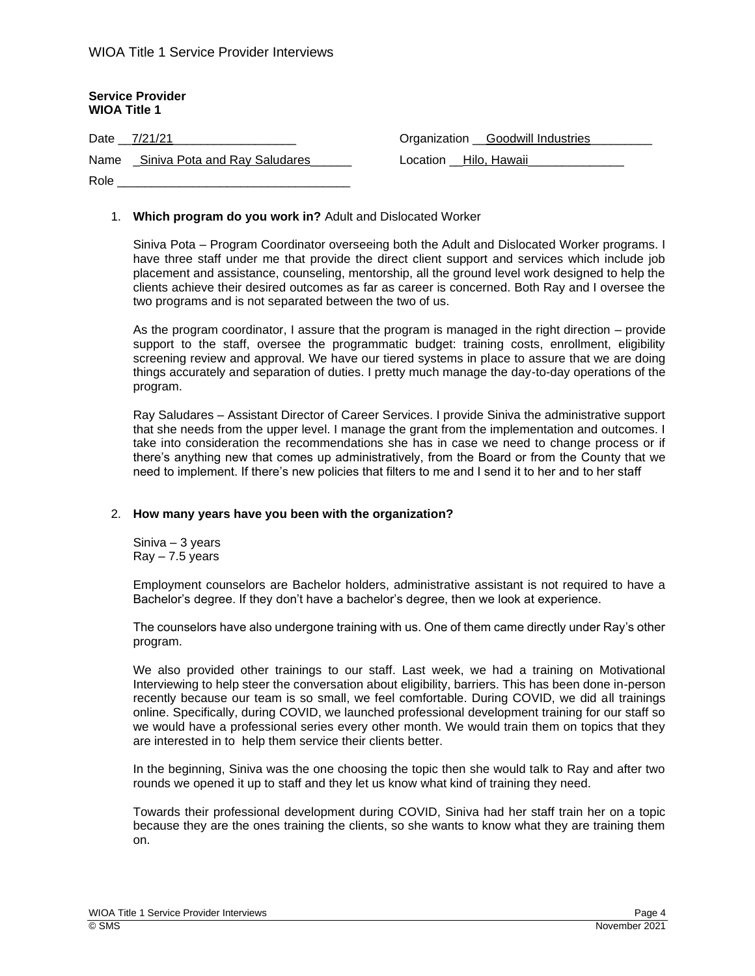| <b>Service Provider</b><br><b>WIOA Title 1</b> |                                         |
|------------------------------------------------|-----------------------------------------|
| Date 7/21/21                                   | Organization <u>Goodwill</u> Industries |
| Name _Siniva Pota and Ray Saludares            | Location Hilo, Hawaii                   |
| Role                                           |                                         |

## 1. **Which program do you work in?** Adult and Dislocated Worker

Siniva Pota – Program Coordinator overseeing both the Adult and Dislocated Worker programs. I have three staff under me that provide the direct client support and services which include job placement and assistance, counseling, mentorship, all the ground level work designed to help the clients achieve their desired outcomes as far as career is concerned. Both Ray and I oversee the two programs and is not separated between the two of us.

As the program coordinator, I assure that the program is managed in the right direction – provide support to the staff, oversee the programmatic budget: training costs, enrollment, eligibility screening review and approval. We have our tiered systems in place to assure that we are doing things accurately and separation of duties. I pretty much manage the day-to-day operations of the program.

Ray Saludares – Assistant Director of Career Services. I provide Siniva the administrative support that she needs from the upper level. I manage the grant from the implementation and outcomes. I take into consideration the recommendations she has in case we need to change process or if there's anything new that comes up administratively, from the Board or from the County that we need to implement. If there's new policies that filters to me and I send it to her and to her staff

## 2. **How many years have you been with the organization?**

Siniva – 3 years  $Ray - 7.5$  years

Employment counselors are Bachelor holders, administrative assistant is not required to have a Bachelor's degree. If they don't have a bachelor's degree, then we look at experience.

The counselors have also undergone training with us. One of them came directly under Ray's other program.

We also provided other trainings to our staff. Last week, we had a training on Motivational Interviewing to help steer the conversation about eligibility, barriers. This has been done in-person recently because our team is so small, we feel comfortable. During COVID, we did all trainings online. Specifically, during COVID, we launched professional development training for our staff so we would have a professional series every other month. We would train them on topics that they are interested in to help them service their clients better.

In the beginning, Siniva was the one choosing the topic then she would talk to Ray and after two rounds we opened it up to staff and they let us know what kind of training they need.

Towards their professional development during COVID, Siniva had her staff train her on a topic because they are the ones training the clients, so she wants to know what they are training them on.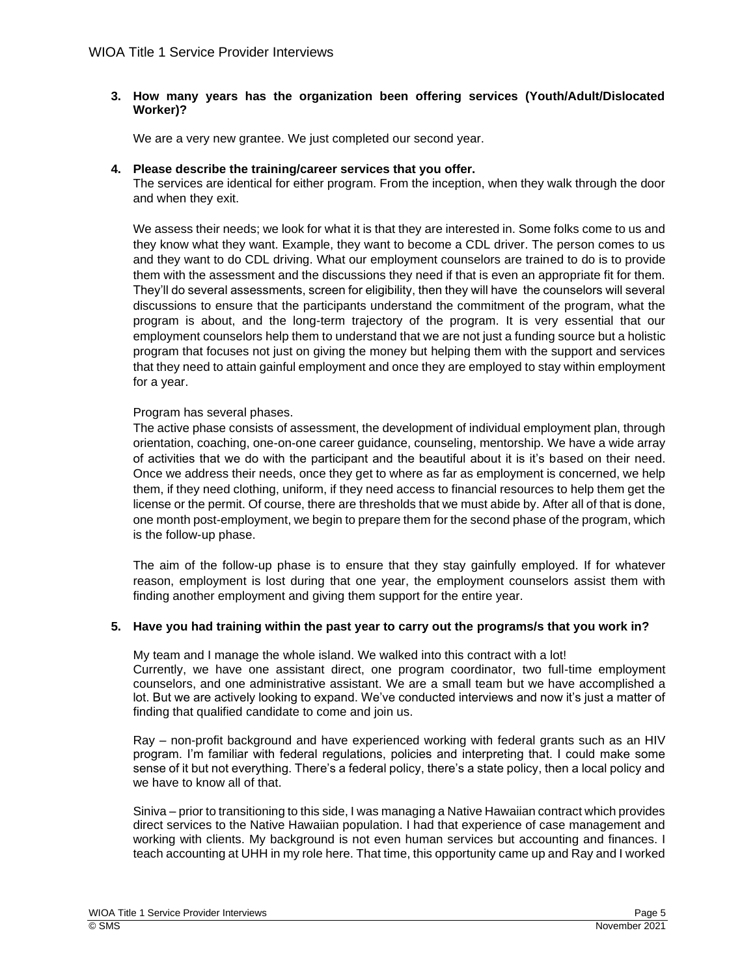# **3. How many years has the organization been offering services (Youth/Adult/Dislocated Worker)?**

We are a very new grantee. We just completed our second year.

# **4. Please describe the training/career services that you offer.**

The services are identical for either program. From the inception, when they walk through the door and when they exit.

We assess their needs; we look for what it is that they are interested in. Some folks come to us and they know what they want. Example, they want to become a CDL driver. The person comes to us and they want to do CDL driving. What our employment counselors are trained to do is to provide them with the assessment and the discussions they need if that is even an appropriate fit for them. They'll do several assessments, screen for eligibility, then they will have the counselors will several discussions to ensure that the participants understand the commitment of the program, what the program is about, and the long-term trajectory of the program. It is very essential that our employment counselors help them to understand that we are not just a funding source but a holistic program that focuses not just on giving the money but helping them with the support and services that they need to attain gainful employment and once they are employed to stay within employment for a year.

# Program has several phases.

The active phase consists of assessment, the development of individual employment plan, through orientation, coaching, one-on-one career guidance, counseling, mentorship. We have a wide array of activities that we do with the participant and the beautiful about it is it's based on their need. Once we address their needs, once they get to where as far as employment is concerned, we help them, if they need clothing, uniform, if they need access to financial resources to help them get the license or the permit. Of course, there are thresholds that we must abide by. After all of that is done, one month post-employment, we begin to prepare them for the second phase of the program, which is the follow-up phase.

The aim of the follow-up phase is to ensure that they stay gainfully employed. If for whatever reason, employment is lost during that one year, the employment counselors assist them with finding another employment and giving them support for the entire year.

# **5. Have you had training within the past year to carry out the programs/s that you work in?**

My team and I manage the whole island. We walked into this contract with a lot! Currently, we have one assistant direct, one program coordinator, two full-time employment counselors, and one administrative assistant. We are a small team but we have accomplished a lot. But we are actively looking to expand. We've conducted interviews and now it's just a matter of finding that qualified candidate to come and join us.

Ray – non-profit background and have experienced working with federal grants such as an HIV program. I'm familiar with federal regulations, policies and interpreting that. I could make some sense of it but not everything. There's a federal policy, there's a state policy, then a local policy and we have to know all of that.

Siniva – prior to transitioning to this side, I was managing a Native Hawaiian contract which provides direct services to the Native Hawaiian population. I had that experience of case management and working with clients. My background is not even human services but accounting and finances. I teach accounting at UHH in my role here. That time, this opportunity came up and Ray and I worked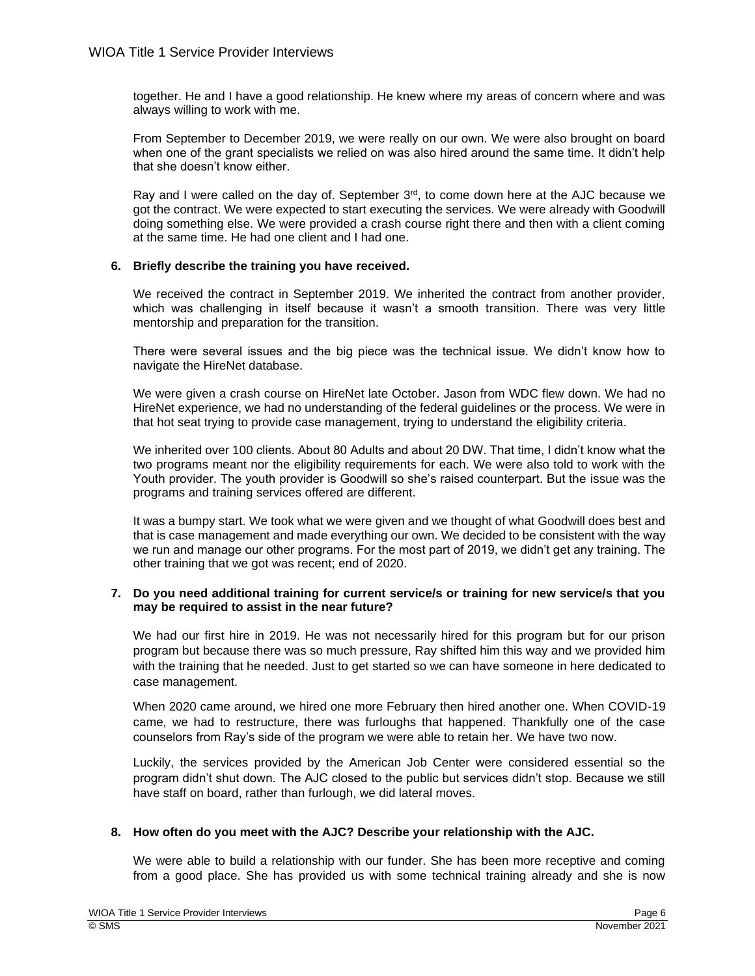together. He and I have a good relationship. He knew where my areas of concern where and was always willing to work with me.

From September to December 2019, we were really on our own. We were also brought on board when one of the grant specialists we relied on was also hired around the same time. It didn't help that she doesn't know either.

Ray and I were called on the day of. September  $3<sup>rd</sup>$ , to come down here at the AJC because we got the contract. We were expected to start executing the services. We were already with Goodwill doing something else. We were provided a crash course right there and then with a client coming at the same time. He had one client and I had one.

# **6. Briefly describe the training you have received.**

We received the contract in September 2019. We inherited the contract from another provider, which was challenging in itself because it wasn't a smooth transition. There was very little mentorship and preparation for the transition.

There were several issues and the big piece was the technical issue. We didn't know how to navigate the HireNet database.

We were given a crash course on HireNet late October. Jason from WDC flew down. We had no HireNet experience, we had no understanding of the federal guidelines or the process. We were in that hot seat trying to provide case management, trying to understand the eligibility criteria.

We inherited over 100 clients. About 80 Adults and about 20 DW. That time, I didn't know what the two programs meant nor the eligibility requirements for each. We were also told to work with the Youth provider. The youth provider is Goodwill so she's raised counterpart. But the issue was the programs and training services offered are different.

It was a bumpy start. We took what we were given and we thought of what Goodwill does best and that is case management and made everything our own. We decided to be consistent with the way we run and manage our other programs. For the most part of 2019, we didn't get any training. The other training that we got was recent; end of 2020.

# **7. Do you need additional training for current service/s or training for new service/s that you may be required to assist in the near future?**

We had our first hire in 2019. He was not necessarily hired for this program but for our prison program but because there was so much pressure, Ray shifted him this way and we provided him with the training that he needed. Just to get started so we can have someone in here dedicated to case management.

When 2020 came around, we hired one more February then hired another one. When COVID-19 came, we had to restructure, there was furloughs that happened. Thankfully one of the case counselors from Ray's side of the program we were able to retain her. We have two now.

Luckily, the services provided by the American Job Center were considered essential so the program didn't shut down. The AJC closed to the public but services didn't stop. Because we still have staff on board, rather than furlough, we did lateral moves.

## **8. How often do you meet with the AJC? Describe your relationship with the AJC.**

We were able to build a relationship with our funder. She has been more receptive and coming from a good place. She has provided us with some technical training already and she is now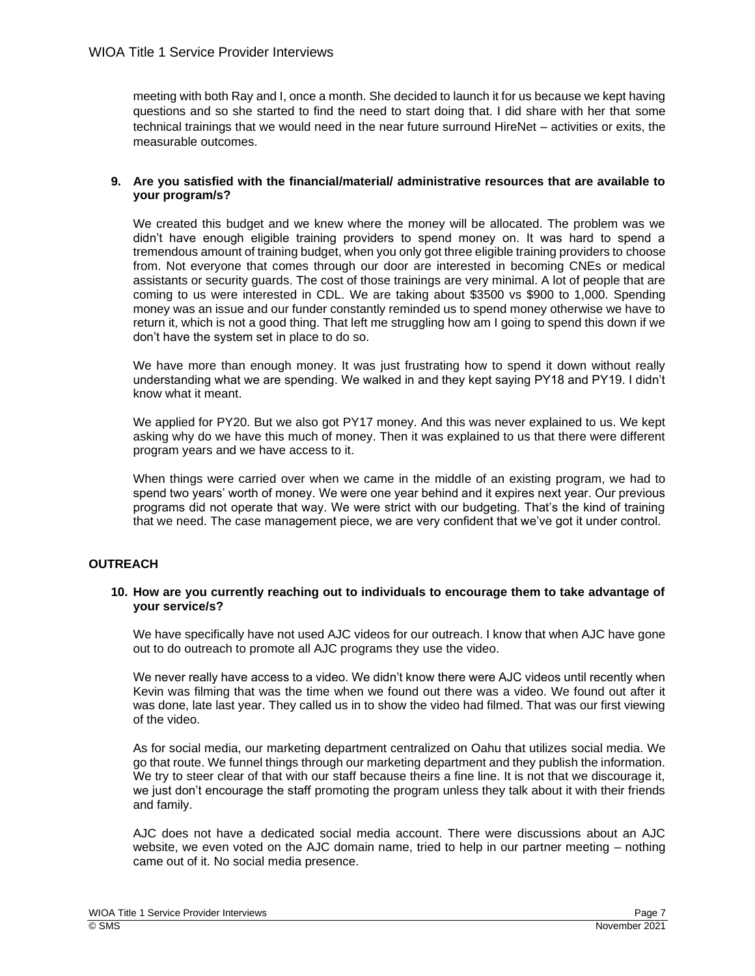meeting with both Ray and I, once a month. She decided to launch it for us because we kept having questions and so she started to find the need to start doing that. I did share with her that some technical trainings that we would need in the near future surround HireNet – activities or exits, the measurable outcomes.

## **9. Are you satisfied with the financial/material/ administrative resources that are available to your program/s?**

We created this budget and we knew where the money will be allocated. The problem was we didn't have enough eligible training providers to spend money on. It was hard to spend a tremendous amount of training budget, when you only got three eligible training providers to choose from. Not everyone that comes through our door are interested in becoming CNEs or medical assistants or security guards. The cost of those trainings are very minimal. A lot of people that are coming to us were interested in CDL. We are taking about \$3500 vs \$900 to 1,000. Spending money was an issue and our funder constantly reminded us to spend money otherwise we have to return it, which is not a good thing. That left me struggling how am I going to spend this down if we don't have the system set in place to do so.

We have more than enough money. It was just frustrating how to spend it down without really understanding what we are spending. We walked in and they kept saying PY18 and PY19. I didn't know what it meant.

We applied for PY20. But we also got PY17 money. And this was never explained to us. We kept asking why do we have this much of money. Then it was explained to us that there were different program years and we have access to it.

When things were carried over when we came in the middle of an existing program, we had to spend two years' worth of money. We were one year behind and it expires next year. Our previous programs did not operate that way. We were strict with our budgeting. That's the kind of training that we need. The case management piece, we are very confident that we've got it under control.

# **OUTREACH**

## **10. How are you currently reaching out to individuals to encourage them to take advantage of your service/s?**

We have specifically have not used AJC videos for our outreach. I know that when AJC have gone out to do outreach to promote all AJC programs they use the video.

We never really have access to a video. We didn't know there were AJC videos until recently when Kevin was filming that was the time when we found out there was a video. We found out after it was done, late last year. They called us in to show the video had filmed. That was our first viewing of the video.

As for social media, our marketing department centralized on Oahu that utilizes social media. We go that route. We funnel things through our marketing department and they publish the information. We try to steer clear of that with our staff because theirs a fine line. It is not that we discourage it, we just don't encourage the staff promoting the program unless they talk about it with their friends and family.

AJC does not have a dedicated social media account. There were discussions about an AJC website, we even voted on the AJC domain name, tried to help in our partner meeting – nothing came out of it. No social media presence.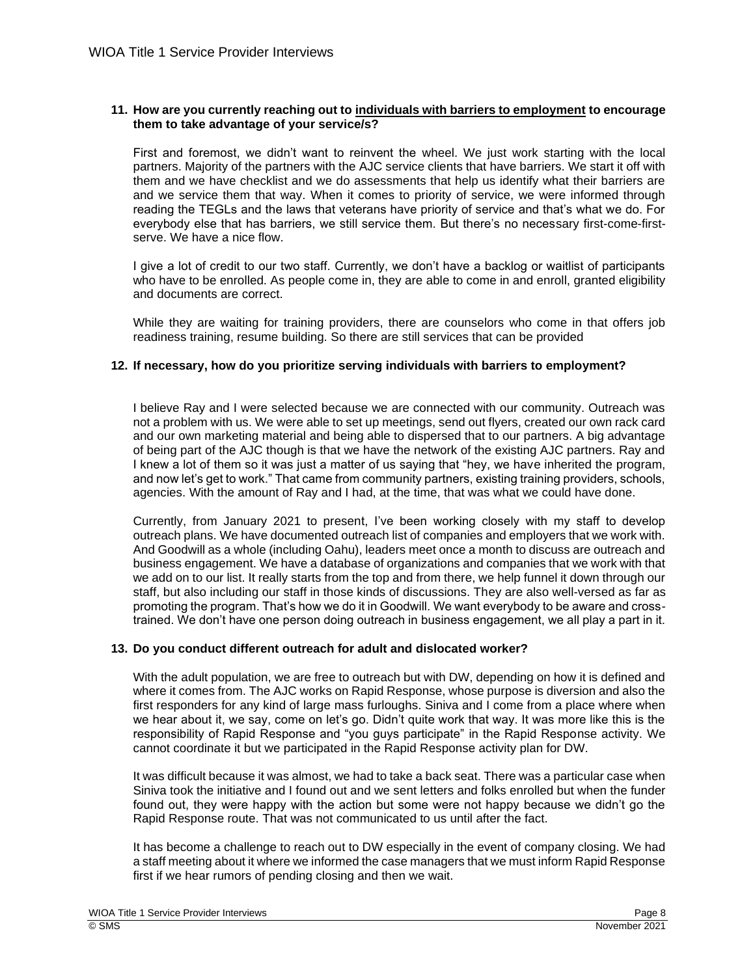## **11. How are you currently reaching out to individuals with barriers to employment to encourage them to take advantage of your service/s?**

First and foremost, we didn't want to reinvent the wheel. We just work starting with the local partners. Majority of the partners with the AJC service clients that have barriers. We start it off with them and we have checklist and we do assessments that help us identify what their barriers are and we service them that way. When it comes to priority of service, we were informed through reading the TEGLs and the laws that veterans have priority of service and that's what we do. For everybody else that has barriers, we still service them. But there's no necessary first-come-firstserve. We have a nice flow.

I give a lot of credit to our two staff. Currently, we don't have a backlog or waitlist of participants who have to be enrolled. As people come in, they are able to come in and enroll, granted eligibility and documents are correct.

While they are waiting for training providers, there are counselors who come in that offers job readiness training, resume building. So there are still services that can be provided

## **12. If necessary, how do you prioritize serving individuals with barriers to employment?**

I believe Ray and I were selected because we are connected with our community. Outreach was not a problem with us. We were able to set up meetings, send out flyers, created our own rack card and our own marketing material and being able to dispersed that to our partners. A big advantage of being part of the AJC though is that we have the network of the existing AJC partners. Ray and I knew a lot of them so it was just a matter of us saying that "hey, we have inherited the program, and now let's get to work." That came from community partners, existing training providers, schools, agencies. With the amount of Ray and I had, at the time, that was what we could have done.

Currently, from January 2021 to present, I've been working closely with my staff to develop outreach plans. We have documented outreach list of companies and employers that we work with. And Goodwill as a whole (including Oahu), leaders meet once a month to discuss are outreach and business engagement. We have a database of organizations and companies that we work with that we add on to our list. It really starts from the top and from there, we help funnel it down through our staff, but also including our staff in those kinds of discussions. They are also well-versed as far as promoting the program. That's how we do it in Goodwill. We want everybody to be aware and crosstrained. We don't have one person doing outreach in business engagement, we all play a part in it.

## **13. Do you conduct different outreach for adult and dislocated worker?**

With the adult population, we are free to outreach but with DW, depending on how it is defined and where it comes from. The AJC works on Rapid Response, whose purpose is diversion and also the first responders for any kind of large mass furloughs. Siniva and I come from a place where when we hear about it, we say, come on let's go. Didn't quite work that way. It was more like this is the responsibility of Rapid Response and "you guys participate" in the Rapid Response activity. We cannot coordinate it but we participated in the Rapid Response activity plan for DW.

It was difficult because it was almost, we had to take a back seat. There was a particular case when Siniva took the initiative and I found out and we sent letters and folks enrolled but when the funder found out, they were happy with the action but some were not happy because we didn't go the Rapid Response route. That was not communicated to us until after the fact.

It has become a challenge to reach out to DW especially in the event of company closing. We had a staff meeting about it where we informed the case managers that we must inform Rapid Response first if we hear rumors of pending closing and then we wait.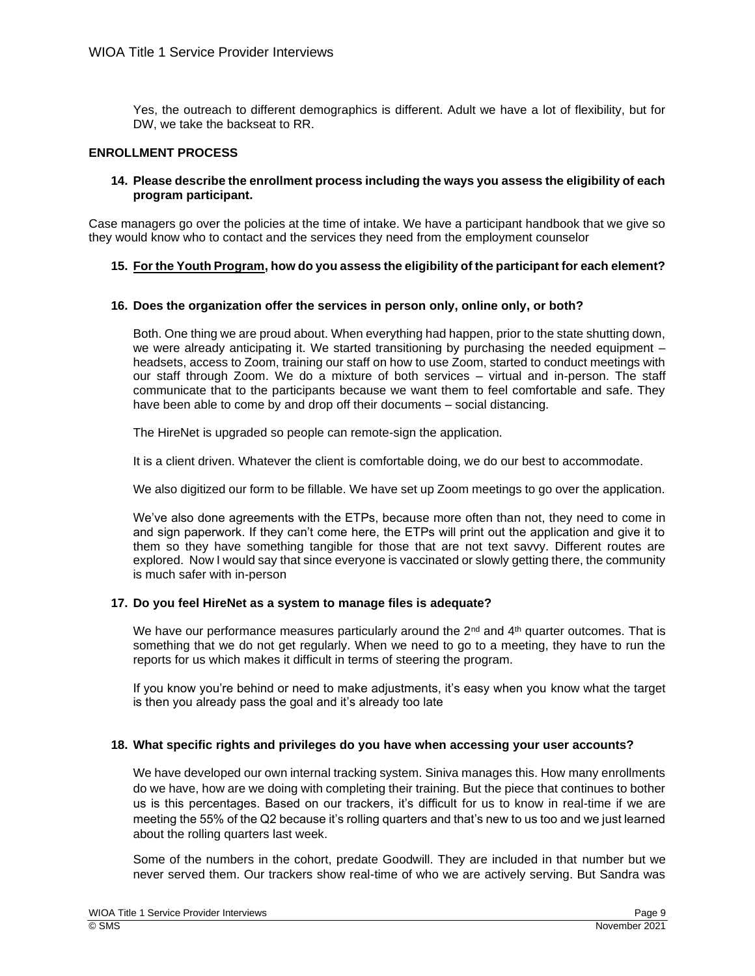Yes, the outreach to different demographics is different. Adult we have a lot of flexibility, but for DW, we take the backseat to RR.

# **ENROLLMENT PROCESS**

## **14. Please describe the enrollment process including the ways you assess the eligibility of each program participant.**

Case managers go over the policies at the time of intake. We have a participant handbook that we give so they would know who to contact and the services they need from the employment counselor

# **15. For the Youth Program, how do you assess the eligibility of the participant for each element?**

## **16. Does the organization offer the services in person only, online only, or both?**

Both. One thing we are proud about. When everything had happen, prior to the state shutting down, we were already anticipating it. We started transitioning by purchasing the needed equipment – headsets, access to Zoom, training our staff on how to use Zoom, started to conduct meetings with our staff through Zoom. We do a mixture of both services – virtual and in-person. The staff communicate that to the participants because we want them to feel comfortable and safe. They have been able to come by and drop off their documents – social distancing.

The HireNet is upgraded so people can remote-sign the application.

It is a client driven. Whatever the client is comfortable doing, we do our best to accommodate.

We also digitized our form to be fillable. We have set up Zoom meetings to go over the application.

We've also done agreements with the ETPs, because more often than not, they need to come in and sign paperwork. If they can't come here, the ETPs will print out the application and give it to them so they have something tangible for those that are not text savvy. Different routes are explored. Now I would say that since everyone is vaccinated or slowly getting there, the community is much safer with in-person

## **17. Do you feel HireNet as a system to manage files is adequate?**

We have our performance measures particularly around the  $2<sup>nd</sup>$  and  $4<sup>th</sup>$  quarter outcomes. That is something that we do not get regularly. When we need to go to a meeting, they have to run the reports for us which makes it difficult in terms of steering the program.

If you know you're behind or need to make adjustments, it's easy when you know what the target is then you already pass the goal and it's already too late

## **18. What specific rights and privileges do you have when accessing your user accounts?**

We have developed our own internal tracking system. Siniva manages this. How many enrollments do we have, how are we doing with completing their training. But the piece that continues to bother us is this percentages. Based on our trackers, it's difficult for us to know in real-time if we are meeting the 55% of the Q2 because it's rolling quarters and that's new to us too and we just learned about the rolling quarters last week.

Some of the numbers in the cohort, predate Goodwill. They are included in that number but we never served them. Our trackers show real-time of who we are actively serving. But Sandra was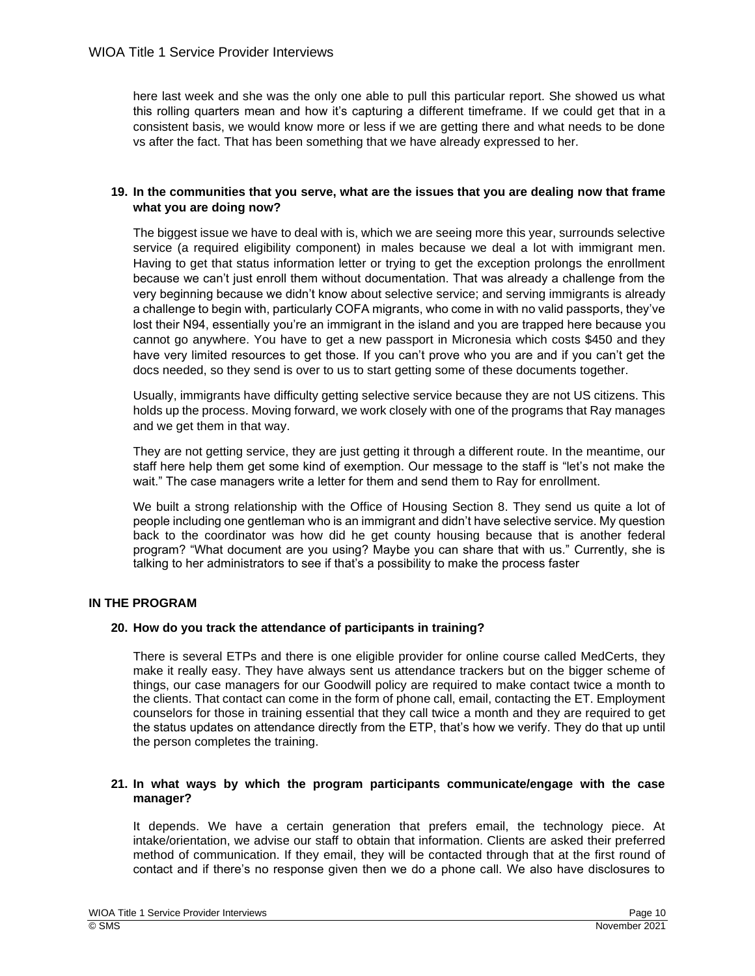here last week and she was the only one able to pull this particular report. She showed us what this rolling quarters mean and how it's capturing a different timeframe. If we could get that in a consistent basis, we would know more or less if we are getting there and what needs to be done vs after the fact. That has been something that we have already expressed to her.

# **19. In the communities that you serve, what are the issues that you are dealing now that frame what you are doing now?**

The biggest issue we have to deal with is, which we are seeing more this year, surrounds selective service (a required eligibility component) in males because we deal a lot with immigrant men. Having to get that status information letter or trying to get the exception prolongs the enrollment because we can't just enroll them without documentation. That was already a challenge from the very beginning because we didn't know about selective service; and serving immigrants is already a challenge to begin with, particularly COFA migrants, who come in with no valid passports, they've lost their N94, essentially you're an immigrant in the island and you are trapped here because you cannot go anywhere. You have to get a new passport in Micronesia which costs \$450 and they have very limited resources to get those. If you can't prove who you are and if you can't get the docs needed, so they send is over to us to start getting some of these documents together.

Usually, immigrants have difficulty getting selective service because they are not US citizens. This holds up the process. Moving forward, we work closely with one of the programs that Ray manages and we get them in that way.

They are not getting service, they are just getting it through a different route. In the meantime, our staff here help them get some kind of exemption. Our message to the staff is "let's not make the wait." The case managers write a letter for them and send them to Ray for enrollment.

We built a strong relationship with the Office of Housing Section 8. They send us quite a lot of people including one gentleman who is an immigrant and didn't have selective service. My question back to the coordinator was how did he get county housing because that is another federal program? "What document are you using? Maybe you can share that with us." Currently, she is talking to her administrators to see if that's a possibility to make the process faster

# **IN THE PROGRAM**

# **20. How do you track the attendance of participants in training?**

There is several ETPs and there is one eligible provider for online course called MedCerts, they make it really easy. They have always sent us attendance trackers but on the bigger scheme of things, our case managers for our Goodwill policy are required to make contact twice a month to the clients. That contact can come in the form of phone call, email, contacting the ET. Employment counselors for those in training essential that they call twice a month and they are required to get the status updates on attendance directly from the ETP, that's how we verify. They do that up until the person completes the training.

# **21. In what ways by which the program participants communicate/engage with the case manager?**

It depends. We have a certain generation that prefers email, the technology piece. At intake/orientation, we advise our staff to obtain that information. Clients are asked their preferred method of communication. If they email, they will be contacted through that at the first round of contact and if there's no response given then we do a phone call. We also have disclosures to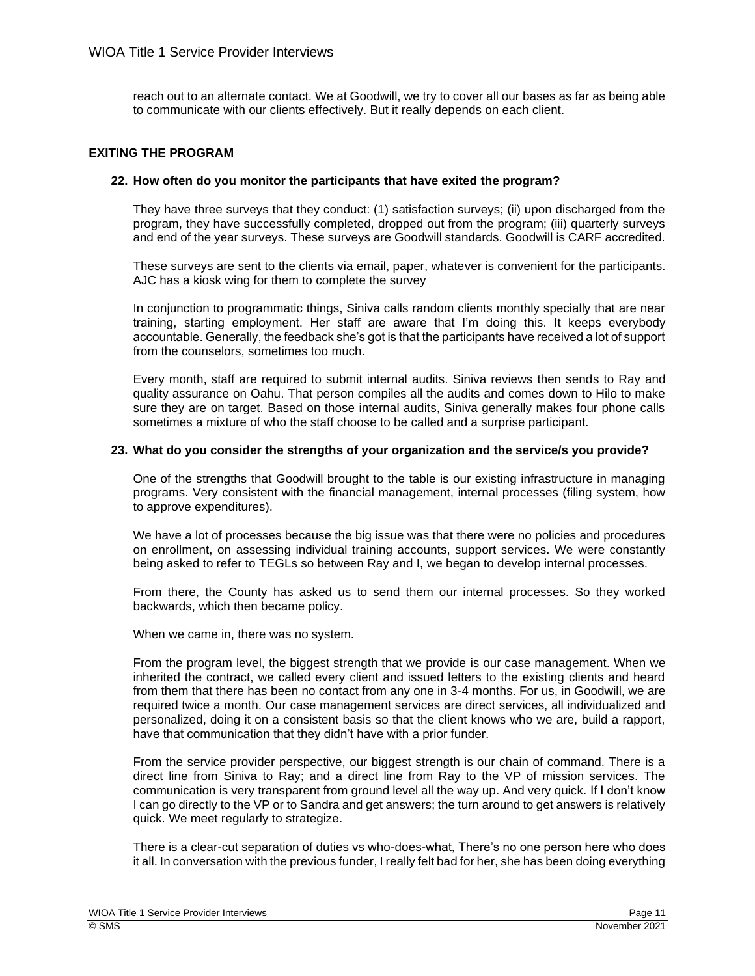reach out to an alternate contact. We at Goodwill, we try to cover all our bases as far as being able to communicate with our clients effectively. But it really depends on each client.

## **EXITING THE PROGRAM**

## **22. How often do you monitor the participants that have exited the program?**

They have three surveys that they conduct: (1) satisfaction surveys; (ii) upon discharged from the program, they have successfully completed, dropped out from the program; (iii) quarterly surveys and end of the year surveys. These surveys are Goodwill standards. Goodwill is CARF accredited.

These surveys are sent to the clients via email, paper, whatever is convenient for the participants. AJC has a kiosk wing for them to complete the survey

In conjunction to programmatic things, Siniva calls random clients monthly specially that are near training, starting employment. Her staff are aware that I'm doing this. It keeps everybody accountable. Generally, the feedback she's got is that the participants have received a lot of support from the counselors, sometimes too much.

Every month, staff are required to submit internal audits. Siniva reviews then sends to Ray and quality assurance on Oahu. That person compiles all the audits and comes down to Hilo to make sure they are on target. Based on those internal audits, Siniva generally makes four phone calls sometimes a mixture of who the staff choose to be called and a surprise participant.

#### **23. What do you consider the strengths of your organization and the service/s you provide?**

One of the strengths that Goodwill brought to the table is our existing infrastructure in managing programs. Very consistent with the financial management, internal processes (filing system, how to approve expenditures).

We have a lot of processes because the big issue was that there were no policies and procedures on enrollment, on assessing individual training accounts, support services. We were constantly being asked to refer to TEGLs so between Ray and I, we began to develop internal processes.

From there, the County has asked us to send them our internal processes. So they worked backwards, which then became policy.

When we came in, there was no system.

From the program level, the biggest strength that we provide is our case management. When we inherited the contract, we called every client and issued letters to the existing clients and heard from them that there has been no contact from any one in 3-4 months. For us, in Goodwill, we are required twice a month. Our case management services are direct services, all individualized and personalized, doing it on a consistent basis so that the client knows who we are, build a rapport, have that communication that they didn't have with a prior funder.

From the service provider perspective, our biggest strength is our chain of command. There is a direct line from Siniva to Ray; and a direct line from Ray to the VP of mission services. The communication is very transparent from ground level all the way up. And very quick. If I don't know I can go directly to the VP or to Sandra and get answers; the turn around to get answers is relatively quick. We meet regularly to strategize.

There is a clear-cut separation of duties vs who-does-what, There's no one person here who does it all. In conversation with the previous funder, I really felt bad for her, she has been doing everything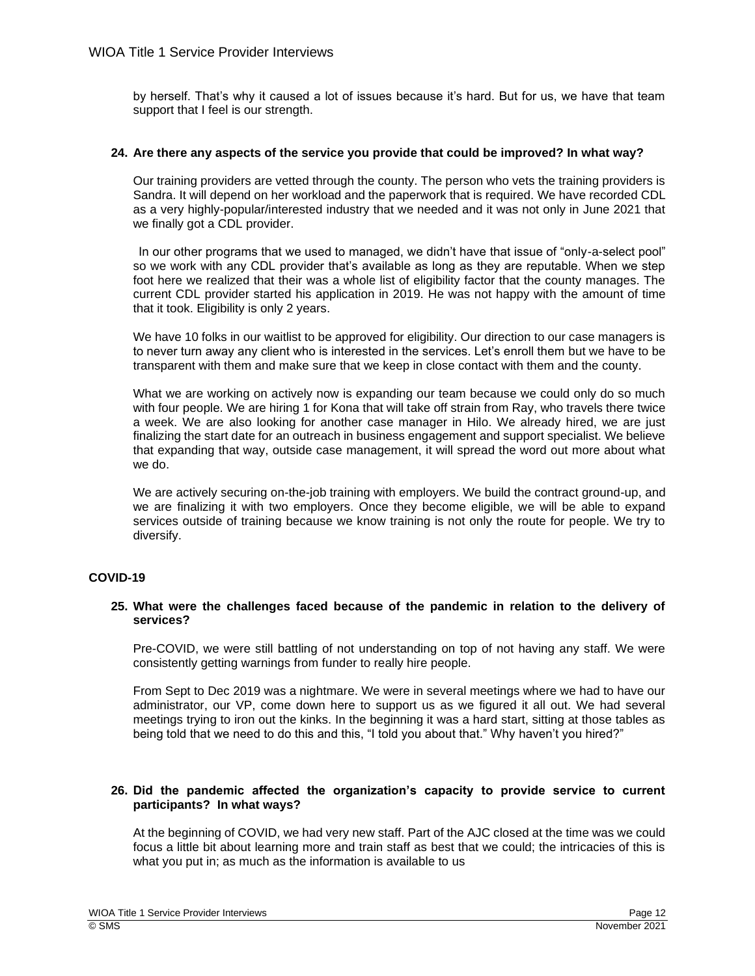by herself. That's why it caused a lot of issues because it's hard. But for us, we have that team support that I feel is our strength.

## **24. Are there any aspects of the service you provide that could be improved? In what way?**

Our training providers are vetted through the county. The person who vets the training providers is Sandra. It will depend on her workload and the paperwork that is required. We have recorded CDL as a very highly-popular/interested industry that we needed and it was not only in June 2021 that we finally got a CDL provider.

In our other programs that we used to managed, we didn't have that issue of "only-a-select pool" so we work with any CDL provider that's available as long as they are reputable. When we step foot here we realized that their was a whole list of eligibility factor that the county manages. The current CDL provider started his application in 2019. He was not happy with the amount of time that it took. Eligibility is only 2 years.

We have 10 folks in our waitlist to be approved for eligibility. Our direction to our case managers is to never turn away any client who is interested in the services. Let's enroll them but we have to be transparent with them and make sure that we keep in close contact with them and the county.

What we are working on actively now is expanding our team because we could only do so much with four people. We are hiring 1 for Kona that will take off strain from Ray, who travels there twice a week. We are also looking for another case manager in Hilo. We already hired, we are just finalizing the start date for an outreach in business engagement and support specialist. We believe that expanding that way, outside case management, it will spread the word out more about what we do.

We are actively securing on-the-job training with employers. We build the contract ground-up, and we are finalizing it with two employers. Once they become eligible, we will be able to expand services outside of training because we know training is not only the route for people. We try to diversify.

# **COVID-19**

## **25. What were the challenges faced because of the pandemic in relation to the delivery of services?**

Pre-COVID, we were still battling of not understanding on top of not having any staff. We were consistently getting warnings from funder to really hire people.

From Sept to Dec 2019 was a nightmare. We were in several meetings where we had to have our administrator, our VP, come down here to support us as we figured it all out. We had several meetings trying to iron out the kinks. In the beginning it was a hard start, sitting at those tables as being told that we need to do this and this, "I told you about that." Why haven't you hired?"

## **26. Did the pandemic affected the organization's capacity to provide service to current participants? In what ways?**

At the beginning of COVID, we had very new staff. Part of the AJC closed at the time was we could focus a little bit about learning more and train staff as best that we could; the intricacies of this is what you put in; as much as the information is available to us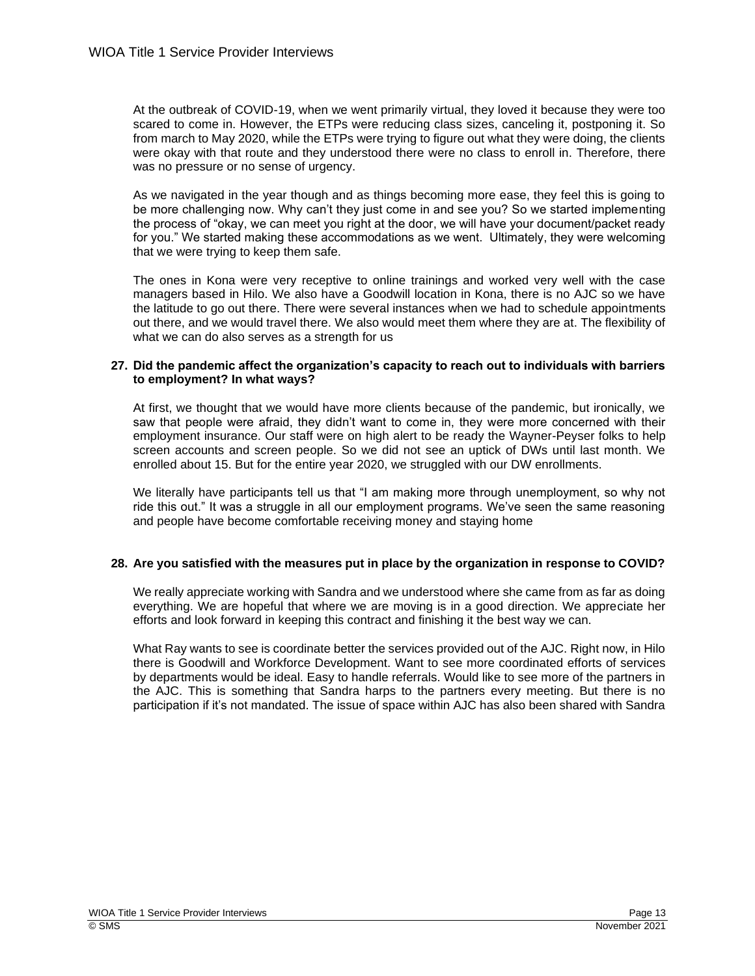At the outbreak of COVID-19, when we went primarily virtual, they loved it because they were too scared to come in. However, the ETPs were reducing class sizes, canceling it, postponing it. So from march to May 2020, while the ETPs were trying to figure out what they were doing, the clients were okay with that route and they understood there were no class to enroll in. Therefore, there was no pressure or no sense of urgency.

As we navigated in the year though and as things becoming more ease, they feel this is going to be more challenging now. Why can't they just come in and see you? So we started implementing the process of "okay, we can meet you right at the door, we will have your document/packet ready for you." We started making these accommodations as we went. Ultimately, they were welcoming that we were trying to keep them safe.

The ones in Kona were very receptive to online trainings and worked very well with the case managers based in Hilo. We also have a Goodwill location in Kona, there is no AJC so we have the latitude to go out there. There were several instances when we had to schedule appointments out there, and we would travel there. We also would meet them where they are at. The flexibility of what we can do also serves as a strength for us

## **27. Did the pandemic affect the organization's capacity to reach out to individuals with barriers to employment? In what ways?**

At first, we thought that we would have more clients because of the pandemic, but ironically, we saw that people were afraid, they didn't want to come in, they were more concerned with their employment insurance. Our staff were on high alert to be ready the Wayner-Peyser folks to help screen accounts and screen people. So we did not see an uptick of DWs until last month. We enrolled about 15. But for the entire year 2020, we struggled with our DW enrollments.

We literally have participants tell us that "I am making more through unemployment, so why not ride this out." It was a struggle in all our employment programs. We've seen the same reasoning and people have become comfortable receiving money and staying home

# **28. Are you satisfied with the measures put in place by the organization in response to COVID?**

We really appreciate working with Sandra and we understood where she came from as far as doing everything. We are hopeful that where we are moving is in a good direction. We appreciate her efforts and look forward in keeping this contract and finishing it the best way we can.

What Ray wants to see is coordinate better the services provided out of the AJC. Right now, in Hilo there is Goodwill and Workforce Development. Want to see more coordinated efforts of services by departments would be ideal. Easy to handle referrals. Would like to see more of the partners in the AJC. This is something that Sandra harps to the partners every meeting. But there is no participation if it's not mandated. The issue of space within AJC has also been shared with Sandra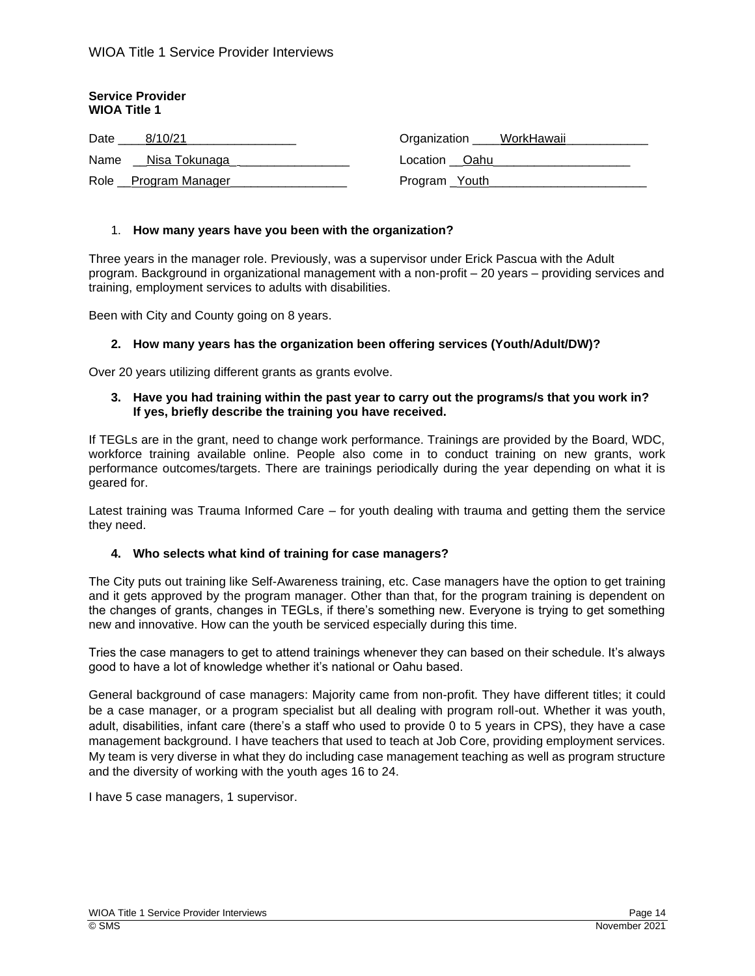## **Service Provider WIOA Title 1**

| Date | 8/10/21              | Organization ____WorkHawaii_ |
|------|----------------------|------------------------------|
| Name | __Nisa Tokunaga      | Location Oahu                |
|      | Role Program Manager | Program Youth                |

## 1. **How many years have you been with the organization?**

Three years in the manager role. Previously, was a supervisor under Erick Pascua with the Adult program. Background in organizational management with a non-profit – 20 years – providing services and training, employment services to adults with disabilities.

Been with City and County going on 8 years.

## **2. How many years has the organization been offering services (Youth/Adult/DW)?**

Over 20 years utilizing different grants as grants evolve.

#### **3. Have you had training within the past year to carry out the programs/s that you work in? If yes, briefly describe the training you have received.**

If TEGLs are in the grant, need to change work performance. Trainings are provided by the Board, WDC, workforce training available online. People also come in to conduct training on new grants, work performance outcomes/targets. There are trainings periodically during the year depending on what it is geared for.

Latest training was Trauma Informed Care – for youth dealing with trauma and getting them the service they need.

## **4. Who selects what kind of training for case managers?**

The City puts out training like Self-Awareness training, etc. Case managers have the option to get training and it gets approved by the program manager. Other than that, for the program training is dependent on the changes of grants, changes in TEGLs, if there's something new. Everyone is trying to get something new and innovative. How can the youth be serviced especially during this time.

Tries the case managers to get to attend trainings whenever they can based on their schedule. It's always good to have a lot of knowledge whether it's national or Oahu based.

General background of case managers: Majority came from non-profit. They have different titles; it could be a case manager, or a program specialist but all dealing with program roll-out. Whether it was youth, adult, disabilities, infant care (there's a staff who used to provide 0 to 5 years in CPS), they have a case management background. I have teachers that used to teach at Job Core, providing employment services. My team is very diverse in what they do including case management teaching as well as program structure and the diversity of working with the youth ages 16 to 24.

I have 5 case managers, 1 supervisor.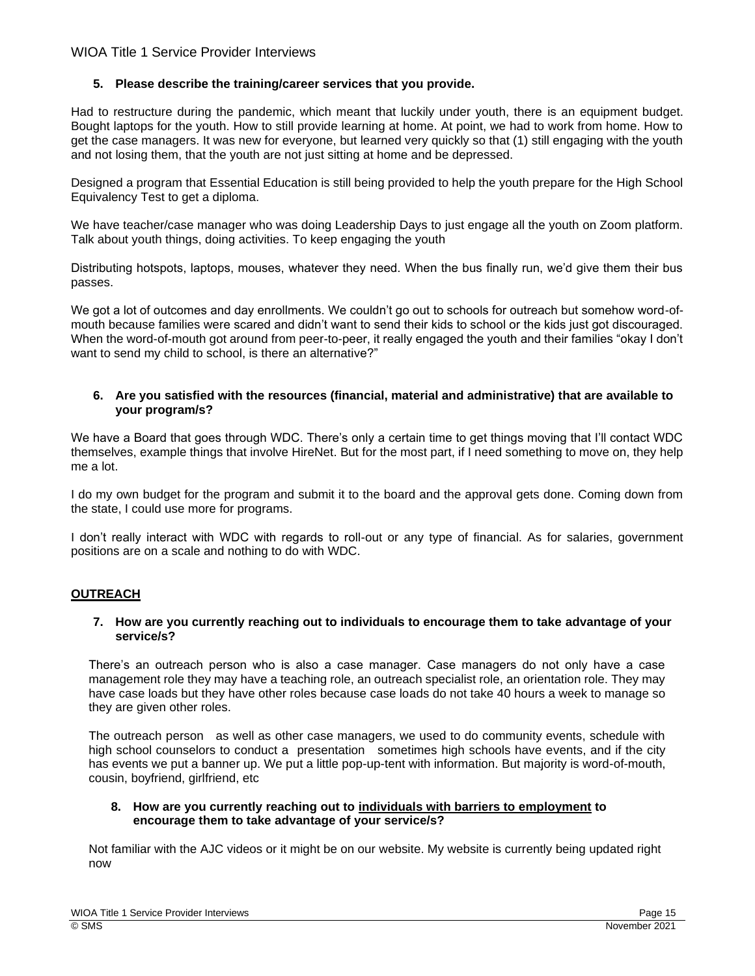# **5. Please describe the training/career services that you provide.**

Had to restructure during the pandemic, which meant that luckily under youth, there is an equipment budget. Bought laptops for the youth. How to still provide learning at home. At point, we had to work from home. How to get the case managers. It was new for everyone, but learned very quickly so that (1) still engaging with the youth and not losing them, that the youth are not just sitting at home and be depressed.

Designed a program that Essential Education is still being provided to help the youth prepare for the High School Equivalency Test to get a diploma.

We have teacher/case manager who was doing Leadership Days to just engage all the youth on Zoom platform. Talk about youth things, doing activities. To keep engaging the youth

Distributing hotspots, laptops, mouses, whatever they need. When the bus finally run, we'd give them their bus passes.

We got a lot of outcomes and day enrollments. We couldn't go out to schools for outreach but somehow word-ofmouth because families were scared and didn't want to send their kids to school or the kids just got discouraged. When the word-of-mouth got around from peer-to-peer, it really engaged the youth and their families "okay I don't want to send my child to school, is there an alternative?"

## **6. Are you satisfied with the resources (financial, material and administrative) that are available to your program/s?**

We have a Board that goes through WDC. There's only a certain time to get things moving that I'll contact WDC themselves, example things that involve HireNet. But for the most part, if I need something to move on, they help me a lot.

I do my own budget for the program and submit it to the board and the approval gets done. Coming down from the state, I could use more for programs.

I don't really interact with WDC with regards to roll-out or any type of financial. As for salaries, government positions are on a scale and nothing to do with WDC.

# **OUTREACH**

## **7. How are you currently reaching out to individuals to encourage them to take advantage of your service/s?**

There's an outreach person who is also a case manager. Case managers do not only have a case management role they may have a teaching role, an outreach specialist role, an orientation role. They may have case loads but they have other roles because case loads do not take 40 hours a week to manage so they are given other roles.

The outreach person as well as other case managers, we used to do community events, schedule with high school counselors to conduct a presentation sometimes high schools have events, and if the city has events we put a banner up. We put a little pop-up-tent with information. But majority is word-of-mouth, cousin, boyfriend, girlfriend, etc

## **8. How are you currently reaching out to individuals with barriers to employment to encourage them to take advantage of your service/s?**

Not familiar with the AJC videos or it might be on our website. My website is currently being updated right now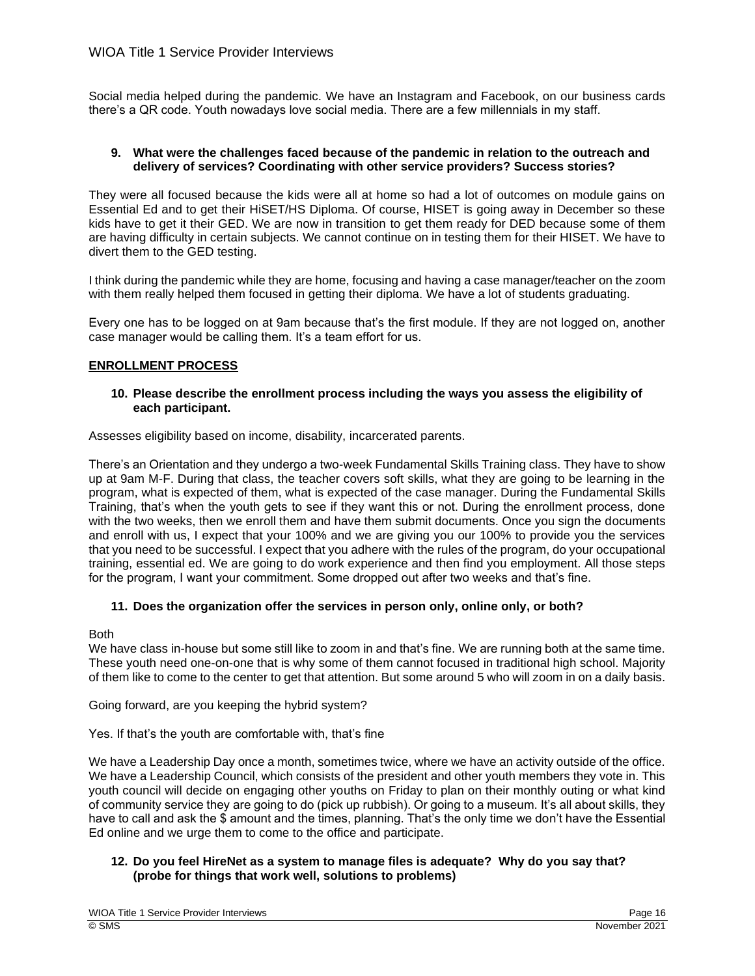Social media helped during the pandemic. We have an Instagram and Facebook, on our business cards there's a QR code. Youth nowadays love social media. There are a few millennials in my staff.

## **9. What were the challenges faced because of the pandemic in relation to the outreach and delivery of services? Coordinating with other service providers? Success stories?**

They were all focused because the kids were all at home so had a lot of outcomes on module gains on Essential Ed and to get their HiSET/HS Diploma. Of course, HISET is going away in December so these kids have to get it their GED. We are now in transition to get them ready for DED because some of them are having difficulty in certain subjects. We cannot continue on in testing them for their HISET. We have to divert them to the GED testing.

I think during the pandemic while they are home, focusing and having a case manager/teacher on the zoom with them really helped them focused in getting their diploma. We have a lot of students graduating.

Every one has to be logged on at 9am because that's the first module. If they are not logged on, another case manager would be calling them. It's a team effort for us.

# **ENROLLMENT PROCESS**

## **10. Please describe the enrollment process including the ways you assess the eligibility of each participant.**

Assesses eligibility based on income, disability, incarcerated parents.

There's an Orientation and they undergo a two-week Fundamental Skills Training class. They have to show up at 9am M-F. During that class, the teacher covers soft skills, what they are going to be learning in the program, what is expected of them, what is expected of the case manager. During the Fundamental Skills Training, that's when the youth gets to see if they want this or not. During the enrollment process, done with the two weeks, then we enroll them and have them submit documents. Once you sign the documents and enroll with us, I expect that your 100% and we are giving you our 100% to provide you the services that you need to be successful. I expect that you adhere with the rules of the program, do your occupational training, essential ed. We are going to do work experience and then find you employment. All those steps for the program, I want your commitment. Some dropped out after two weeks and that's fine.

# **11. Does the organization offer the services in person only, online only, or both?**

Both

We have class in-house but some still like to zoom in and that's fine. We are running both at the same time. These youth need one-on-one that is why some of them cannot focused in traditional high school. Majority of them like to come to the center to get that attention. But some around 5 who will zoom in on a daily basis.

Going forward, are you keeping the hybrid system?

Yes. If that's the youth are comfortable with, that's fine

We have a Leadership Day once a month, sometimes twice, where we have an activity outside of the office. We have a Leadership Council, which consists of the president and other youth members they vote in. This youth council will decide on engaging other youths on Friday to plan on their monthly outing or what kind of community service they are going to do (pick up rubbish). Or going to a museum. It's all about skills, they have to call and ask the \$ amount and the times, planning. That's the only time we don't have the Essential Ed online and we urge them to come to the office and participate.

# **12. Do you feel HireNet as a system to manage files is adequate? Why do you say that? (probe for things that work well, solutions to problems)**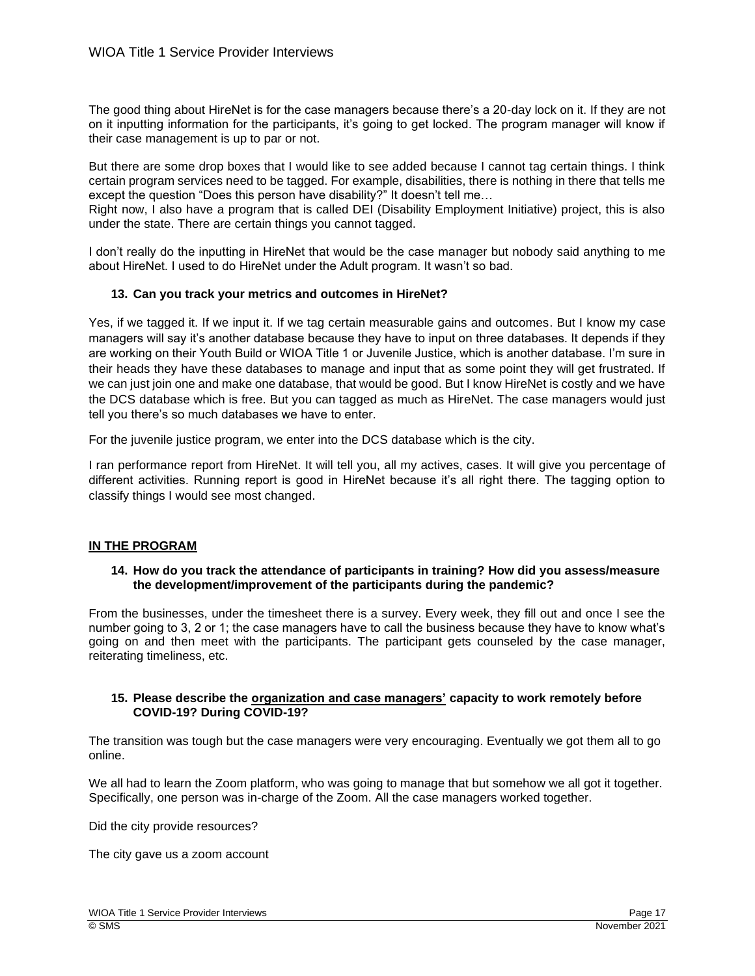The good thing about HireNet is for the case managers because there's a 20-day lock on it. If they are not on it inputting information for the participants, it's going to get locked. The program manager will know if their case management is up to par or not.

But there are some drop boxes that I would like to see added because I cannot tag certain things. I think certain program services need to be tagged. For example, disabilities, there is nothing in there that tells me except the question "Does this person have disability?" It doesn't tell me…

Right now, I also have a program that is called DEI (Disability Employment Initiative) project, this is also under the state. There are certain things you cannot tagged.

I don't really do the inputting in HireNet that would be the case manager but nobody said anything to me about HireNet. I used to do HireNet under the Adult program. It wasn't so bad.

# **13. Can you track your metrics and outcomes in HireNet?**

Yes, if we tagged it. If we input it. If we tag certain measurable gains and outcomes. But I know my case managers will say it's another database because they have to input on three databases. It depends if they are working on their Youth Build or WIOA Title 1 or Juvenile Justice, which is another database. I'm sure in their heads they have these databases to manage and input that as some point they will get frustrated. If we can just join one and make one database, that would be good. But I know HireNet is costly and we have the DCS database which is free. But you can tagged as much as HireNet. The case managers would just tell you there's so much databases we have to enter.

For the juvenile justice program, we enter into the DCS database which is the city.

I ran performance report from HireNet. It will tell you, all my actives, cases. It will give you percentage of different activities. Running report is good in HireNet because it's all right there. The tagging option to classify things I would see most changed.

# **IN THE PROGRAM**

## **14. How do you track the attendance of participants in training? How did you assess/measure the development/improvement of the participants during the pandemic?**

From the businesses, under the timesheet there is a survey. Every week, they fill out and once I see the number going to 3, 2 or 1; the case managers have to call the business because they have to know what's going on and then meet with the participants. The participant gets counseled by the case manager, reiterating timeliness, etc.

# **15. Please describe the organization and case managers' capacity to work remotely before COVID-19? During COVID-19?**

The transition was tough but the case managers were very encouraging. Eventually we got them all to go online.

We all had to learn the Zoom platform, who was going to manage that but somehow we all got it together. Specifically, one person was in-charge of the Zoom. All the case managers worked together.

Did the city provide resources?

The city gave us a zoom account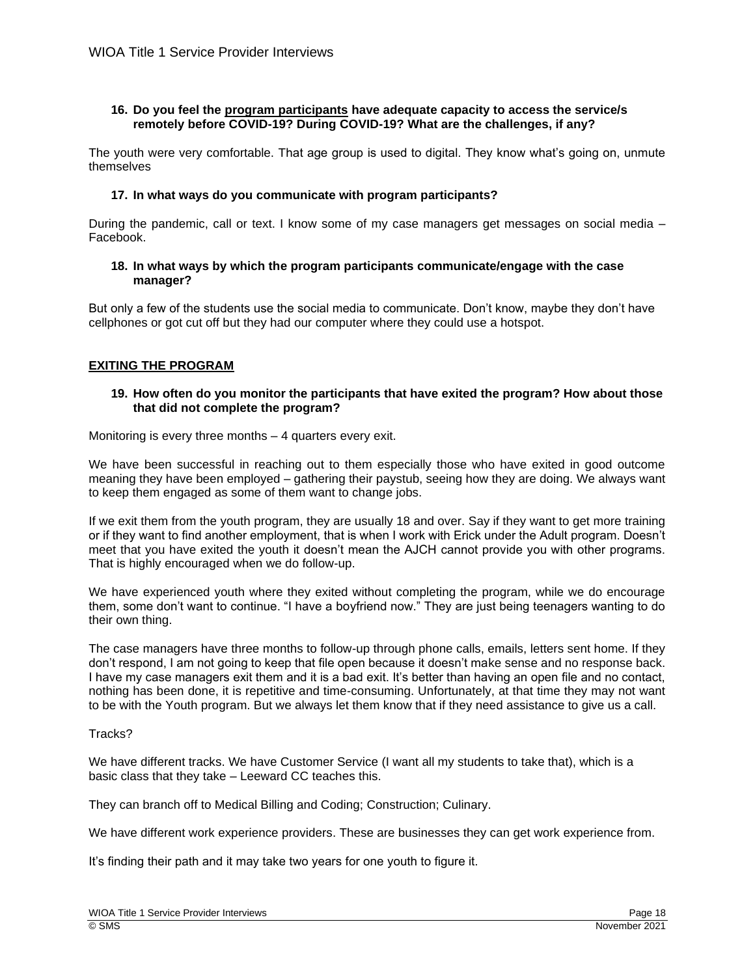## **16. Do you feel the program participants have adequate capacity to access the service/s remotely before COVID-19? During COVID-19? What are the challenges, if any?**

The youth were very comfortable. That age group is used to digital. They know what's going on, unmute themselves

## **17. In what ways do you communicate with program participants?**

During the pandemic, call or text. I know some of my case managers get messages on social media – Facebook.

## **18. In what ways by which the program participants communicate/engage with the case manager?**

But only a few of the students use the social media to communicate. Don't know, maybe they don't have cellphones or got cut off but they had our computer where they could use a hotspot.

# **EXITING THE PROGRAM**

## **19. How often do you monitor the participants that have exited the program? How about those that did not complete the program?**

Monitoring is every three months – 4 quarters every exit.

We have been successful in reaching out to them especially those who have exited in good outcome meaning they have been employed – gathering their paystub, seeing how they are doing. We always want to keep them engaged as some of them want to change jobs.

If we exit them from the youth program, they are usually 18 and over. Say if they want to get more training or if they want to find another employment, that is when I work with Erick under the Adult program. Doesn't meet that you have exited the youth it doesn't mean the AJCH cannot provide you with other programs. That is highly encouraged when we do follow-up.

We have experienced youth where they exited without completing the program, while we do encourage them, some don't want to continue. "I have a boyfriend now." They are just being teenagers wanting to do their own thing.

The case managers have three months to follow-up through phone calls, emails, letters sent home. If they don't respond, I am not going to keep that file open because it doesn't make sense and no response back. I have my case managers exit them and it is a bad exit. It's better than having an open file and no contact, nothing has been done, it is repetitive and time-consuming. Unfortunately, at that time they may not want to be with the Youth program. But we always let them know that if they need assistance to give us a call.

## Tracks?

We have different tracks. We have Customer Service (I want all my students to take that), which is a basic class that they take – Leeward CC teaches this.

They can branch off to Medical Billing and Coding; Construction; Culinary.

We have different work experience providers. These are businesses they can get work experience from.

It's finding their path and it may take two years for one youth to figure it.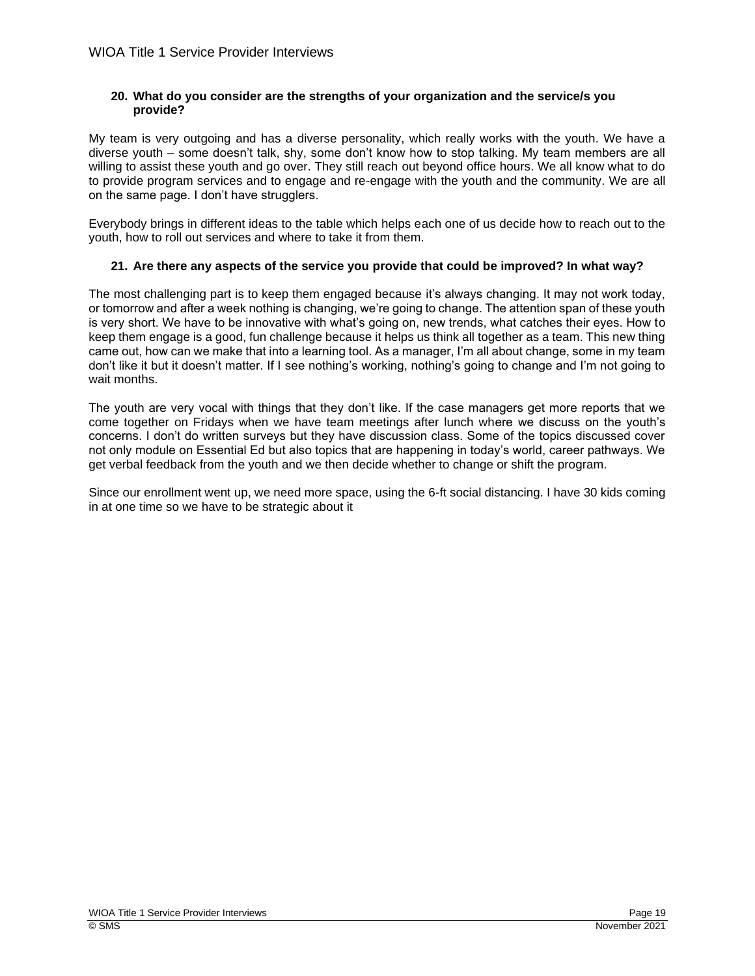# **20. What do you consider are the strengths of your organization and the service/s you provide?**

My team is very outgoing and has a diverse personality, which really works with the youth. We have a diverse youth – some doesn't talk, shy, some don't know how to stop talking. My team members are all willing to assist these youth and go over. They still reach out beyond office hours. We all know what to do to provide program services and to engage and re-engage with the youth and the community. We are all on the same page. I don't have strugglers.

Everybody brings in different ideas to the table which helps each one of us decide how to reach out to the youth, how to roll out services and where to take it from them.

# **21. Are there any aspects of the service you provide that could be improved? In what way?**

The most challenging part is to keep them engaged because it's always changing. It may not work today, or tomorrow and after a week nothing is changing, we're going to change. The attention span of these youth is very short. We have to be innovative with what's going on, new trends, what catches their eyes. How to keep them engage is a good, fun challenge because it helps us think all together as a team. This new thing came out, how can we make that into a learning tool. As a manager, I'm all about change, some in my team don't like it but it doesn't matter. If I see nothing's working, nothing's going to change and I'm not going to wait months.

The youth are very vocal with things that they don't like. If the case managers get more reports that we come together on Fridays when we have team meetings after lunch where we discuss on the youth's concerns. I don't do written surveys but they have discussion class. Some of the topics discussed cover not only module on Essential Ed but also topics that are happening in today's world, career pathways. We get verbal feedback from the youth and we then decide whether to change or shift the program.

Since our enrollment went up, we need more space, using the 6-ft social distancing. I have 30 kids coming in at one time so we have to be strategic about it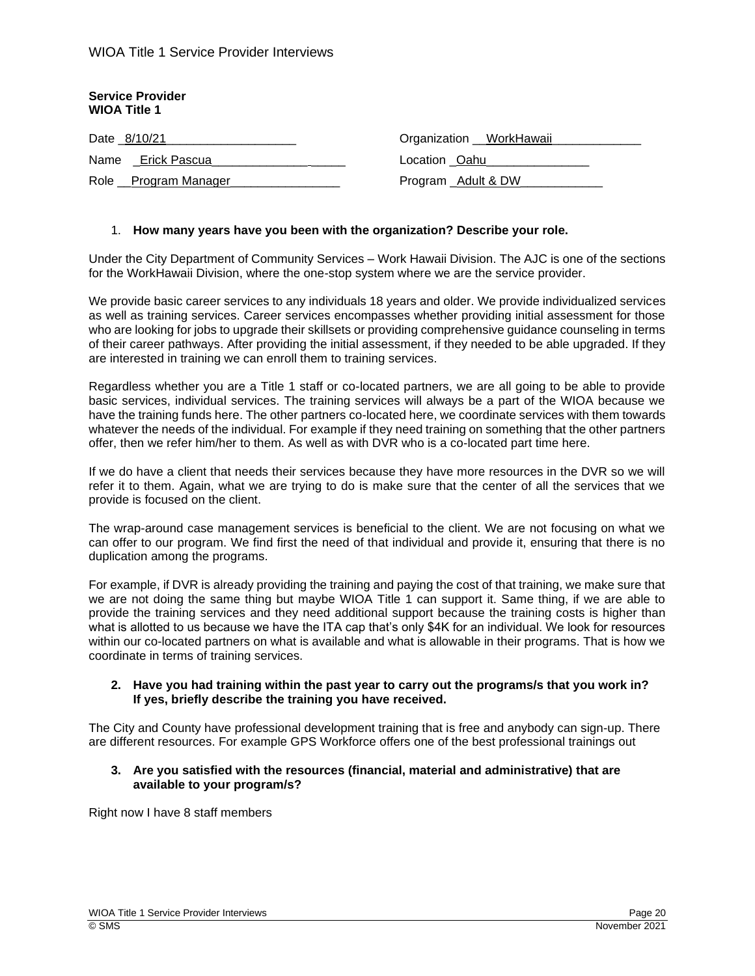| <b>Service Provider</b><br><b>WIOA Title 1</b> |                           |
|------------------------------------------------|---------------------------|
| Date _8/10/21                                  | Organization __WorkHawaii |
| Name Erick Pascua                              | Location _Oahu_           |
| Role __Program Manager                         | Program _Adult & DW       |

## 1. **How many years have you been with the organization? Describe your role.**

Under the City Department of Community Services – Work Hawaii Division. The AJC is one of the sections for the WorkHawaii Division, where the one-stop system where we are the service provider.

We provide basic career services to any individuals 18 years and older. We provide individualized services as well as training services. Career services encompasses whether providing initial assessment for those who are looking for jobs to upgrade their skillsets or providing comprehensive guidance counseling in terms of their career pathways. After providing the initial assessment, if they needed to be able upgraded. If they are interested in training we can enroll them to training services.

Regardless whether you are a Title 1 staff or co-located partners, we are all going to be able to provide basic services, individual services. The training services will always be a part of the WIOA because we have the training funds here. The other partners co-located here, we coordinate services with them towards whatever the needs of the individual. For example if they need training on something that the other partners offer, then we refer him/her to them. As well as with DVR who is a co-located part time here.

If we do have a client that needs their services because they have more resources in the DVR so we will refer it to them. Again, what we are trying to do is make sure that the center of all the services that we provide is focused on the client.

The wrap-around case management services is beneficial to the client. We are not focusing on what we can offer to our program. We find first the need of that individual and provide it, ensuring that there is no duplication among the programs.

For example, if DVR is already providing the training and paying the cost of that training, we make sure that we are not doing the same thing but maybe WIOA Title 1 can support it. Same thing, if we are able to provide the training services and they need additional support because the training costs is higher than what is allotted to us because we have the ITA cap that's only \$4K for an individual. We look for resources within our co-located partners on what is available and what is allowable in their programs. That is how we coordinate in terms of training services.

#### **2. Have you had training within the past year to carry out the programs/s that you work in? If yes, briefly describe the training you have received.**

The City and County have professional development training that is free and anybody can sign-up. There are different resources. For example GPS Workforce offers one of the best professional trainings out

#### **3. Are you satisfied with the resources (financial, material and administrative) that are available to your program/s?**

Right now I have 8 staff members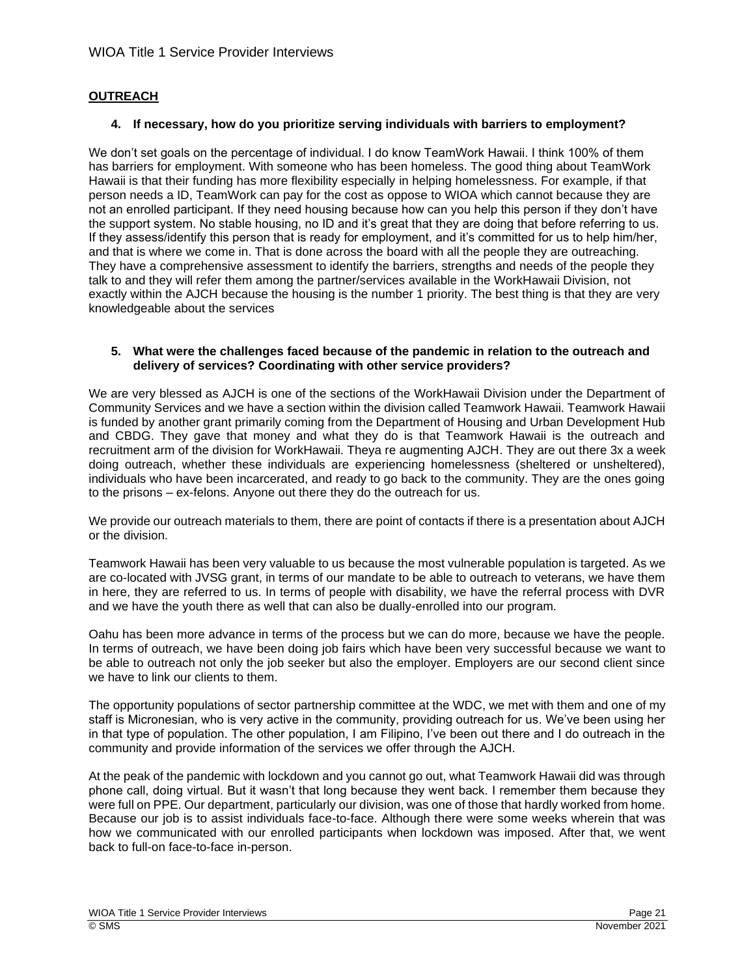# **OUTREACH**

#### **4. If necessary, how do you prioritize serving individuals with barriers to employment?**

We don't set goals on the percentage of individual. I do know TeamWork Hawaii. I think 100% of them has barriers for employment. With someone who has been homeless. The good thing about TeamWork Hawaii is that their funding has more flexibility especially in helping homelessness. For example, if that person needs a ID, TeamWork can pay for the cost as oppose to WIOA which cannot because they are not an enrolled participant. If they need housing because how can you help this person if they don't have the support system. No stable housing, no ID and it's great that they are doing that before referring to us. If they assess/identify this person that is ready for employment, and it's committed for us to help him/her, and that is where we come in. That is done across the board with all the people they are outreaching. They have a comprehensive assessment to identify the barriers, strengths and needs of the people they talk to and they will refer them among the partner/services available in the WorkHawaii Division, not exactly within the AJCH because the housing is the number 1 priority. The best thing is that they are very knowledgeable about the services

#### **5. What were the challenges faced because of the pandemic in relation to the outreach and delivery of services? Coordinating with other service providers?**

We are very blessed as AJCH is one of the sections of the WorkHawaii Division under the Department of Community Services and we have a section within the division called Teamwork Hawaii. Teamwork Hawaii is funded by another grant primarily coming from the Department of Housing and Urban Development Hub and CBDG. They gave that money and what they do is that Teamwork Hawaii is the outreach and recruitment arm of the division for WorkHawaii. Theya re augmenting AJCH. They are out there 3x a week doing outreach, whether these individuals are experiencing homelessness (sheltered or unsheltered), individuals who have been incarcerated, and ready to go back to the community. They are the ones going to the prisons – ex-felons. Anyone out there they do the outreach for us.

We provide our outreach materials to them, there are point of contacts if there is a presentation about AJCH or the division.

Teamwork Hawaii has been very valuable to us because the most vulnerable population is targeted. As we are co-located with JVSG grant, in terms of our mandate to be able to outreach to veterans, we have them in here, they are referred to us. In terms of people with disability, we have the referral process with DVR and we have the youth there as well that can also be dually-enrolled into our program.

Oahu has been more advance in terms of the process but we can do more, because we have the people. In terms of outreach, we have been doing job fairs which have been very successful because we want to be able to outreach not only the job seeker but also the employer. Employers are our second client since we have to link our clients to them.

The opportunity populations of sector partnership committee at the WDC, we met with them and one of my staff is Micronesian, who is very active in the community, providing outreach for us. We've been using her in that type of population. The other population, I am Filipino, I've been out there and I do outreach in the community and provide information of the services we offer through the AJCH.

At the peak of the pandemic with lockdown and you cannot go out, what Teamwork Hawaii did was through phone call, doing virtual. But it wasn't that long because they went back. I remember them because they were full on PPE. Our department, particularly our division, was one of those that hardly worked from home. Because our job is to assist individuals face-to-face. Although there were some weeks wherein that was how we communicated with our enrolled participants when lockdown was imposed. After that, we went back to full-on face-to-face in-person.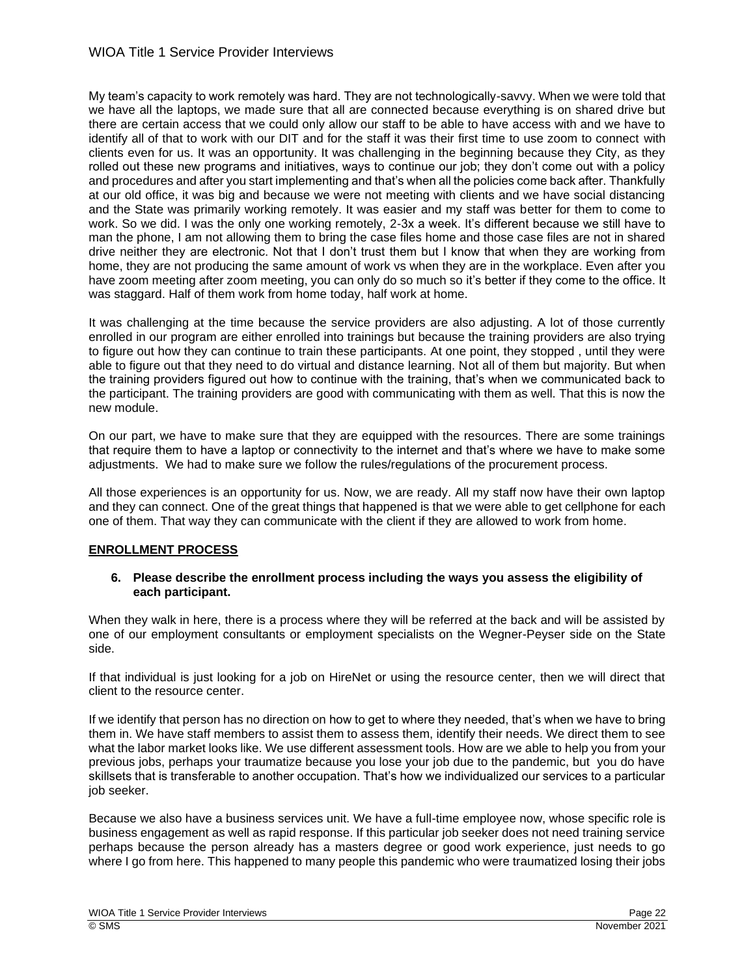My team's capacity to work remotely was hard. They are not technologically-savvy. When we were told that we have all the laptops, we made sure that all are connected because everything is on shared drive but there are certain access that we could only allow our staff to be able to have access with and we have to identify all of that to work with our DIT and for the staff it was their first time to use zoom to connect with clients even for us. It was an opportunity. It was challenging in the beginning because they City, as they rolled out these new programs and initiatives, ways to continue our job; they don't come out with a policy and procedures and after you start implementing and that's when all the policies come back after. Thankfully at our old office, it was big and because we were not meeting with clients and we have social distancing and the State was primarily working remotely. It was easier and my staff was better for them to come to work. So we did. I was the only one working remotely, 2-3x a week. It's different because we still have to man the phone, I am not allowing them to bring the case files home and those case files are not in shared drive neither they are electronic. Not that I don't trust them but I know that when they are working from home, they are not producing the same amount of work vs when they are in the workplace. Even after you have zoom meeting after zoom meeting, you can only do so much so it's better if they come to the office. It was staggard. Half of them work from home today, half work at home.

It was challenging at the time because the service providers are also adjusting. A lot of those currently enrolled in our program are either enrolled into trainings but because the training providers are also trying to figure out how they can continue to train these participants. At one point, they stopped , until they were able to figure out that they need to do virtual and distance learning. Not all of them but majority. But when the training providers figured out how to continue with the training, that's when we communicated back to the participant. The training providers are good with communicating with them as well. That this is now the new module.

On our part, we have to make sure that they are equipped with the resources. There are some trainings that require them to have a laptop or connectivity to the internet and that's where we have to make some adjustments. We had to make sure we follow the rules/regulations of the procurement process.

All those experiences is an opportunity for us. Now, we are ready. All my staff now have their own laptop and they can connect. One of the great things that happened is that we were able to get cellphone for each one of them. That way they can communicate with the client if they are allowed to work from home.

## **ENROLLMENT PROCESS**

## **6. Please describe the enrollment process including the ways you assess the eligibility of each participant.**

When they walk in here, there is a process where they will be referred at the back and will be assisted by one of our employment consultants or employment specialists on the Wegner-Peyser side on the State side.

If that individual is just looking for a job on HireNet or using the resource center, then we will direct that client to the resource center.

If we identify that person has no direction on how to get to where they needed, that's when we have to bring them in. We have staff members to assist them to assess them, identify their needs. We direct them to see what the labor market looks like. We use different assessment tools. How are we able to help you from your previous jobs, perhaps your traumatize because you lose your job due to the pandemic, but you do have skillsets that is transferable to another occupation. That's how we individualized our services to a particular job seeker.

Because we also have a business services unit. We have a full-time employee now, whose specific role is business engagement as well as rapid response. If this particular job seeker does not need training service perhaps because the person already has a masters degree or good work experience, just needs to go where I go from here. This happened to many people this pandemic who were traumatized losing their jobs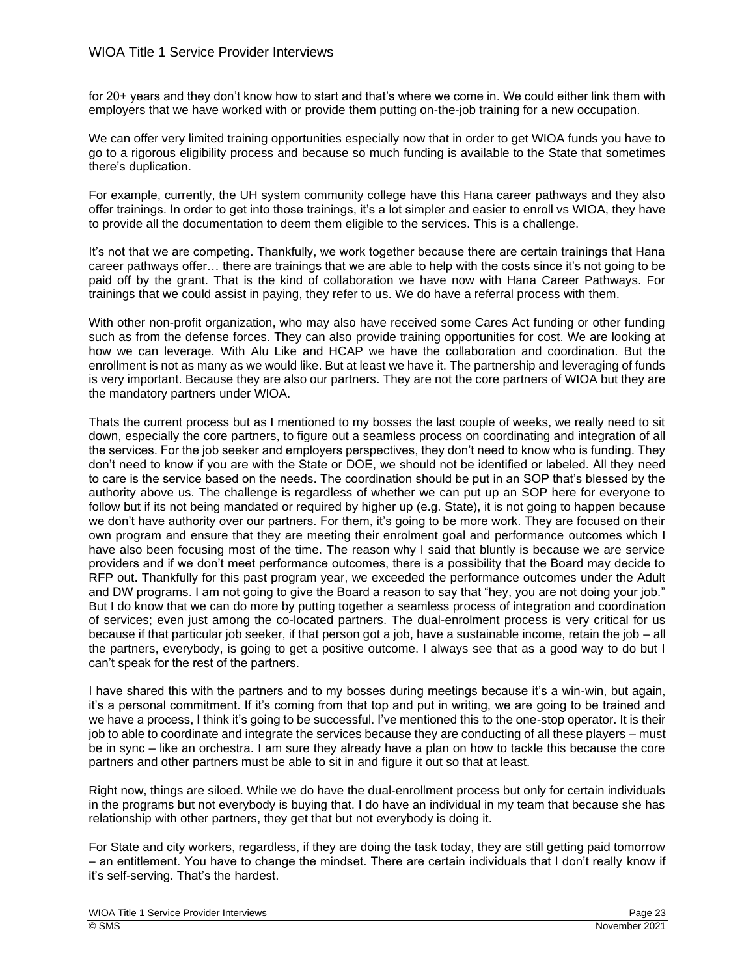for 20+ years and they don't know how to start and that's where we come in. We could either link them with employers that we have worked with or provide them putting on-the-job training for a new occupation.

We can offer very limited training opportunities especially now that in order to get WIOA funds you have to go to a rigorous eligibility process and because so much funding is available to the State that sometimes there's duplication.

For example, currently, the UH system community college have this Hana career pathways and they also offer trainings. In order to get into those trainings, it's a lot simpler and easier to enroll vs WIOA, they have to provide all the documentation to deem them eligible to the services. This is a challenge.

It's not that we are competing. Thankfully, we work together because there are certain trainings that Hana career pathways offer… there are trainings that we are able to help with the costs since it's not going to be paid off by the grant. That is the kind of collaboration we have now with Hana Career Pathways. For trainings that we could assist in paying, they refer to us. We do have a referral process with them.

With other non-profit organization, who may also have received some Cares Act funding or other funding such as from the defense forces. They can also provide training opportunities for cost. We are looking at how we can leverage. With Alu Like and HCAP we have the collaboration and coordination. But the enrollment is not as many as we would like. But at least we have it. The partnership and leveraging of funds is very important. Because they are also our partners. They are not the core partners of WIOA but they are the mandatory partners under WIOA.

Thats the current process but as I mentioned to my bosses the last couple of weeks, we really need to sit down, especially the core partners, to figure out a seamless process on coordinating and integration of all the services. For the job seeker and employers perspectives, they don't need to know who is funding. They don't need to know if you are with the State or DOE, we should not be identified or labeled. All they need to care is the service based on the needs. The coordination should be put in an SOP that's blessed by the authority above us. The challenge is regardless of whether we can put up an SOP here for everyone to follow but if its not being mandated or required by higher up (e.g. State), it is not going to happen because we don't have authority over our partners. For them, it's going to be more work. They are focused on their own program and ensure that they are meeting their enrolment goal and performance outcomes which I have also been focusing most of the time. The reason why I said that bluntly is because we are service providers and if we don't meet performance outcomes, there is a possibility that the Board may decide to RFP out. Thankfully for this past program year, we exceeded the performance outcomes under the Adult and DW programs. I am not going to give the Board a reason to say that "hey, you are not doing your job." But I do know that we can do more by putting together a seamless process of integration and coordination of services; even just among the co-located partners. The dual-enrolment process is very critical for us because if that particular job seeker, if that person got a job, have a sustainable income, retain the job – all the partners, everybody, is going to get a positive outcome. I always see that as a good way to do but I can't speak for the rest of the partners.

I have shared this with the partners and to my bosses during meetings because it's a win-win, but again, it's a personal commitment. If it's coming from that top and put in writing, we are going to be trained and we have a process, I think it's going to be successful. I've mentioned this to the one-stop operator. It is their job to able to coordinate and integrate the services because they are conducting of all these players – must be in sync – like an orchestra. I am sure they already have a plan on how to tackle this because the core partners and other partners must be able to sit in and figure it out so that at least.

Right now, things are siloed. While we do have the dual-enrollment process but only for certain individuals in the programs but not everybody is buying that. I do have an individual in my team that because she has relationship with other partners, they get that but not everybody is doing it.

For State and city workers, regardless, if they are doing the task today, they are still getting paid tomorrow – an entitlement. You have to change the mindset. There are certain individuals that I don't really know if it's self-serving. That's the hardest.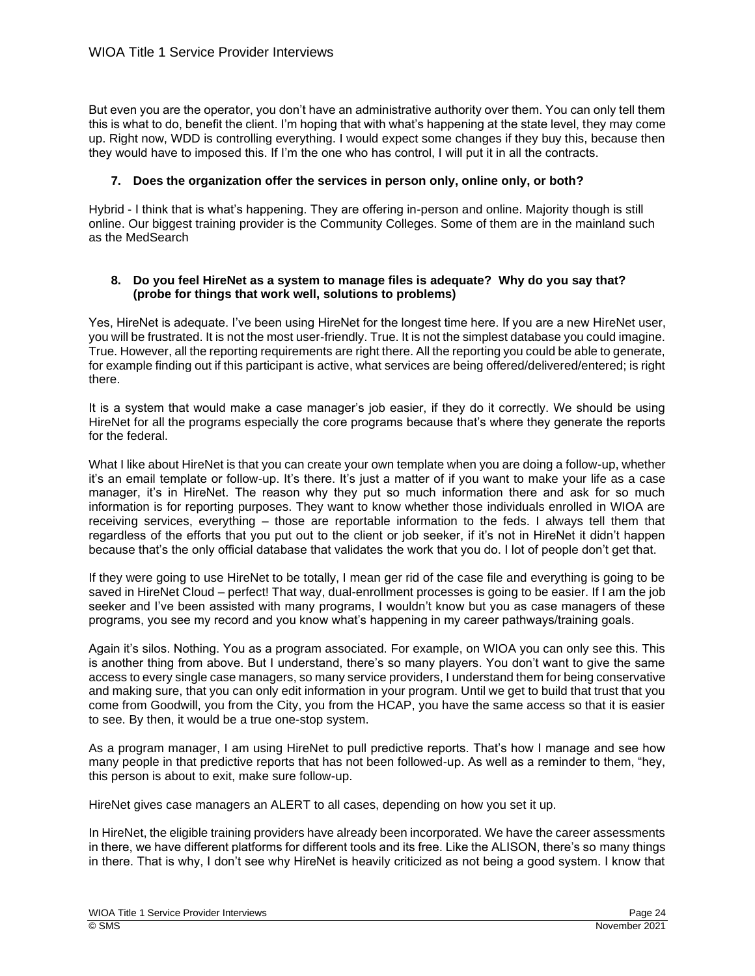But even you are the operator, you don't have an administrative authority over them. You can only tell them this is what to do, benefit the client. I'm hoping that with what's happening at the state level, they may come up. Right now, WDD is controlling everything. I would expect some changes if they buy this, because then they would have to imposed this. If I'm the one who has control, I will put it in all the contracts.

# **7. Does the organization offer the services in person only, online only, or both?**

Hybrid - I think that is what's happening. They are offering in-person and online. Majority though is still online. Our biggest training provider is the Community Colleges. Some of them are in the mainland such as the MedSearch

## **8. Do you feel HireNet as a system to manage files is adequate? Why do you say that? (probe for things that work well, solutions to problems)**

Yes, HireNet is adequate. I've been using HireNet for the longest time here. If you are a new HireNet user, you will be frustrated. It is not the most user-friendly. True. It is not the simplest database you could imagine. True. However, all the reporting requirements are right there. All the reporting you could be able to generate, for example finding out if this participant is active, what services are being offered/delivered/entered; is right there.

It is a system that would make a case manager's job easier, if they do it correctly. We should be using HireNet for all the programs especially the core programs because that's where they generate the reports for the federal.

What I like about HireNet is that you can create your own template when you are doing a follow-up, whether it's an email template or follow-up. It's there. It's just a matter of if you want to make your life as a case manager, it's in HireNet. The reason why they put so much information there and ask for so much information is for reporting purposes. They want to know whether those individuals enrolled in WIOA are receiving services, everything – those are reportable information to the feds. I always tell them that regardless of the efforts that you put out to the client or job seeker, if it's not in HireNet it didn't happen because that's the only official database that validates the work that you do. I lot of people don't get that.

If they were going to use HireNet to be totally, I mean ger rid of the case file and everything is going to be saved in HireNet Cloud – perfect! That way, dual-enrollment processes is going to be easier. If I am the job seeker and I've been assisted with many programs, I wouldn't know but you as case managers of these programs, you see my record and you know what's happening in my career pathways/training goals.

Again it's silos. Nothing. You as a program associated. For example, on WIOA you can only see this. This is another thing from above. But I understand, there's so many players. You don't want to give the same access to every single case managers, so many service providers, I understand them for being conservative and making sure, that you can only edit information in your program. Until we get to build that trust that you come from Goodwill, you from the City, you from the HCAP, you have the same access so that it is easier to see. By then, it would be a true one-stop system.

As a program manager, I am using HireNet to pull predictive reports. That's how I manage and see how many people in that predictive reports that has not been followed-up. As well as a reminder to them, "hey, this person is about to exit, make sure follow-up.

HireNet gives case managers an ALERT to all cases, depending on how you set it up.

In HireNet, the eligible training providers have already been incorporated. We have the career assessments in there, we have different platforms for different tools and its free. Like the ALISON, there's so many things in there. That is why, I don't see why HireNet is heavily criticized as not being a good system. I know that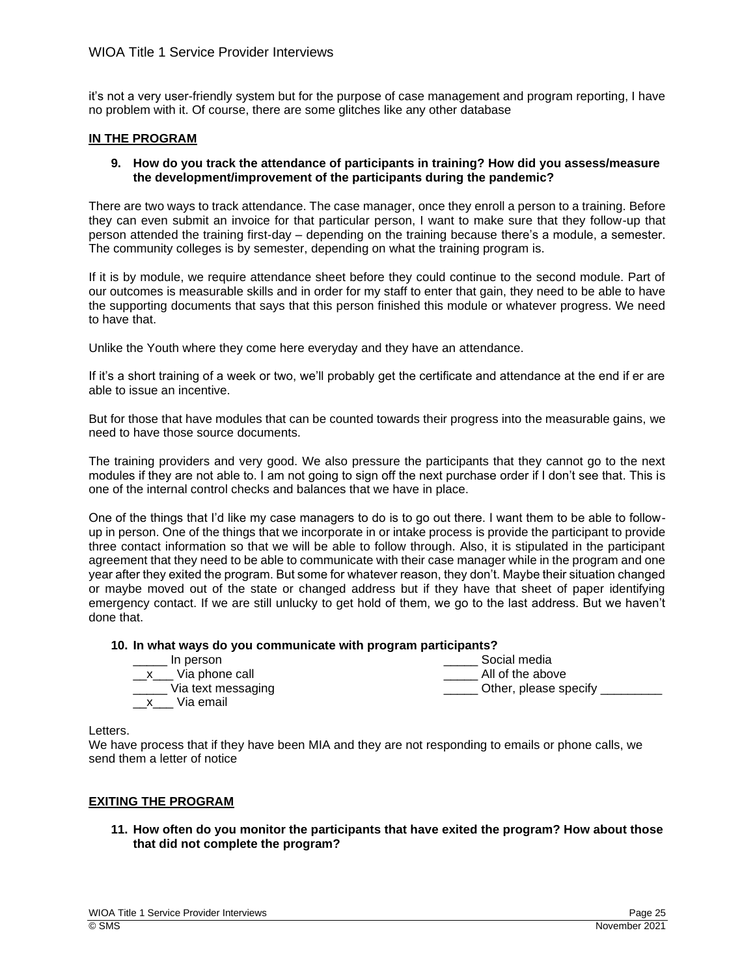it's not a very user-friendly system but for the purpose of case management and program reporting, I have no problem with it. Of course, there are some glitches like any other database

## **IN THE PROGRAM**

## **9. How do you track the attendance of participants in training? How did you assess/measure the development/improvement of the participants during the pandemic?**

There are two ways to track attendance. The case manager, once they enroll a person to a training. Before they can even submit an invoice for that particular person, I want to make sure that they follow-up that person attended the training first-day – depending on the training because there's a module, a semester. The community colleges is by semester, depending on what the training program is.

If it is by module, we require attendance sheet before they could continue to the second module. Part of our outcomes is measurable skills and in order for my staff to enter that gain, they need to be able to have the supporting documents that says that this person finished this module or whatever progress. We need to have that.

Unlike the Youth where they come here everyday and they have an attendance.

If it's a short training of a week or two, we'll probably get the certificate and attendance at the end if er are able to issue an incentive.

But for those that have modules that can be counted towards their progress into the measurable gains, we need to have those source documents.

The training providers and very good. We also pressure the participants that they cannot go to the next modules if they are not able to. I am not going to sign off the next purchase order if I don't see that. This is one of the internal control checks and balances that we have in place.

One of the things that I'd like my case managers to do is to go out there. I want them to be able to followup in person. One of the things that we incorporate in or intake process is provide the participant to provide three contact information so that we will be able to follow through. Also, it is stipulated in the participant agreement that they need to be able to communicate with their case manager while in the program and one year after they exited the program. But some for whatever reason, they don't. Maybe their situation changed or maybe moved out of the state or changed address but if they have that sheet of paper identifying emergency contact. If we are still unlucky to get hold of them, we go to the last address. But we haven't done that.

# **10. In what ways do you communicate with program participants?**

| In person             | Social media          |
|-----------------------|-----------------------|
| __x___ Via phone call | All of the above      |
| Via text messaging    | Other, please specify |
| Via email             |                       |

Letters.

We have process that if they have been MIA and they are not responding to emails or phone calls, we send them a letter of notice

## **EXITING THE PROGRAM**

**11. How often do you monitor the participants that have exited the program? How about those that did not complete the program?**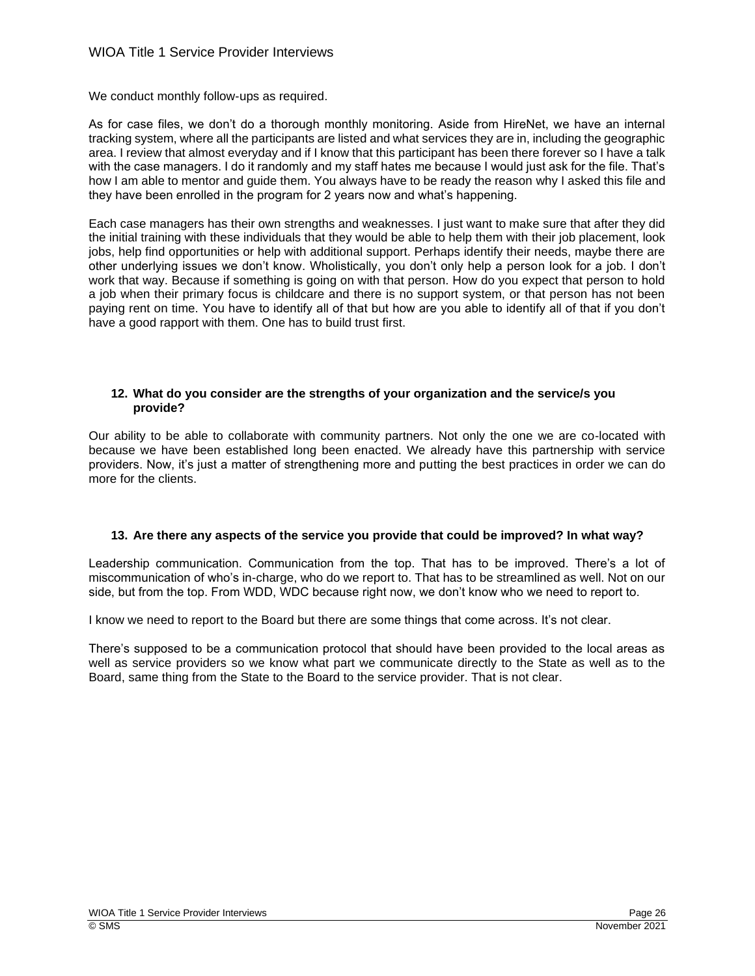We conduct monthly follow-ups as required.

As for case files, we don't do a thorough monthly monitoring. Aside from HireNet, we have an internal tracking system, where all the participants are listed and what services they are in, including the geographic area. I review that almost everyday and if I know that this participant has been there forever so I have a talk with the case managers. I do it randomly and my staff hates me because I would just ask for the file. That's how I am able to mentor and guide them. You always have to be ready the reason why I asked this file and they have been enrolled in the program for 2 years now and what's happening.

Each case managers has their own strengths and weaknesses. I just want to make sure that after they did the initial training with these individuals that they would be able to help them with their job placement, look jobs, help find opportunities or help with additional support. Perhaps identify their needs, maybe there are other underlying issues we don't know. Wholistically, you don't only help a person look for a job. I don't work that way. Because if something is going on with that person. How do you expect that person to hold a job when their primary focus is childcare and there is no support system, or that person has not been paying rent on time. You have to identify all of that but how are you able to identify all of that if you don't have a good rapport with them. One has to build trust first.

## **12. What do you consider are the strengths of your organization and the service/s you provide?**

Our ability to be able to collaborate with community partners. Not only the one we are co-located with because we have been established long been enacted. We already have this partnership with service providers. Now, it's just a matter of strengthening more and putting the best practices in order we can do more for the clients.

# **13. Are there any aspects of the service you provide that could be improved? In what way?**

Leadership communication. Communication from the top. That has to be improved. There's a lot of miscommunication of who's in-charge, who do we report to. That has to be streamlined as well. Not on our side, but from the top. From WDD, WDC because right now, we don't know who we need to report to.

I know we need to report to the Board but there are some things that come across. It's not clear.

There's supposed to be a communication protocol that should have been provided to the local areas as well as service providers so we know what part we communicate directly to the State as well as to the Board, same thing from the State to the Board to the service provider. That is not clear.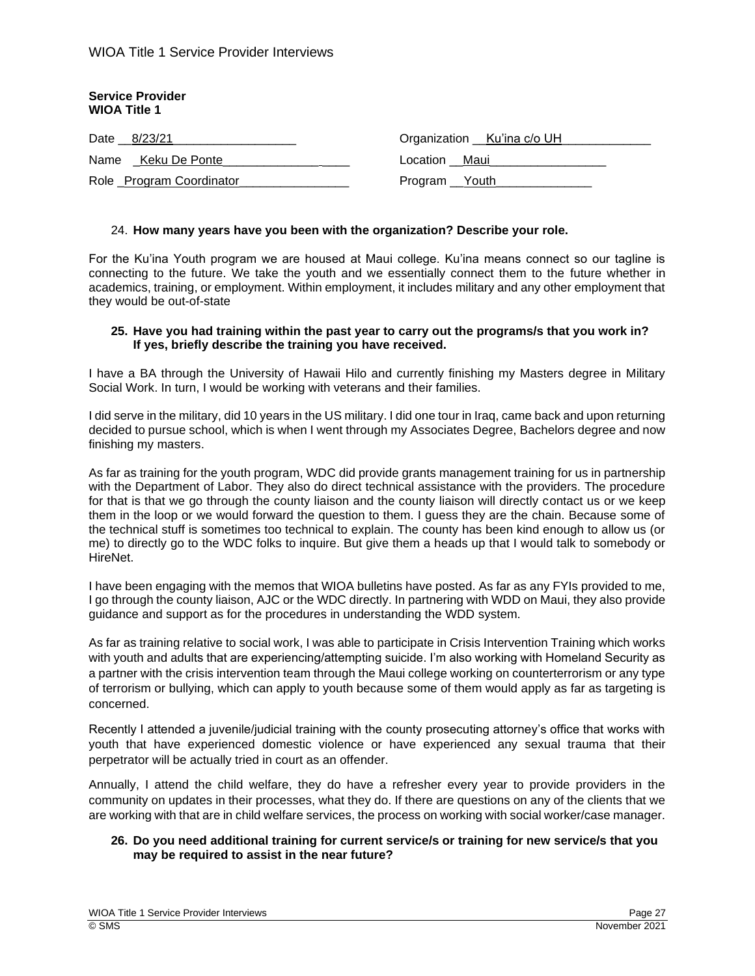| <b>Service Provider</b><br><b>WIOA Title 1</b> |                              |
|------------------------------------------------|------------------------------|
| Date 8/23/21                                   | Organization __Ku'ina c/o UH |
| Name Keku De Ponte                             | Location Maui                |
| Role Program Coordinator                       | Program Youth                |

## 24. **How many years have you been with the organization? Describe your role.**

For the Ku'ina Youth program we are housed at Maui college. Ku'ina means connect so our tagline is connecting to the future. We take the youth and we essentially connect them to the future whether in academics, training, or employment. Within employment, it includes military and any other employment that they would be out-of-state

#### **25. Have you had training within the past year to carry out the programs/s that you work in? If yes, briefly describe the training you have received.**

I have a BA through the University of Hawaii Hilo and currently finishing my Masters degree in Military Social Work. In turn, I would be working with veterans and their families.

I did serve in the military, did 10 years in the US military. I did one tour in Iraq, came back and upon returning decided to pursue school, which is when I went through my Associates Degree, Bachelors degree and now finishing my masters.

As far as training for the youth program, WDC did provide grants management training for us in partnership with the Department of Labor. They also do direct technical assistance with the providers. The procedure for that is that we go through the county liaison and the county liaison will directly contact us or we keep them in the loop or we would forward the question to them. I guess they are the chain. Because some of the technical stuff is sometimes too technical to explain. The county has been kind enough to allow us (or me) to directly go to the WDC folks to inquire. But give them a heads up that I would talk to somebody or HireNet.

I have been engaging with the memos that WIOA bulletins have posted. As far as any FYIs provided to me, I go through the county liaison, AJC or the WDC directly. In partnering with WDD on Maui, they also provide guidance and support as for the procedures in understanding the WDD system.

As far as training relative to social work, I was able to participate in Crisis Intervention Training which works with youth and adults that are experiencing/attempting suicide. I'm also working with Homeland Security as a partner with the crisis intervention team through the Maui college working on counterterrorism or any type of terrorism or bullying, which can apply to youth because some of them would apply as far as targeting is concerned.

Recently I attended a juvenile/judicial training with the county prosecuting attorney's office that works with youth that have experienced domestic violence or have experienced any sexual trauma that their perpetrator will be actually tried in court as an offender.

Annually, I attend the child welfare, they do have a refresher every year to provide providers in the community on updates in their processes, what they do. If there are questions on any of the clients that we are working with that are in child welfare services, the process on working with social worker/case manager.

# **26. Do you need additional training for current service/s or training for new service/s that you may be required to assist in the near future?**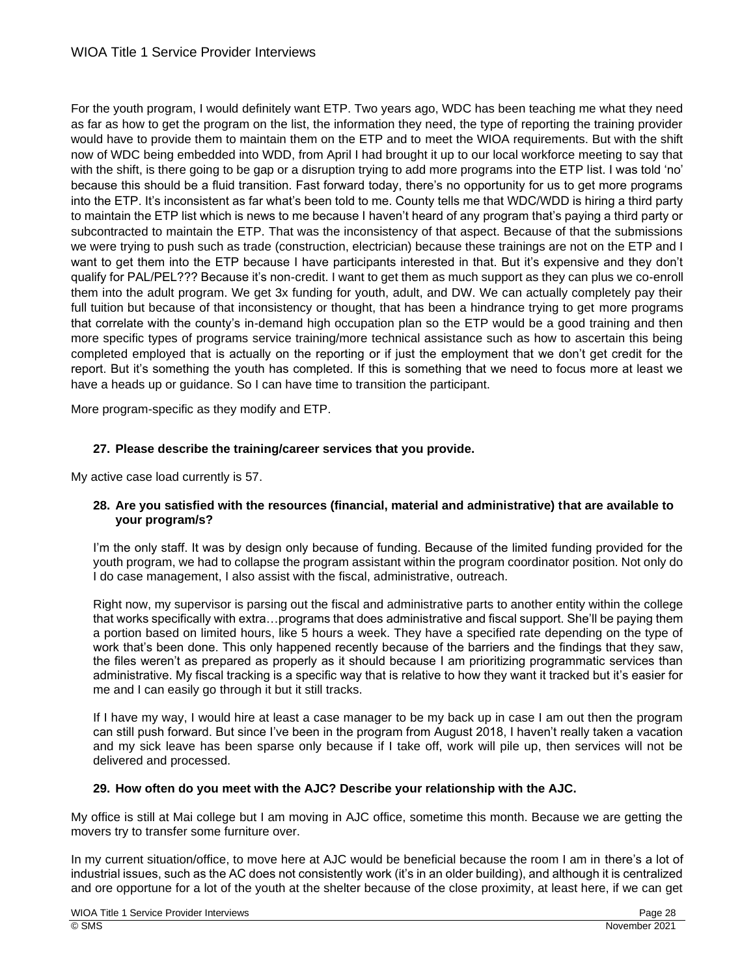For the youth program, I would definitely want ETP. Two years ago, WDC has been teaching me what they need as far as how to get the program on the list, the information they need, the type of reporting the training provider would have to provide them to maintain them on the ETP and to meet the WIOA requirements. But with the shift now of WDC being embedded into WDD, from April I had brought it up to our local workforce meeting to say that with the shift, is there going to be gap or a disruption trying to add more programs into the ETP list. I was told 'no' because this should be a fluid transition. Fast forward today, there's no opportunity for us to get more programs into the ETP. It's inconsistent as far what's been told to me. County tells me that WDC/WDD is hiring a third party to maintain the ETP list which is news to me because I haven't heard of any program that's paying a third party or subcontracted to maintain the ETP. That was the inconsistency of that aspect. Because of that the submissions we were trying to push such as trade (construction, electrician) because these trainings are not on the ETP and I want to get them into the ETP because I have participants interested in that. But it's expensive and they don't qualify for PAL/PEL??? Because it's non-credit. I want to get them as much support as they can plus we co-enroll them into the adult program. We get 3x funding for youth, adult, and DW. We can actually completely pay their full tuition but because of that inconsistency or thought, that has been a hindrance trying to get more programs that correlate with the county's in-demand high occupation plan so the ETP would be a good training and then more specific types of programs service training/more technical assistance such as how to ascertain this being completed employed that is actually on the reporting or if just the employment that we don't get credit for the report. But it's something the youth has completed. If this is something that we need to focus more at least we have a heads up or guidance. So I can have time to transition the participant.

More program-specific as they modify and ETP.

# **27. Please describe the training/career services that you provide.**

My active case load currently is 57.

# **28. Are you satisfied with the resources (financial, material and administrative) that are available to your program/s?**

I'm the only staff. It was by design only because of funding. Because of the limited funding provided for the youth program, we had to collapse the program assistant within the program coordinator position. Not only do I do case management, I also assist with the fiscal, administrative, outreach.

Right now, my supervisor is parsing out the fiscal and administrative parts to another entity within the college that works specifically with extra…programs that does administrative and fiscal support. She'll be paying them a portion based on limited hours, like 5 hours a week. They have a specified rate depending on the type of work that's been done. This only happened recently because of the barriers and the findings that they saw, the files weren't as prepared as properly as it should because I am prioritizing programmatic services than administrative. My fiscal tracking is a specific way that is relative to how they want it tracked but it's easier for me and I can easily go through it but it still tracks.

If I have my way, I would hire at least a case manager to be my back up in case I am out then the program can still push forward. But since I've been in the program from August 2018, I haven't really taken a vacation and my sick leave has been sparse only because if I take off, work will pile up, then services will not be delivered and processed.

# **29. How often do you meet with the AJC? Describe your relationship with the AJC.**

My office is still at Mai college but I am moving in AJC office, sometime this month. Because we are getting the movers try to transfer some furniture over.

In my current situation/office, to move here at AJC would be beneficial because the room I am in there's a lot of industrial issues, such as the AC does not consistently work (it's in an older building), and although it is centralized and ore opportune for a lot of the youth at the shelter because of the close proximity, at least here, if we can get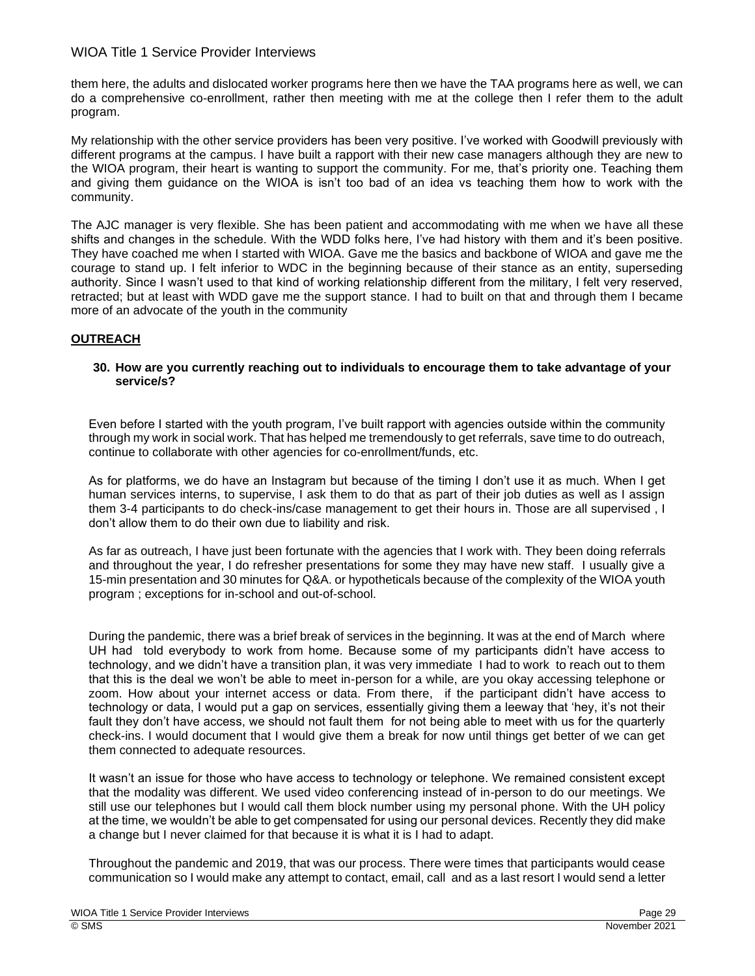them here, the adults and dislocated worker programs here then we have the TAA programs here as well, we can do a comprehensive co-enrollment, rather then meeting with me at the college then I refer them to the adult program.

My relationship with the other service providers has been very positive. I've worked with Goodwill previously with different programs at the campus. I have built a rapport with their new case managers although they are new to the WIOA program, their heart is wanting to support the community. For me, that's priority one. Teaching them and giving them guidance on the WIOA is isn't too bad of an idea vs teaching them how to work with the community.

The AJC manager is very flexible. She has been patient and accommodating with me when we have all these shifts and changes in the schedule. With the WDD folks here, I've had history with them and it's been positive. They have coached me when I started with WIOA. Gave me the basics and backbone of WIOA and gave me the courage to stand up. I felt inferior to WDC in the beginning because of their stance as an entity, superseding authority. Since I wasn't used to that kind of working relationship different from the military, I felt very reserved, retracted; but at least with WDD gave me the support stance. I had to built on that and through them I became more of an advocate of the youth in the community

# **OUTREACH**

## **30. How are you currently reaching out to individuals to encourage them to take advantage of your service/s?**

Even before I started with the youth program, I've built rapport with agencies outside within the community through my work in social work. That has helped me tremendously to get referrals, save time to do outreach, continue to collaborate with other agencies for co-enrollment/funds, etc.

As for platforms, we do have an Instagram but because of the timing I don't use it as much. When I get human services interns, to supervise, I ask them to do that as part of their job duties as well as I assign them 3-4 participants to do check-ins/case management to get their hours in. Those are all supervised , I don't allow them to do their own due to liability and risk.

As far as outreach, I have just been fortunate with the agencies that I work with. They been doing referrals and throughout the year, I do refresher presentations for some they may have new staff. I usually give a 15-min presentation and 30 minutes for Q&A. or hypotheticals because of the complexity of the WIOA youth program ; exceptions for in-school and out-of-school.

During the pandemic, there was a brief break of services in the beginning. It was at the end of March where UH had told everybody to work from home. Because some of my participants didn't have access to technology, and we didn't have a transition plan, it was very immediate I had to work to reach out to them that this is the deal we won't be able to meet in-person for a while, are you okay accessing telephone or zoom. How about your internet access or data. From there, if the participant didn't have access to technology or data, I would put a gap on services, essentially giving them a leeway that 'hey, it's not their fault they don't have access, we should not fault them for not being able to meet with us for the quarterly check-ins. I would document that I would give them a break for now until things get better of we can get them connected to adequate resources.

It wasn't an issue for those who have access to technology or telephone. We remained consistent except that the modality was different. We used video conferencing instead of in-person to do our meetings. We still use our telephones but I would call them block number using my personal phone. With the UH policy at the time, we wouldn't be able to get compensated for using our personal devices. Recently they did make a change but I never claimed for that because it is what it is I had to adapt.

Throughout the pandemic and 2019, that was our process. There were times that participants would cease communication so I would make any attempt to contact, email, call and as a last resort I would send a letter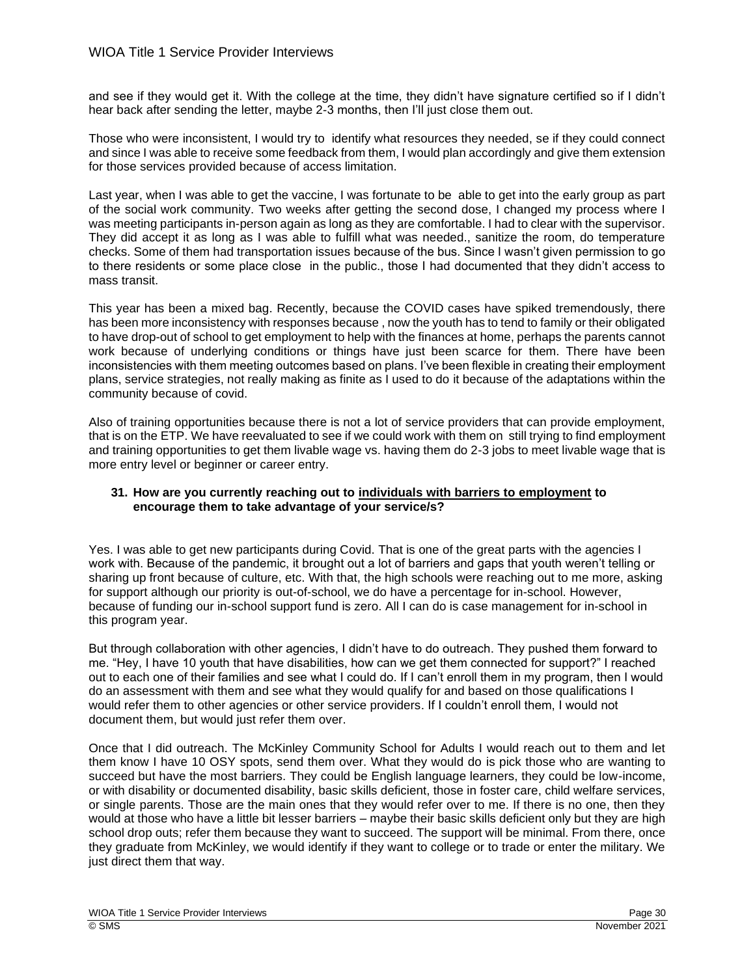and see if they would get it. With the college at the time, they didn't have signature certified so if I didn't hear back after sending the letter, maybe 2-3 months, then I'll just close them out.

Those who were inconsistent, I would try to identify what resources they needed, se if they could connect and since I was able to receive some feedback from them, I would plan accordingly and give them extension for those services provided because of access limitation.

Last year, when I was able to get the vaccine. I was fortunate to be able to get into the early group as part of the social work community. Two weeks after getting the second dose, I changed my process where I was meeting participants in-person again as long as they are comfortable. I had to clear with the supervisor. They did accept it as long as I was able to fulfill what was needed., sanitize the room, do temperature checks. Some of them had transportation issues because of the bus. Since I wasn't given permission to go to there residents or some place close in the public., those I had documented that they didn't access to mass transit.

This year has been a mixed bag. Recently, because the COVID cases have spiked tremendously, there has been more inconsistency with responses because , now the youth has to tend to family or their obligated to have drop-out of school to get employment to help with the finances at home, perhaps the parents cannot work because of underlying conditions or things have just been scarce for them. There have been inconsistencies with them meeting outcomes based on plans. I've been flexible in creating their employment plans, service strategies, not really making as finite as I used to do it because of the adaptations within the community because of covid.

Also of training opportunities because there is not a lot of service providers that can provide employment, that is on the ETP. We have reevaluated to see if we could work with them on still trying to find employment and training opportunities to get them livable wage vs. having them do 2-3 jobs to meet livable wage that is more entry level or beginner or career entry.

## **31. How are you currently reaching out to individuals with barriers to employment to encourage them to take advantage of your service/s?**

Yes. I was able to get new participants during Covid. That is one of the great parts with the agencies I work with. Because of the pandemic, it brought out a lot of barriers and gaps that youth weren't telling or sharing up front because of culture, etc. With that, the high schools were reaching out to me more, asking for support although our priority is out-of-school, we do have a percentage for in-school. However, because of funding our in-school support fund is zero. All I can do is case management for in-school in this program year.

But through collaboration with other agencies, I didn't have to do outreach. They pushed them forward to me. "Hey, I have 10 youth that have disabilities, how can we get them connected for support?" I reached out to each one of their families and see what I could do. If I can't enroll them in my program, then I would do an assessment with them and see what they would qualify for and based on those qualifications I would refer them to other agencies or other service providers. If I couldn't enroll them, I would not document them, but would just refer them over.

Once that I did outreach. The McKinley Community School for Adults I would reach out to them and let them know I have 10 OSY spots, send them over. What they would do is pick those who are wanting to succeed but have the most barriers. They could be English language learners, they could be low-income, or with disability or documented disability, basic skills deficient, those in foster care, child welfare services, or single parents. Those are the main ones that they would refer over to me. If there is no one, then they would at those who have a little bit lesser barriers – maybe their basic skills deficient only but they are high school drop outs; refer them because they want to succeed. The support will be minimal. From there, once they graduate from McKinley, we would identify if they want to college or to trade or enter the military. We just direct them that way.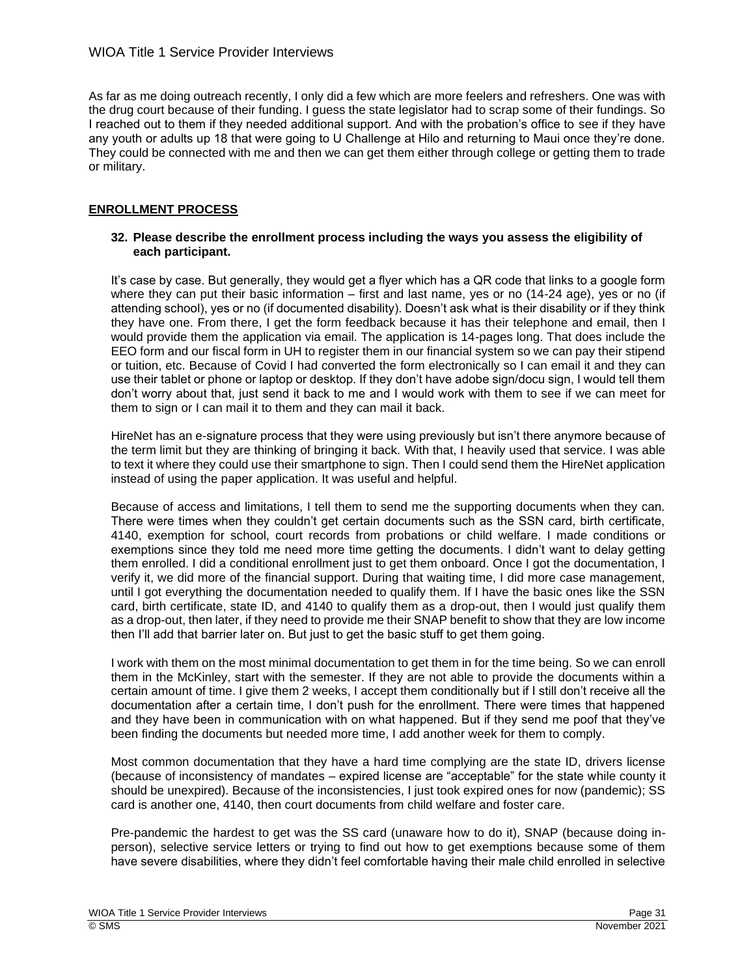As far as me doing outreach recently, I only did a few which are more feelers and refreshers. One was with the drug court because of their funding. I guess the state legislator had to scrap some of their fundings. So I reached out to them if they needed additional support. And with the probation's office to see if they have any youth or adults up 18 that were going to U Challenge at Hilo and returning to Maui once they're done. They could be connected with me and then we can get them either through college or getting them to trade or military.

# **ENROLLMENT PROCESS**

## **32. Please describe the enrollment process including the ways you assess the eligibility of each participant.**

It's case by case. But generally, they would get a flyer which has a QR code that links to a google form where they can put their basic information – first and last name, yes or no (14-24 age), yes or no (if attending school), yes or no (if documented disability). Doesn't ask what is their disability or if they think they have one. From there, I get the form feedback because it has their telephone and email, then I would provide them the application via email. The application is 14-pages long. That does include the EEO form and our fiscal form in UH to register them in our financial system so we can pay their stipend or tuition, etc. Because of Covid I had converted the form electronically so I can email it and they can use their tablet or phone or laptop or desktop. If they don't have adobe sign/docu sign, I would tell them don't worry about that, just send it back to me and I would work with them to see if we can meet for them to sign or I can mail it to them and they can mail it back.

HireNet has an e-signature process that they were using previously but isn't there anymore because of the term limit but they are thinking of bringing it back. With that, I heavily used that service. I was able to text it where they could use their smartphone to sign. Then I could send them the HireNet application instead of using the paper application. It was useful and helpful.

Because of access and limitations, I tell them to send me the supporting documents when they can. There were times when they couldn't get certain documents such as the SSN card, birth certificate, 4140, exemption for school, court records from probations or child welfare. I made conditions or exemptions since they told me need more time getting the documents. I didn't want to delay getting them enrolled. I did a conditional enrollment just to get them onboard. Once I got the documentation, I verify it, we did more of the financial support. During that waiting time, I did more case management, until I got everything the documentation needed to qualify them. If I have the basic ones like the SSN card, birth certificate, state ID, and 4140 to qualify them as a drop-out, then I would just qualify them as a drop-out, then later, if they need to provide me their SNAP benefit to show that they are low income then I'll add that barrier later on. But just to get the basic stuff to get them going.

I work with them on the most minimal documentation to get them in for the time being. So we can enroll them in the McKinley, start with the semester. If they are not able to provide the documents within a certain amount of time. I give them 2 weeks, I accept them conditionally but if I still don't receive all the documentation after a certain time, I don't push for the enrollment. There were times that happened and they have been in communication with on what happened. But if they send me poof that they've been finding the documents but needed more time, I add another week for them to comply.

Most common documentation that they have a hard time complying are the state ID, drivers license (because of inconsistency of mandates – expired license are "acceptable" for the state while county it should be unexpired). Because of the inconsistencies, I just took expired ones for now (pandemic); SS card is another one, 4140, then court documents from child welfare and foster care.

Pre-pandemic the hardest to get was the SS card (unaware how to do it), SNAP (because doing inperson), selective service letters or trying to find out how to get exemptions because some of them have severe disabilities, where they didn't feel comfortable having their male child enrolled in selective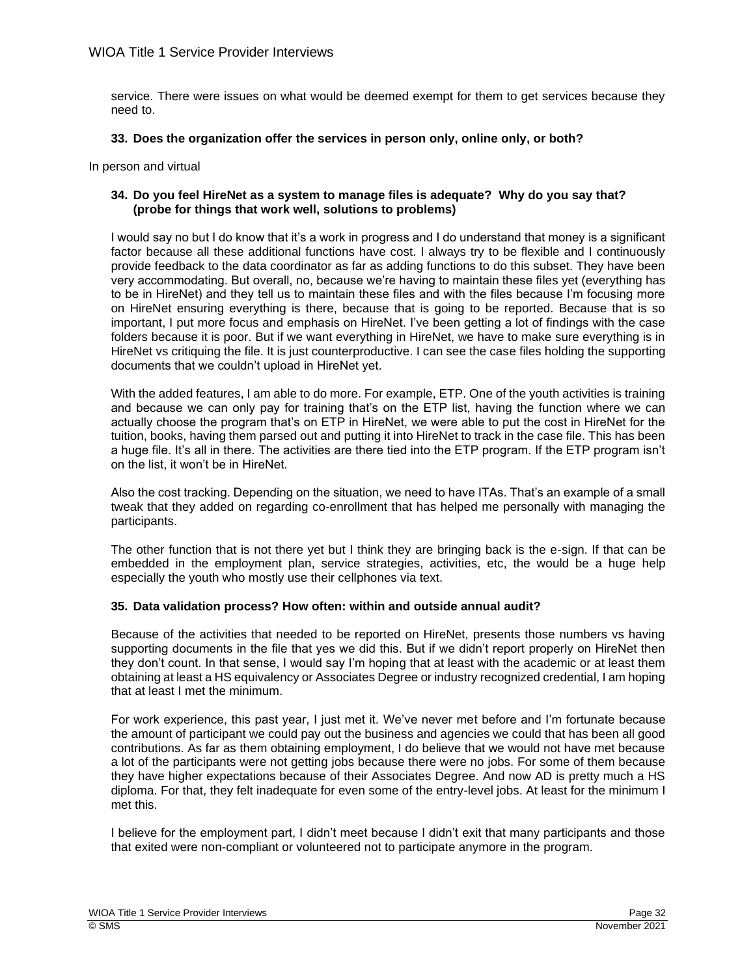service. There were issues on what would be deemed exempt for them to get services because they need to.

## **33. Does the organization offer the services in person only, online only, or both?**

In person and virtual

# **34. Do you feel HireNet as a system to manage files is adequate? Why do you say that? (probe for things that work well, solutions to problems)**

I would say no but I do know that it's a work in progress and I do understand that money is a significant factor because all these additional functions have cost. I always try to be flexible and I continuously provide feedback to the data coordinator as far as adding functions to do this subset. They have been very accommodating. But overall, no, because we're having to maintain these files yet (everything has to be in HireNet) and they tell us to maintain these files and with the files because I'm focusing more on HireNet ensuring everything is there, because that is going to be reported. Because that is so important, I put more focus and emphasis on HireNet. I've been getting a lot of findings with the case folders because it is poor. But if we want everything in HireNet, we have to make sure everything is in HireNet vs critiquing the file. It is just counterproductive. I can see the case files holding the supporting documents that we couldn't upload in HireNet yet.

With the added features, I am able to do more. For example, ETP. One of the youth activities is training and because we can only pay for training that's on the ETP list, having the function where we can actually choose the program that's on ETP in HireNet, we were able to put the cost in HireNet for the tuition, books, having them parsed out and putting it into HireNet to track in the case file. This has been a huge file. It's all in there. The activities are there tied into the ETP program. If the ETP program isn't on the list, it won't be in HireNet.

Also the cost tracking. Depending on the situation, we need to have ITAs. That's an example of a small tweak that they added on regarding co-enrollment that has helped me personally with managing the participants.

The other function that is not there yet but I think they are bringing back is the e-sign. If that can be embedded in the employment plan, service strategies, activities, etc, the would be a huge help especially the youth who mostly use their cellphones via text.

# **35. Data validation process? How often: within and outside annual audit?**

Because of the activities that needed to be reported on HireNet, presents those numbers vs having supporting documents in the file that yes we did this. But if we didn't report properly on HireNet then they don't count. In that sense, I would say I'm hoping that at least with the academic or at least them obtaining at least a HS equivalency or Associates Degree or industry recognized credential, I am hoping that at least I met the minimum.

For work experience, this past year, I just met it. We've never met before and I'm fortunate because the amount of participant we could pay out the business and agencies we could that has been all good contributions. As far as them obtaining employment, I do believe that we would not have met because a lot of the participants were not getting jobs because there were no jobs. For some of them because they have higher expectations because of their Associates Degree. And now AD is pretty much a HS diploma. For that, they felt inadequate for even some of the entry-level jobs. At least for the minimum I met this.

I believe for the employment part, I didn't meet because I didn't exit that many participants and those that exited were non-compliant or volunteered not to participate anymore in the program.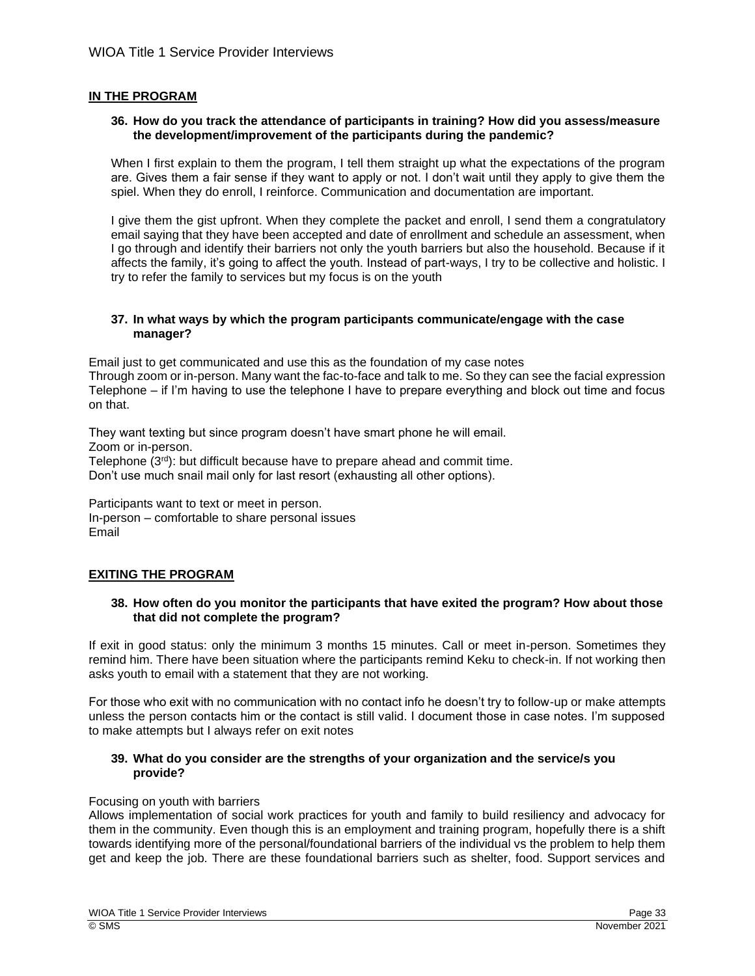## **IN THE PROGRAM**

#### **36. How do you track the attendance of participants in training? How did you assess/measure the development/improvement of the participants during the pandemic?**

When I first explain to them the program, I tell them straight up what the expectations of the program are. Gives them a fair sense if they want to apply or not. I don't wait until they apply to give them the spiel. When they do enroll, I reinforce. Communication and documentation are important.

I give them the gist upfront. When they complete the packet and enroll, I send them a congratulatory email saying that they have been accepted and date of enrollment and schedule an assessment, when I go through and identify their barriers not only the youth barriers but also the household. Because if it affects the family, it's going to affect the youth. Instead of part-ways, I try to be collective and holistic. I try to refer the family to services but my focus is on the youth

## **37. In what ways by which the program participants communicate/engage with the case manager?**

Email just to get communicated and use this as the foundation of my case notes Through zoom or in-person. Many want the fac-to-face and talk to me. So they can see the facial expression Telephone – if I'm having to use the telephone I have to prepare everything and block out time and focus on that.

They want texting but since program doesn't have smart phone he will email. Zoom or in-person. Telephone (3rd): but difficult because have to prepare ahead and commit time. Don't use much snail mail only for last resort (exhausting all other options).

Participants want to text or meet in person. In-person – comfortable to share personal issues Email

# **EXITING THE PROGRAM**

## **38. How often do you monitor the participants that have exited the program? How about those that did not complete the program?**

If exit in good status: only the minimum 3 months 15 minutes. Call or meet in-person. Sometimes they remind him. There have been situation where the participants remind Keku to check-in. If not working then asks youth to email with a statement that they are not working.

For those who exit with no communication with no contact info he doesn't try to follow-up or make attempts unless the person contacts him or the contact is still valid. I document those in case notes. I'm supposed to make attempts but I always refer on exit notes

## **39. What do you consider are the strengths of your organization and the service/s you provide?**

## Focusing on youth with barriers

Allows implementation of social work practices for youth and family to build resiliency and advocacy for them in the community. Even though this is an employment and training program, hopefully there is a shift towards identifying more of the personal/foundational barriers of the individual vs the problem to help them get and keep the job. There are these foundational barriers such as shelter, food. Support services and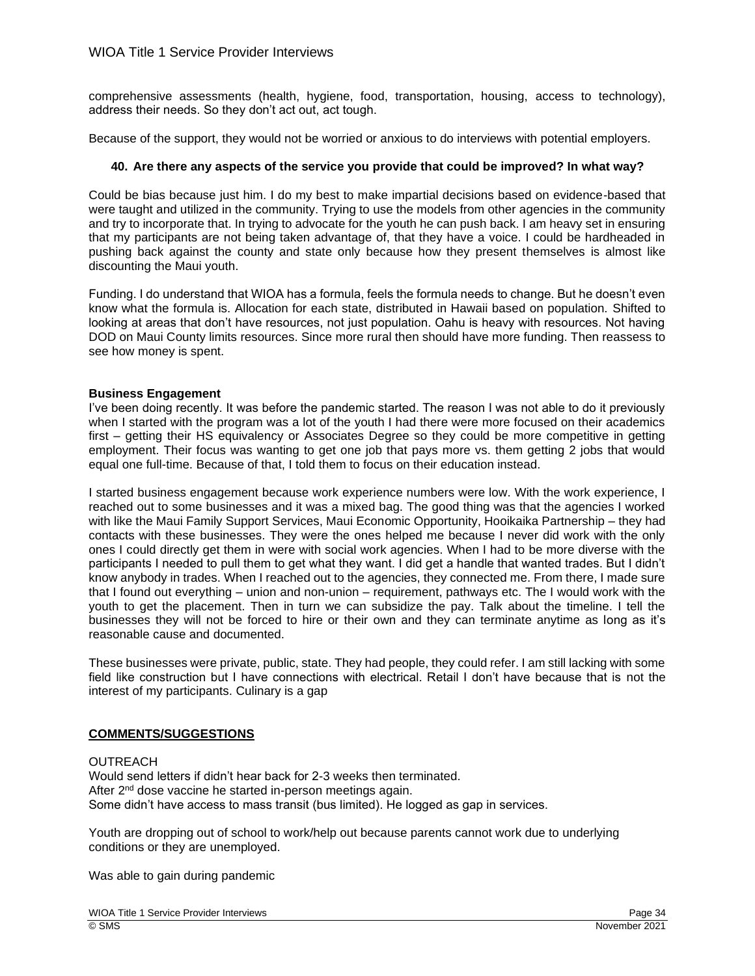comprehensive assessments (health, hygiene, food, transportation, housing, access to technology), address their needs. So they don't act out, act tough.

Because of the support, they would not be worried or anxious to do interviews with potential employers.

## **40. Are there any aspects of the service you provide that could be improved? In what way?**

Could be bias because just him. I do my best to make impartial decisions based on evidence-based that were taught and utilized in the community. Trying to use the models from other agencies in the community and try to incorporate that. In trying to advocate for the youth he can push back. I am heavy set in ensuring that my participants are not being taken advantage of, that they have a voice. I could be hardheaded in pushing back against the county and state only because how they present themselves is almost like discounting the Maui youth.

Funding. I do understand that WIOA has a formula, feels the formula needs to change. But he doesn't even know what the formula is. Allocation for each state, distributed in Hawaii based on population. Shifted to looking at areas that don't have resources, not just population. Oahu is heavy with resources. Not having DOD on Maui County limits resources. Since more rural then should have more funding. Then reassess to see how money is spent.

## **Business Engagement**

I've been doing recently. It was before the pandemic started. The reason I was not able to do it previously when I started with the program was a lot of the youth I had there were more focused on their academics first – getting their HS equivalency or Associates Degree so they could be more competitive in getting employment. Their focus was wanting to get one job that pays more vs. them getting 2 jobs that would equal one full-time. Because of that, I told them to focus on their education instead.

I started business engagement because work experience numbers were low. With the work experience, I reached out to some businesses and it was a mixed bag. The good thing was that the agencies I worked with like the Maui Family Support Services, Maui Economic Opportunity, Hooikaika Partnership – they had contacts with these businesses. They were the ones helped me because I never did work with the only ones I could directly get them in were with social work agencies. When I had to be more diverse with the participants I needed to pull them to get what they want. I did get a handle that wanted trades. But I didn't know anybody in trades. When I reached out to the agencies, they connected me. From there, I made sure that I found out everything – union and non-union – requirement, pathways etc. The I would work with the youth to get the placement. Then in turn we can subsidize the pay. Talk about the timeline. I tell the businesses they will not be forced to hire or their own and they can terminate anytime as long as it's reasonable cause and documented.

These businesses were private, public, state. They had people, they could refer. I am still lacking with some field like construction but I have connections with electrical. Retail I don't have because that is not the interest of my participants. Culinary is a gap

## **COMMENTS/SUGGESTIONS**

## **OUTREACH**

Would send letters if didn't hear back for 2-3 weeks then terminated. After 2<sup>nd</sup> dose vaccine he started in-person meetings again. Some didn't have access to mass transit (bus limited). He logged as gap in services.

Youth are dropping out of school to work/help out because parents cannot work due to underlying conditions or they are unemployed.

Was able to gain during pandemic

WIOA Title 1 Service Provider Interviews **Page 34** Service Provider Interviews **Page 34** Service Provider Interviews © SMS November 2021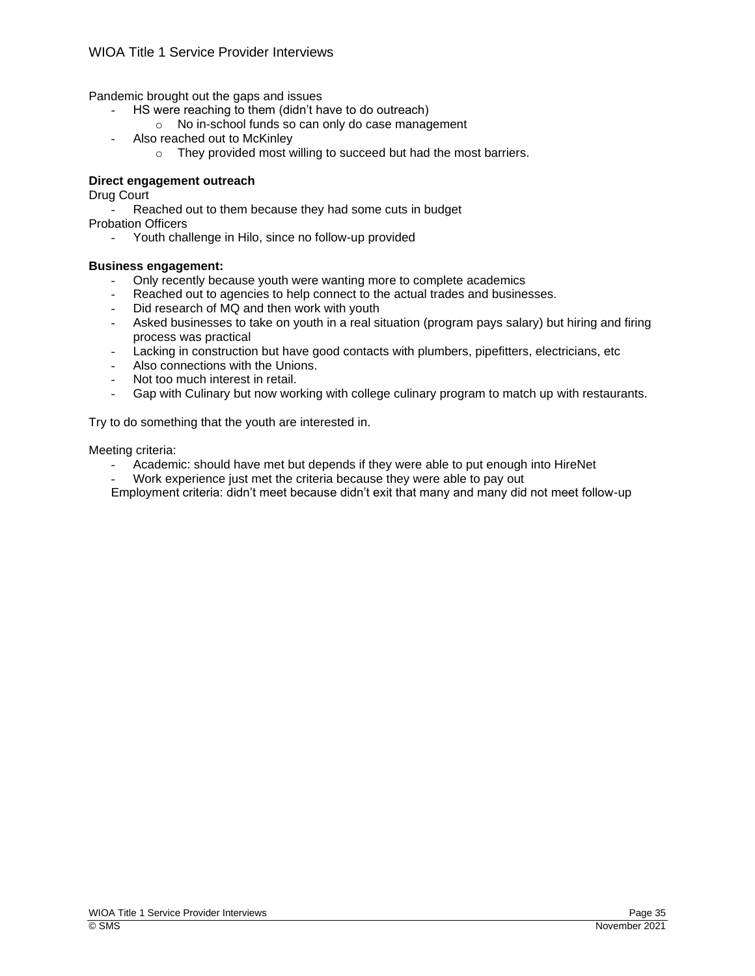Pandemic brought out the gaps and issues

- HS were reaching to them (didn't have to do outreach)
	- o No in-school funds so can only do case management
- Also reached out to McKinley
	- o They provided most willing to succeed but had the most barriers.

# **Direct engagement outreach**

Drug Court

Reached out to them because they had some cuts in budget Probation Officers

- Youth challenge in Hilo, since no follow-up provided

# **Business engagement:**

- Only recently because youth were wanting more to complete academics
- Reached out to agencies to help connect to the actual trades and businesses.
- Did research of MQ and then work with youth
- Asked businesses to take on youth in a real situation (program pays salary) but hiring and firing process was practical
- Lacking in construction but have good contacts with plumbers, pipefitters, electricians, etc
- Also connections with the Unions.
- Not too much interest in retail.
- Gap with Culinary but now working with college culinary program to match up with restaurants.

Try to do something that the youth are interested in.

Meeting criteria:

- Academic: should have met but depends if they were able to put enough into HireNet
- Work experience just met the criteria because they were able to pay out

Employment criteria: didn't meet because didn't exit that many and many did not meet follow-up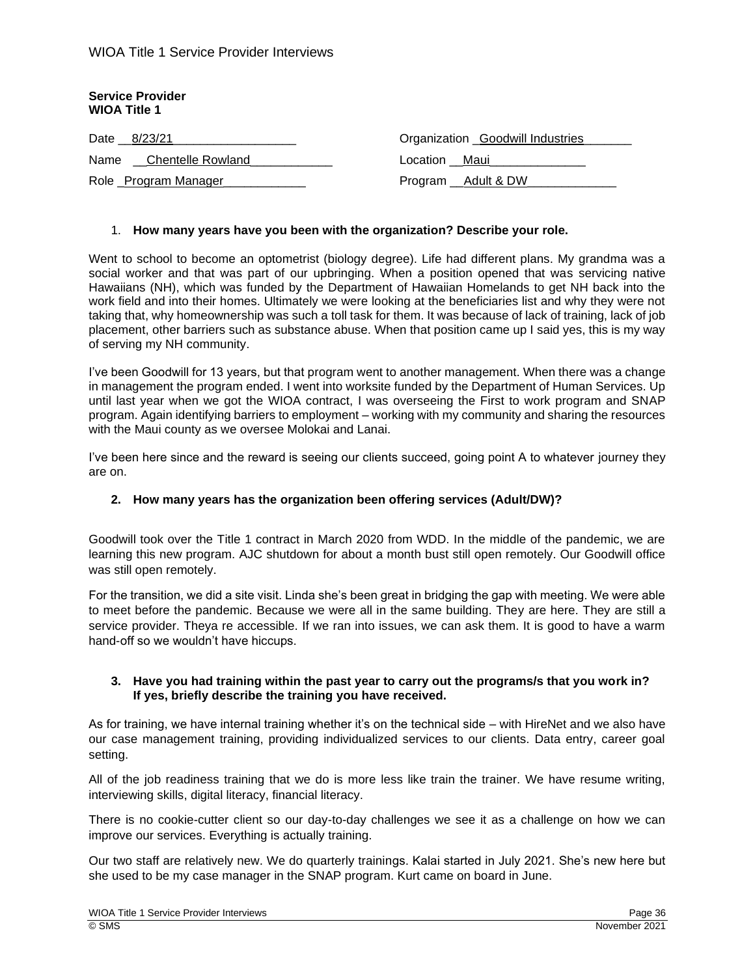| <b>Service Provider</b><br><b>WIOA Title 1</b> |                                  |  |
|------------------------------------------------|----------------------------------|--|
| Date 8/23/21                                   | Organization Goodwill Industries |  |
| <b>Chentelle Rowland</b><br>Name               | Location Maui                    |  |
| Role _Program Manager_                         | Program __ Adult & DW            |  |

#### 1. **How many years have you been with the organization? Describe your role.**

Went to school to become an optometrist (biology degree). Life had different plans. My grandma was a social worker and that was part of our upbringing. When a position opened that was servicing native Hawaiians (NH), which was funded by the Department of Hawaiian Homelands to get NH back into the work field and into their homes. Ultimately we were looking at the beneficiaries list and why they were not taking that, why homeownership was such a toll task for them. It was because of lack of training, lack of job placement, other barriers such as substance abuse. When that position came up I said yes, this is my way of serving my NH community.

I've been Goodwill for 13 years, but that program went to another management. When there was a change in management the program ended. I went into worksite funded by the Department of Human Services. Up until last year when we got the WIOA contract, I was overseeing the First to work program and SNAP program. Again identifying barriers to employment – working with my community and sharing the resources with the Maui county as we oversee Molokai and Lanai.

I've been here since and the reward is seeing our clients succeed, going point A to whatever journey they are on.

#### **2. How many years has the organization been offering services (Adult/DW)?**

Goodwill took over the Title 1 contract in March 2020 from WDD. In the middle of the pandemic, we are learning this new program. AJC shutdown for about a month bust still open remotely. Our Goodwill office was still open remotely.

For the transition, we did a site visit. Linda she's been great in bridging the gap with meeting. We were able to meet before the pandemic. Because we were all in the same building. They are here. They are still a service provider. Theya re accessible. If we ran into issues, we can ask them. It is good to have a warm hand-off so we wouldn't have hiccups.

## **3. Have you had training within the past year to carry out the programs/s that you work in? If yes, briefly describe the training you have received.**

As for training, we have internal training whether it's on the technical side – with HireNet and we also have our case management training, providing individualized services to our clients. Data entry, career goal setting.

All of the job readiness training that we do is more less like train the trainer. We have resume writing, interviewing skills, digital literacy, financial literacy.

There is no cookie-cutter client so our day-to-day challenges we see it as a challenge on how we can improve our services. Everything is actually training.

Our two staff are relatively new. We do quarterly trainings. Kalai started in July 2021. She's new here but she used to be my case manager in the SNAP program. Kurt came on board in June.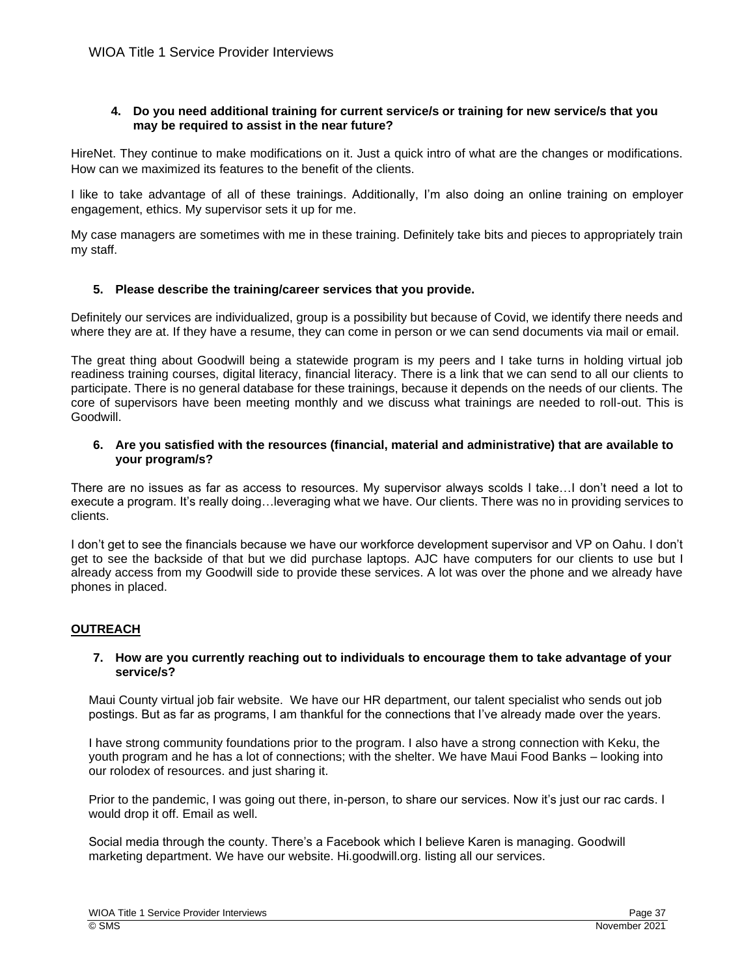# **4. Do you need additional training for current service/s or training for new service/s that you may be required to assist in the near future?**

HireNet. They continue to make modifications on it. Just a quick intro of what are the changes or modifications. How can we maximized its features to the benefit of the clients.

I like to take advantage of all of these trainings. Additionally, I'm also doing an online training on employer engagement, ethics. My supervisor sets it up for me.

My case managers are sometimes with me in these training. Definitely take bits and pieces to appropriately train my staff.

# **5. Please describe the training/career services that you provide.**

Definitely our services are individualized, group is a possibility but because of Covid, we identify there needs and where they are at. If they have a resume, they can come in person or we can send documents via mail or email.

The great thing about Goodwill being a statewide program is my peers and I take turns in holding virtual job readiness training courses, digital literacy, financial literacy. There is a link that we can send to all our clients to participate. There is no general database for these trainings, because it depends on the needs of our clients. The core of supervisors have been meeting monthly and we discuss what trainings are needed to roll-out. This is Goodwill.

# **6. Are you satisfied with the resources (financial, material and administrative) that are available to your program/s?**

There are no issues as far as access to resources. My supervisor always scolds I take…I don't need a lot to execute a program. It's really doing…leveraging what we have. Our clients. There was no in providing services to clients.

I don't get to see the financials because we have our workforce development supervisor and VP on Oahu. I don't get to see the backside of that but we did purchase laptops. AJC have computers for our clients to use but I already access from my Goodwill side to provide these services. A lot was over the phone and we already have phones in placed.

# **OUTREACH**

## **7. How are you currently reaching out to individuals to encourage them to take advantage of your service/s?**

Maui County virtual job fair website. We have our HR department, our talent specialist who sends out job postings. But as far as programs, I am thankful for the connections that I've already made over the years.

I have strong community foundations prior to the program. I also have a strong connection with Keku, the youth program and he has a lot of connections; with the shelter. We have Maui Food Banks – looking into our rolodex of resources. and just sharing it.

Prior to the pandemic, I was going out there, in-person, to share our services. Now it's just our rac cards. I would drop it off. Email as well.

Social media through the county. There's a Facebook which I believe Karen is managing. Goodwill marketing department. We have our website. Hi.goodwill.org. listing all our services.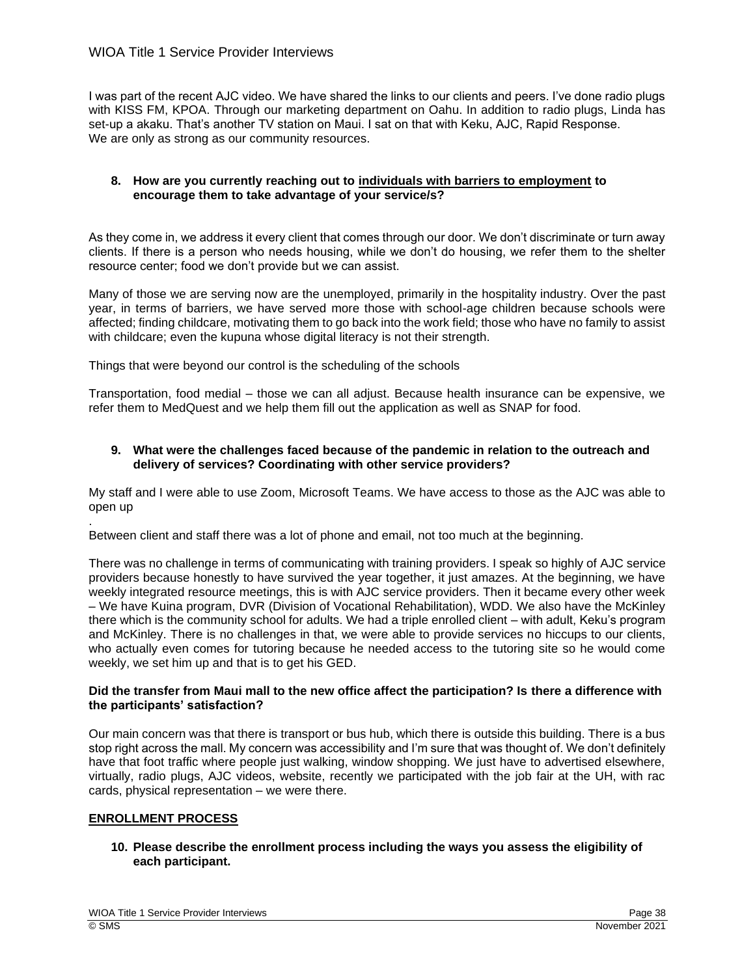I was part of the recent AJC video. We have shared the links to our clients and peers. I've done radio plugs with KISS FM, KPOA. Through our marketing department on Oahu. In addition to radio plugs, Linda has set-up a akaku. That's another TV station on Maui. I sat on that with Keku, AJC, Rapid Response. We are only as strong as our community resources.

## **8. How are you currently reaching out to individuals with barriers to employment to encourage them to take advantage of your service/s?**

As they come in, we address it every client that comes through our door. We don't discriminate or turn away clients. If there is a person who needs housing, while we don't do housing, we refer them to the shelter resource center; food we don't provide but we can assist.

Many of those we are serving now are the unemployed, primarily in the hospitality industry. Over the past year, in terms of barriers, we have served more those with school-age children because schools were affected; finding childcare, motivating them to go back into the work field; those who have no family to assist with childcare; even the kupuna whose digital literacy is not their strength.

Things that were beyond our control is the scheduling of the schools

Transportation, food medial – those we can all adjust. Because health insurance can be expensive, we refer them to MedQuest and we help them fill out the application as well as SNAP for food.

# **9. What were the challenges faced because of the pandemic in relation to the outreach and delivery of services? Coordinating with other service providers?**

My staff and I were able to use Zoom, Microsoft Teams. We have access to those as the AJC was able to open up

Between client and staff there was a lot of phone and email, not too much at the beginning.

There was no challenge in terms of communicating with training providers. I speak so highly of AJC service providers because honestly to have survived the year together, it just amazes. At the beginning, we have weekly integrated resource meetings, this is with AJC service providers. Then it became every other week – We have Kuina program, DVR (Division of Vocational Rehabilitation), WDD. We also have the McKinley there which is the community school for adults. We had a triple enrolled client – with adult, Keku's program and McKinley. There is no challenges in that, we were able to provide services no hiccups to our clients, who actually even comes for tutoring because he needed access to the tutoring site so he would come weekly, we set him up and that is to get his GED.

# **Did the transfer from Maui mall to the new office affect the participation? Is there a difference with the participants' satisfaction?**

Our main concern was that there is transport or bus hub, which there is outside this building. There is a bus stop right across the mall. My concern was accessibility and I'm sure that was thought of. We don't definitely have that foot traffic where people just walking, window shopping. We just have to advertised elsewhere, virtually, radio plugs, AJC videos, website, recently we participated with the job fair at the UH, with rac cards, physical representation – we were there.

# **ENROLLMENT PROCESS**

.

**10. Please describe the enrollment process including the ways you assess the eligibility of each participant.**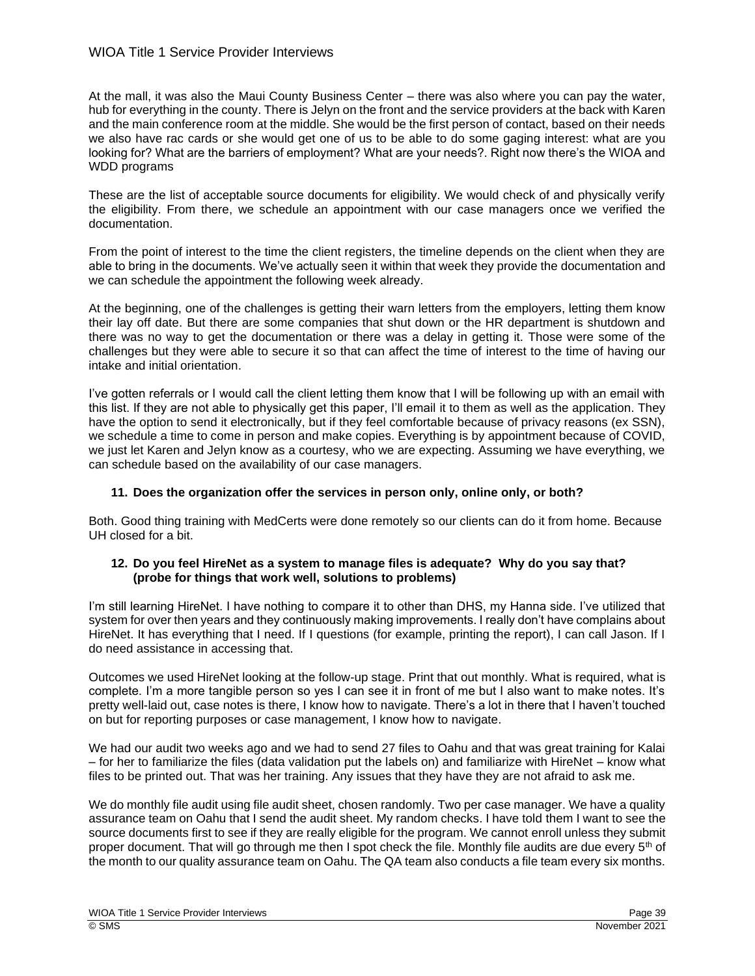At the mall, it was also the Maui County Business Center – there was also where you can pay the water, hub for everything in the county. There is Jelyn on the front and the service providers at the back with Karen and the main conference room at the middle. She would be the first person of contact, based on their needs we also have rac cards or she would get one of us to be able to do some gaging interest: what are you looking for? What are the barriers of employment? What are your needs?. Right now there's the WIOA and WDD programs

These are the list of acceptable source documents for eligibility. We would check of and physically verify the eligibility. From there, we schedule an appointment with our case managers once we verified the documentation.

From the point of interest to the time the client registers, the timeline depends on the client when they are able to bring in the documents. We've actually seen it within that week they provide the documentation and we can schedule the appointment the following week already.

At the beginning, one of the challenges is getting their warn letters from the employers, letting them know their lay off date. But there are some companies that shut down or the HR department is shutdown and there was no way to get the documentation or there was a delay in getting it. Those were some of the challenges but they were able to secure it so that can affect the time of interest to the time of having our intake and initial orientation.

I've gotten referrals or I would call the client letting them know that I will be following up with an email with this list. If they are not able to physically get this paper, I'll email it to them as well as the application. They have the option to send it electronically, but if they feel comfortable because of privacy reasons (ex SSN), we schedule a time to come in person and make copies. Everything is by appointment because of COVID, we just let Karen and Jelyn know as a courtesy, who we are expecting. Assuming we have everything, we can schedule based on the availability of our case managers.

## **11. Does the organization offer the services in person only, online only, or both?**

Both. Good thing training with MedCerts were done remotely so our clients can do it from home. Because UH closed for a bit.

# **12. Do you feel HireNet as a system to manage files is adequate? Why do you say that? (probe for things that work well, solutions to problems)**

I'm still learning HireNet. I have nothing to compare it to other than DHS, my Hanna side. I've utilized that system for over then years and they continuously making improvements. I really don't have complains about HireNet. It has everything that I need. If I questions (for example, printing the report), I can call Jason. If I do need assistance in accessing that.

Outcomes we used HireNet looking at the follow-up stage. Print that out monthly. What is required, what is complete. I'm a more tangible person so yes I can see it in front of me but I also want to make notes. It's pretty well-laid out, case notes is there, I know how to navigate. There's a lot in there that I haven't touched on but for reporting purposes or case management, I know how to navigate.

We had our audit two weeks ago and we had to send 27 files to Oahu and that was great training for Kalai – for her to familiarize the files (data validation put the labels on) and familiarize with HireNet – know what files to be printed out. That was her training. Any issues that they have they are not afraid to ask me.

We do monthly file audit using file audit sheet, chosen randomly. Two per case manager. We have a quality assurance team on Oahu that I send the audit sheet. My random checks. I have told them I want to see the source documents first to see if they are really eligible for the program. We cannot enroll unless they submit proper document. That will go through me then I spot check the file. Monthly file audits are due every 5<sup>th</sup> of the month to our quality assurance team on Oahu. The QA team also conducts a file team every six months.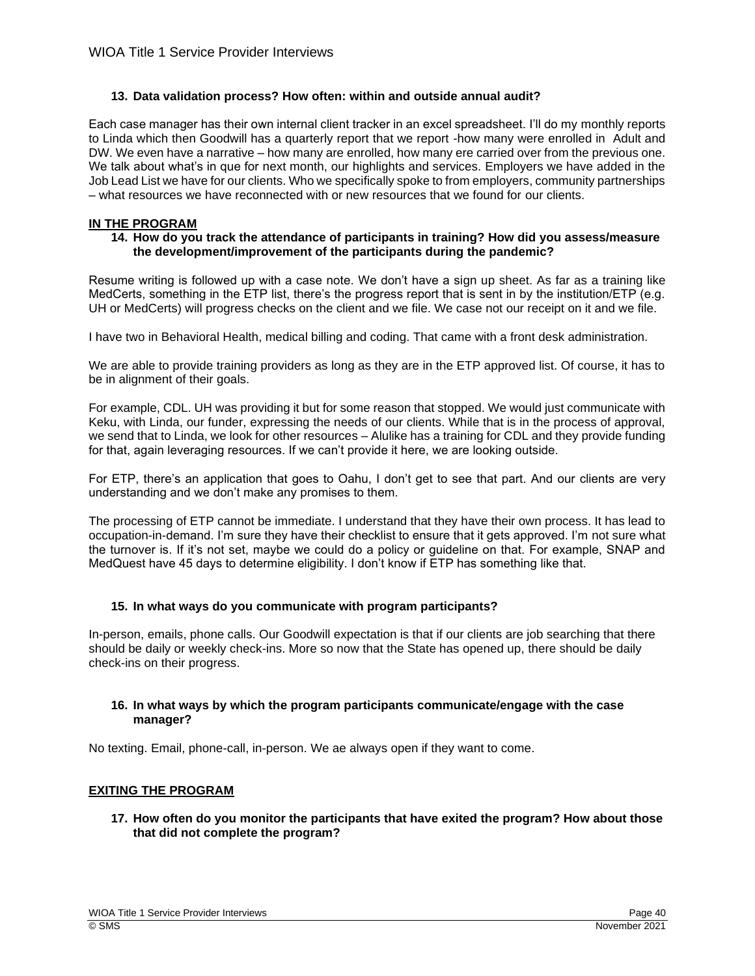# **13. Data validation process? How often: within and outside annual audit?**

Each case manager has their own internal client tracker in an excel spreadsheet. I'll do my monthly reports to Linda which then Goodwill has a quarterly report that we report -how many were enrolled in Adult and DW. We even have a narrative – how many are enrolled, how many ere carried over from the previous one. We talk about what's in que for next month, our highlights and services. Employers we have added in the Job Lead List we have for our clients. Who we specifically spoke to from employers, community partnerships – what resources we have reconnected with or new resources that we found for our clients.

# **IN THE PROGRAM**

## **14. How do you track the attendance of participants in training? How did you assess/measure the development/improvement of the participants during the pandemic?**

Resume writing is followed up with a case note. We don't have a sign up sheet. As far as a training like MedCerts, something in the ETP list, there's the progress report that is sent in by the institution/ETP (e.g. UH or MedCerts) will progress checks on the client and we file. We case not our receipt on it and we file.

I have two in Behavioral Health, medical billing and coding. That came with a front desk administration.

We are able to provide training providers as long as they are in the ETP approved list. Of course, it has to be in alignment of their goals.

For example, CDL. UH was providing it but for some reason that stopped. We would just communicate with Keku, with Linda, our funder, expressing the needs of our clients. While that is in the process of approval, we send that to Linda, we look for other resources – Alulike has a training for CDL and they provide funding for that, again leveraging resources. If we can't provide it here, we are looking outside.

For ETP, there's an application that goes to Oahu, I don't get to see that part. And our clients are very understanding and we don't make any promises to them.

The processing of ETP cannot be immediate. I understand that they have their own process. It has lead to occupation-in-demand. I'm sure they have their checklist to ensure that it gets approved. I'm not sure what the turnover is. If it's not set, maybe we could do a policy or guideline on that. For example, SNAP and MedQuest have 45 days to determine eligibility. I don't know if ETP has something like that.

## **15. In what ways do you communicate with program participants?**

In-person, emails, phone calls. Our Goodwill expectation is that if our clients are job searching that there should be daily or weekly check-ins. More so now that the State has opened up, there should be daily check-ins on their progress.

## **16. In what ways by which the program participants communicate/engage with the case manager?**

No texting. Email, phone-call, in-person. We ae always open if they want to come.

# **EXITING THE PROGRAM**

**17. How often do you monitor the participants that have exited the program? How about those that did not complete the program?**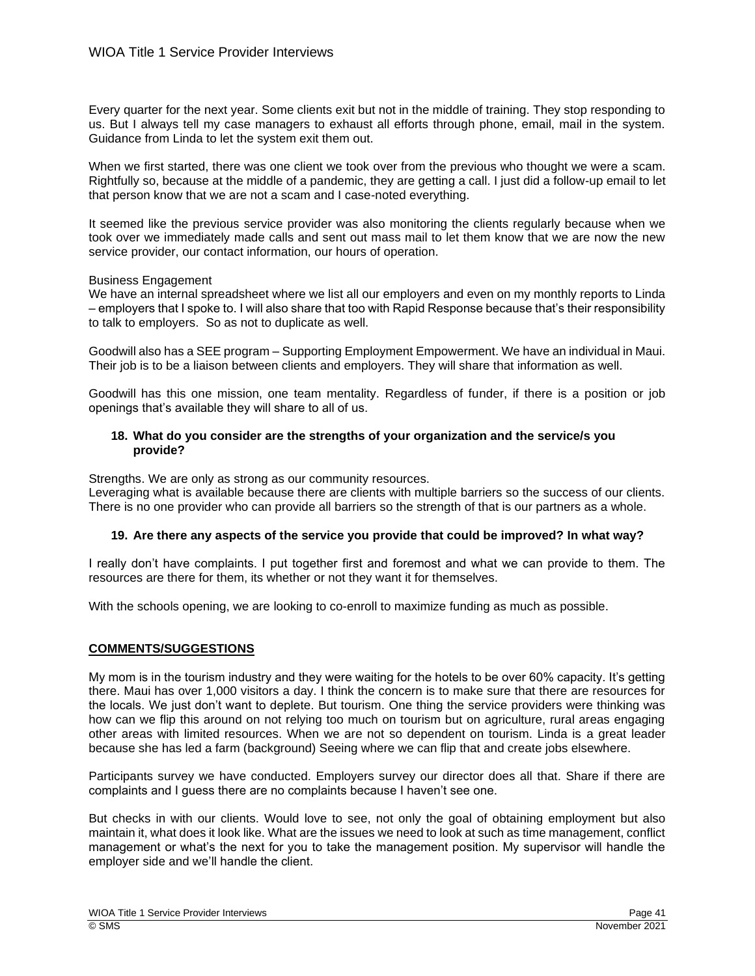Every quarter for the next year. Some clients exit but not in the middle of training. They stop responding to us. But I always tell my case managers to exhaust all efforts through phone, email, mail in the system. Guidance from Linda to let the system exit them out.

When we first started, there was one client we took over from the previous who thought we were a scam. Rightfully so, because at the middle of a pandemic, they are getting a call. I just did a follow-up email to let that person know that we are not a scam and I case-noted everything.

It seemed like the previous service provider was also monitoring the clients regularly because when we took over we immediately made calls and sent out mass mail to let them know that we are now the new service provider, our contact information, our hours of operation.

## Business Engagement

We have an internal spreadsheet where we list all our employers and even on my monthly reports to Linda – employers that I spoke to. I will also share that too with Rapid Response because that's their responsibility to talk to employers. So as not to duplicate as well.

Goodwill also has a SEE program – Supporting Employment Empowerment. We have an individual in Maui. Their job is to be a liaison between clients and employers. They will share that information as well.

Goodwill has this one mission, one team mentality. Regardless of funder, if there is a position or job openings that's available they will share to all of us.

#### **18. What do you consider are the strengths of your organization and the service/s you provide?**

Strengths. We are only as strong as our community resources.

Leveraging what is available because there are clients with multiple barriers so the success of our clients. There is no one provider who can provide all barriers so the strength of that is our partners as a whole.

## **19. Are there any aspects of the service you provide that could be improved? In what way?**

I really don't have complaints. I put together first and foremost and what we can provide to them. The resources are there for them, its whether or not they want it for themselves.

With the schools opening, we are looking to co-enroll to maximize funding as much as possible.

## **COMMENTS/SUGGESTIONS**

My mom is in the tourism industry and they were waiting for the hotels to be over 60% capacity. It's getting there. Maui has over 1,000 visitors a day. I think the concern is to make sure that there are resources for the locals. We just don't want to deplete. But tourism. One thing the service providers were thinking was how can we flip this around on not relying too much on tourism but on agriculture, rural areas engaging other areas with limited resources. When we are not so dependent on tourism. Linda is a great leader because she has led a farm (background) Seeing where we can flip that and create jobs elsewhere.

Participants survey we have conducted. Employers survey our director does all that. Share if there are complaints and I guess there are no complaints because I haven't see one.

But checks in with our clients. Would love to see, not only the goal of obtaining employment but also maintain it, what does it look like. What are the issues we need to look at such as time management, conflict management or what's the next for you to take the management position. My supervisor will handle the employer side and we'll handle the client.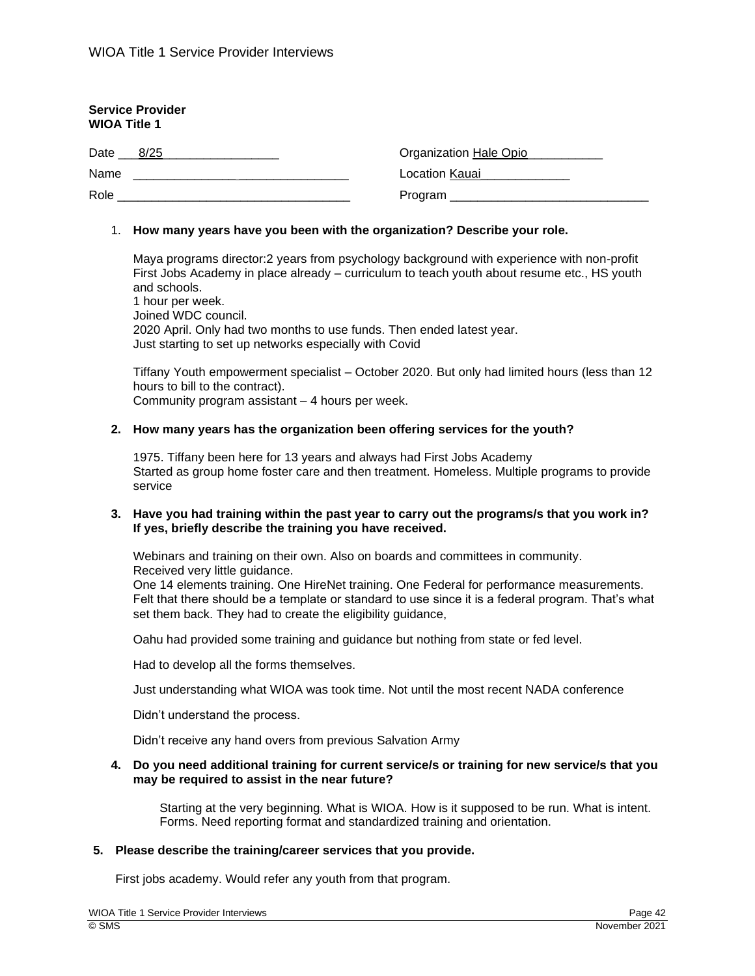| <b>Service Provider</b><br><b>WIOA Title 1</b> |                        |
|------------------------------------------------|------------------------|
| 8/25<br>Date                                   | Organization Hale Opio |
| Name                                           | Location Kauai         |
| Role                                           |                        |

## 1. **How many years have you been with the organization? Describe your role.**

Maya programs director:2 years from psychology background with experience with non-profit First Jobs Academy in place already – curriculum to teach youth about resume etc., HS youth and schools.

1 hour per week. Joined WDC council. 2020 April. Only had two months to use funds. Then ended latest year. Just starting to set up networks especially with Covid

Tiffany Youth empowerment specialist – October 2020. But only had limited hours (less than 12 hours to bill to the contract). Community program assistant – 4 hours per week.

#### **2. How many years has the organization been offering services for the youth?**

1975. Tiffany been here for 13 years and always had First Jobs Academy Started as group home foster care and then treatment. Homeless. Multiple programs to provide service

## **3. Have you had training within the past year to carry out the programs/s that you work in? If yes, briefly describe the training you have received.**

Webinars and training on their own. Also on boards and committees in community. Received very little guidance.

One 14 elements training. One HireNet training. One Federal for performance measurements. Felt that there should be a template or standard to use since it is a federal program. That's what set them back. They had to create the eligibility guidance,

Oahu had provided some training and guidance but nothing from state or fed level.

Had to develop all the forms themselves.

Just understanding what WIOA was took time. Not until the most recent NADA conference

Didn't understand the process.

Didn't receive any hand overs from previous Salvation Army

## **4. Do you need additional training for current service/s or training for new service/s that you may be required to assist in the near future?**

Starting at the very beginning. What is WIOA. How is it supposed to be run. What is intent. Forms. Need reporting format and standardized training and orientation.

## **5. Please describe the training/career services that you provide.**

First jobs academy. Would refer any youth from that program.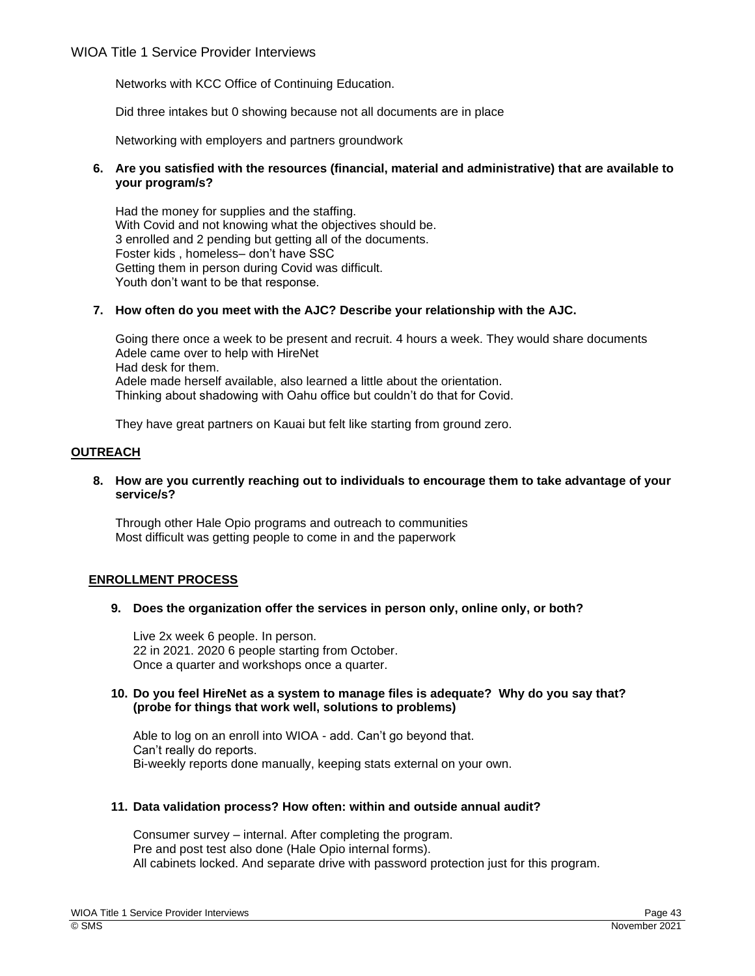Networks with KCC Office of Continuing Education.

Did three intakes but 0 showing because not all documents are in place

Networking with employers and partners groundwork

# **6. Are you satisfied with the resources (financial, material and administrative) that are available to your program/s?**

Had the money for supplies and the staffing. With Covid and not knowing what the objectives should be. 3 enrolled and 2 pending but getting all of the documents. Foster kids , homeless– don't have SSC Getting them in person during Covid was difficult. Youth don't want to be that response.

# **7. How often do you meet with the AJC? Describe your relationship with the AJC.**

Going there once a week to be present and recruit. 4 hours a week. They would share documents Adele came over to help with HireNet Had desk for them. Adele made herself available, also learned a little about the orientation. Thinking about shadowing with Oahu office but couldn't do that for Covid.

They have great partners on Kauai but felt like starting from ground zero.

# **OUTREACH**

## **8. How are you currently reaching out to individuals to encourage them to take advantage of your service/s?**

Through other Hale Opio programs and outreach to communities Most difficult was getting people to come in and the paperwork

# **ENROLLMENT PROCESS**

## **9. Does the organization offer the services in person only, online only, or both?**

Live 2x week 6 people. In person. 22 in 2021. 2020 6 people starting from October. Once a quarter and workshops once a quarter.

## **10. Do you feel HireNet as a system to manage files is adequate? Why do you say that? (probe for things that work well, solutions to problems)**

Able to log on an enroll into WIOA - add. Can't go beyond that. Can't really do reports. Bi-weekly reports done manually, keeping stats external on your own.

# **11. Data validation process? How often: within and outside annual audit?**

Consumer survey – internal. After completing the program. Pre and post test also done (Hale Opio internal forms). All cabinets locked. And separate drive with password protection just for this program.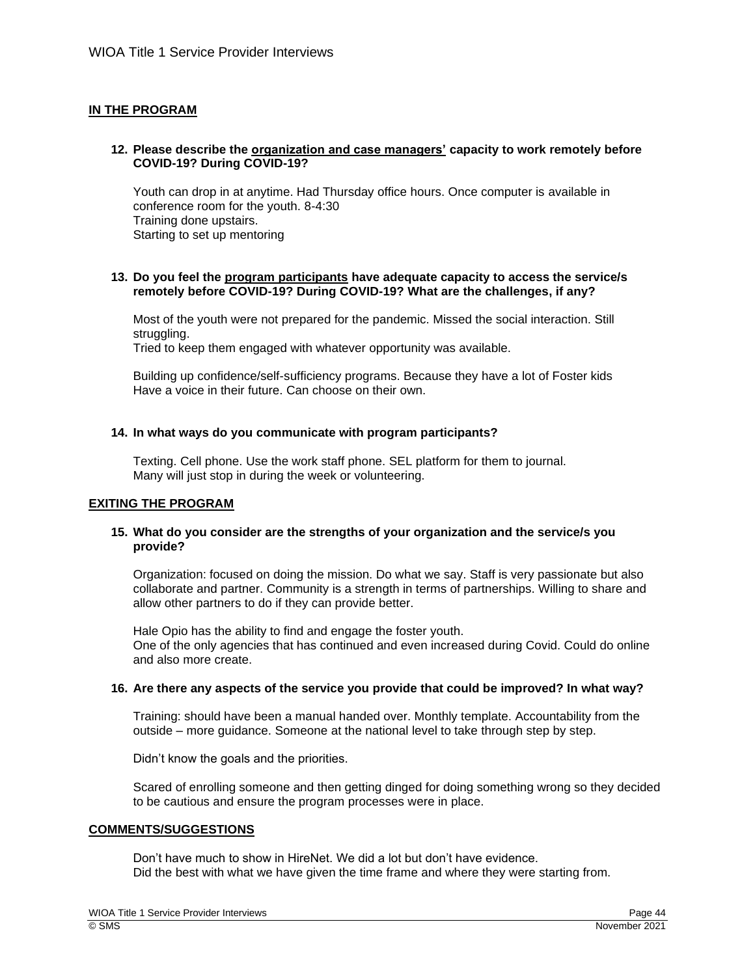# **IN THE PROGRAM**

## **12. Please describe the organization and case managers' capacity to work remotely before COVID-19? During COVID-19?**

Youth can drop in at anytime. Had Thursday office hours. Once computer is available in conference room for the youth. 8-4:30 Training done upstairs. Starting to set up mentoring

#### **13. Do you feel the program participants have adequate capacity to access the service/s remotely before COVID-19? During COVID-19? What are the challenges, if any?**

Most of the youth were not prepared for the pandemic. Missed the social interaction. Still struggling.

Tried to keep them engaged with whatever opportunity was available.

Building up confidence/self-sufficiency programs. Because they have a lot of Foster kids Have a voice in their future. Can choose on their own.

## **14. In what ways do you communicate with program participants?**

Texting. Cell phone. Use the work staff phone. SEL platform for them to journal. Many will just stop in during the week or volunteering.

## **EXITING THE PROGRAM**

## **15. What do you consider are the strengths of your organization and the service/s you provide?**

Organization: focused on doing the mission. Do what we say. Staff is very passionate but also collaborate and partner. Community is a strength in terms of partnerships. Willing to share and allow other partners to do if they can provide better.

Hale Opio has the ability to find and engage the foster youth. One of the only agencies that has continued and even increased during Covid. Could do online and also more create.

## **16. Are there any aspects of the service you provide that could be improved? In what way?**

Training: should have been a manual handed over. Monthly template. Accountability from the outside – more guidance. Someone at the national level to take through step by step.

Didn't know the goals and the priorities.

Scared of enrolling someone and then getting dinged for doing something wrong so they decided to be cautious and ensure the program processes were in place.

## **COMMENTS/SUGGESTIONS**

Don't have much to show in HireNet. We did a lot but don't have evidence. Did the best with what we have given the time frame and where they were starting from.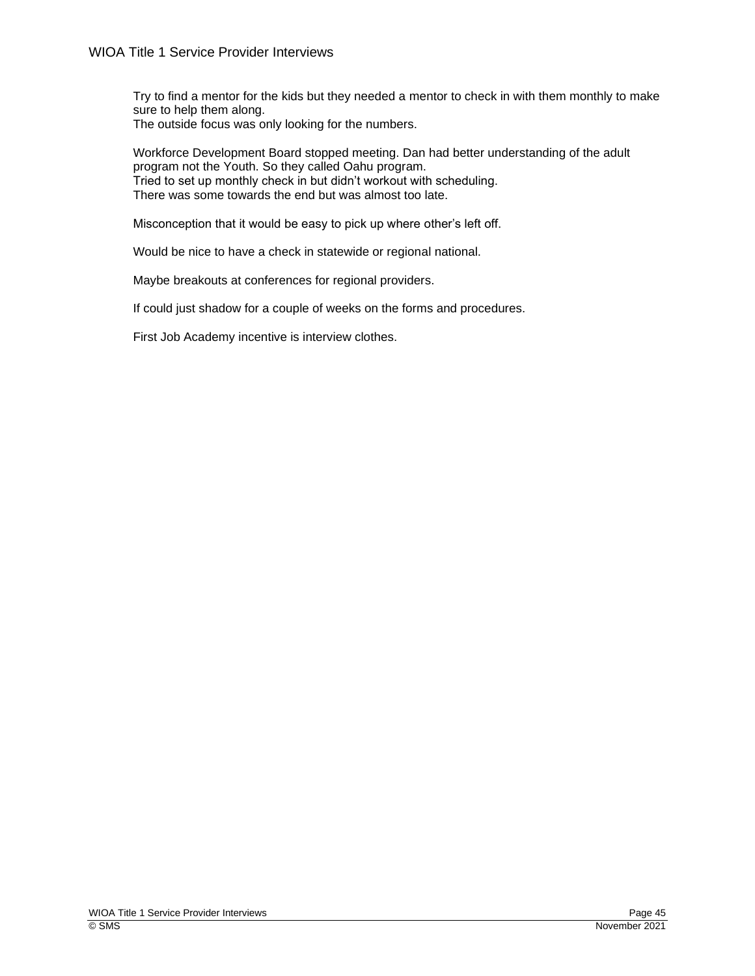Try to find a mentor for the kids but they needed a mentor to check in with them monthly to make sure to help them along. The outside focus was only looking for the numbers.

Workforce Development Board stopped meeting. Dan had better understanding of the adult program not the Youth. So they called Oahu program. Tried to set up monthly check in but didn't workout with scheduling. There was some towards the end but was almost too late.

Misconception that it would be easy to pick up where other's left off.

Would be nice to have a check in statewide or regional national.

Maybe breakouts at conferences for regional providers.

If could just shadow for a couple of weeks on the forms and procedures.

First Job Academy incentive is interview clothes.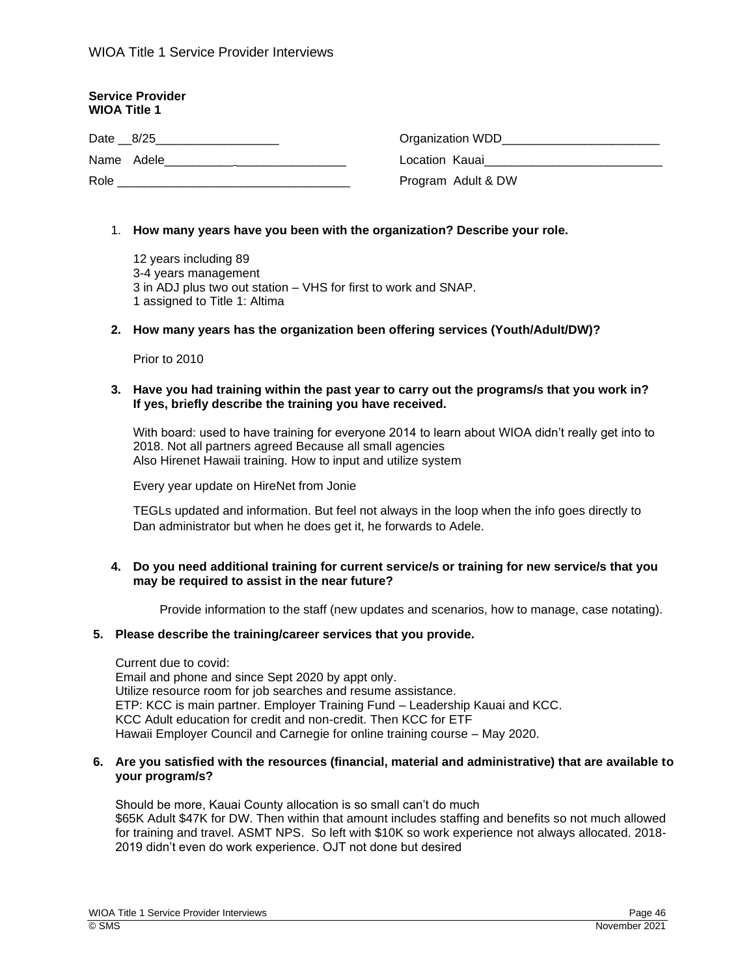| <b>Service Provider</b><br><b>WIOA Title 1</b>                |                                                                                                                                                                                                                                     |
|---------------------------------------------------------------|-------------------------------------------------------------------------------------------------------------------------------------------------------------------------------------------------------------------------------------|
| Date 8/25                                                     | Organization WDD                                                                                                                                                                                                                    |
| Name Adele<br>the contract of the contract of the contract of | Location Kauai <b>Alexander School School</b> School School School School School School School School School School School School School School School School School School School School School School School School School School |
| Role                                                          | Program Adult & DW                                                                                                                                                                                                                  |

## 1. **How many years have you been with the organization? Describe your role.**

12 years including 89 3-4 years management 3 in ADJ plus two out station – VHS for first to work and SNAP. 1 assigned to Title 1: Altima

## **2. How many years has the organization been offering services (Youth/Adult/DW)?**

Prior to 2010

## **3. Have you had training within the past year to carry out the programs/s that you work in? If yes, briefly describe the training you have received.**

With board: used to have training for everyone 2014 to learn about WIOA didn't really get into to 2018. Not all partners agreed Because all small agencies Also Hirenet Hawaii training. How to input and utilize system

Every year update on HireNet from Jonie

TEGLs updated and information. But feel not always in the loop when the info goes directly to Dan administrator but when he does get it, he forwards to Adele.

## **4. Do you need additional training for current service/s or training for new service/s that you may be required to assist in the near future?**

Provide information to the staff (new updates and scenarios, how to manage, case notating).

## **5. Please describe the training/career services that you provide.**

Current due to covid:

Email and phone and since Sept 2020 by appt only. Utilize resource room for job searches and resume assistance. ETP: KCC is main partner. Employer Training Fund – Leadership Kauai and KCC. KCC Adult education for credit and non-credit. Then KCC for ETF Hawaii Employer Council and Carnegie for online training course – May 2020.

## **6. Are you satisfied with the resources (financial, material and administrative) that are available to your program/s?**

Should be more, Kauai County allocation is so small can't do much \$65K Adult \$47K for DW. Then within that amount includes staffing and benefits so not much allowed for training and travel. ASMT NPS. So left with \$10K so work experience not always allocated. 2018- 2019 didn't even do work experience. OJT not done but desired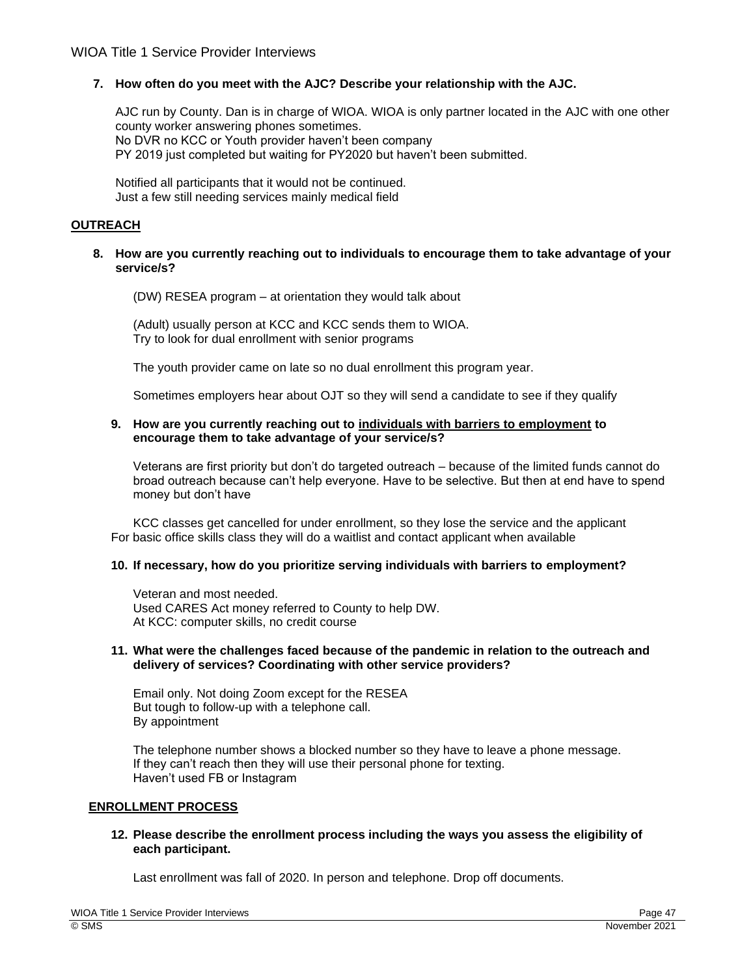# **7. How often do you meet with the AJC? Describe your relationship with the AJC.**

AJC run by County. Dan is in charge of WIOA. WIOA is only partner located in the AJC with one other county worker answering phones sometimes. No DVR no KCC or Youth provider haven't been company PY 2019 just completed but waiting for PY2020 but haven't been submitted.

Notified all participants that it would not be continued. Just a few still needing services mainly medical field

# **OUTREACH**

# **8. How are you currently reaching out to individuals to encourage them to take advantage of your service/s?**

(DW) RESEA program – at orientation they would talk about

(Adult) usually person at KCC and KCC sends them to WIOA. Try to look for dual enrollment with senior programs

The youth provider came on late so no dual enrollment this program year.

Sometimes employers hear about OJT so they will send a candidate to see if they qualify

# **9. How are you currently reaching out to individuals with barriers to employment to encourage them to take advantage of your service/s?**

Veterans are first priority but don't do targeted outreach – because of the limited funds cannot do broad outreach because can't help everyone. Have to be selective. But then at end have to spend money but don't have

KCC classes get cancelled for under enrollment, so they lose the service and the applicant For basic office skills class they will do a waitlist and contact applicant when available

# **10. If necessary, how do you prioritize serving individuals with barriers to employment?**

Veteran and most needed. Used CARES Act money referred to County to help DW. At KCC: computer skills, no credit course

## **11. What were the challenges faced because of the pandemic in relation to the outreach and delivery of services? Coordinating with other service providers?**

Email only. Not doing Zoom except for the RESEA But tough to follow-up with a telephone call. By appointment

The telephone number shows a blocked number so they have to leave a phone message. If they can't reach then they will use their personal phone for texting. Haven't used FB or Instagram

# **ENROLLMENT PROCESS**

## **12. Please describe the enrollment process including the ways you assess the eligibility of each participant.**

Last enrollment was fall of 2020. In person and telephone. Drop off documents.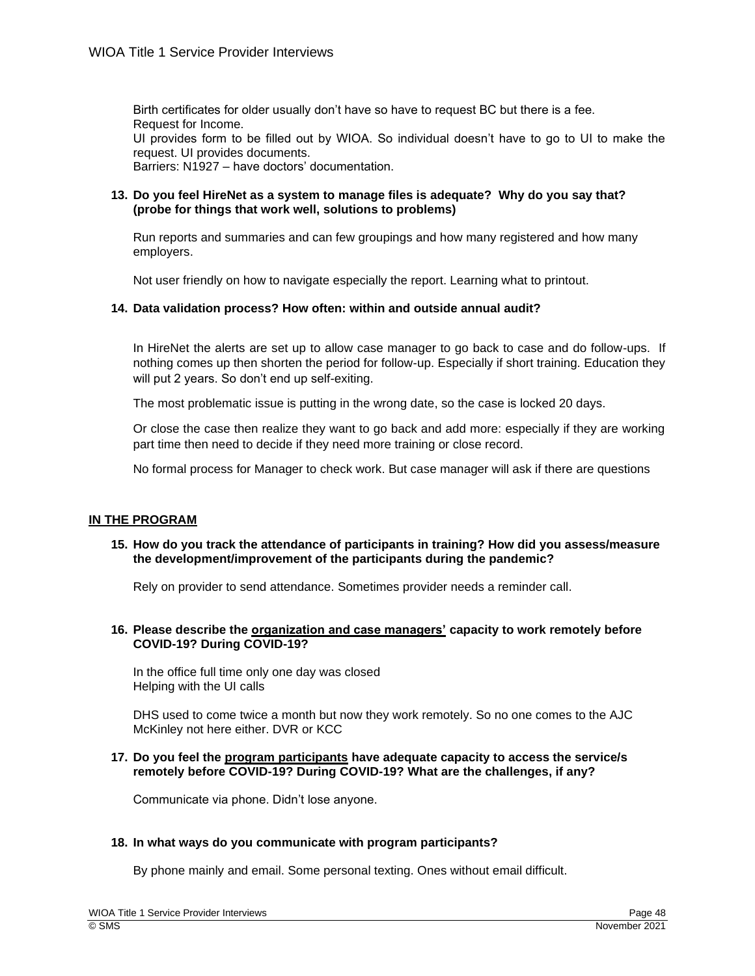Birth certificates for older usually don't have so have to request BC but there is a fee. Request for Income.

UI provides form to be filled out by WIOA. So individual doesn't have to go to UI to make the request. UI provides documents.

Barriers: N1927 – have doctors' documentation.

# **13. Do you feel HireNet as a system to manage files is adequate? Why do you say that? (probe for things that work well, solutions to problems)**

Run reports and summaries and can few groupings and how many registered and how many employers.

Not user friendly on how to navigate especially the report. Learning what to printout.

# **14. Data validation process? How often: within and outside annual audit?**

In HireNet the alerts are set up to allow case manager to go back to case and do follow-ups. If nothing comes up then shorten the period for follow-up. Especially if short training. Education they will put 2 years. So don't end up self-exiting.

The most problematic issue is putting in the wrong date, so the case is locked 20 days.

Or close the case then realize they want to go back and add more: especially if they are working part time then need to decide if they need more training or close record.

No formal process for Manager to check work. But case manager will ask if there are questions

## **IN THE PROGRAM**

**15. How do you track the attendance of participants in training? How did you assess/measure the development/improvement of the participants during the pandemic?** 

Rely on provider to send attendance. Sometimes provider needs a reminder call.

## **16. Please describe the organization and case managers' capacity to work remotely before COVID-19? During COVID-19?**

In the office full time only one day was closed Helping with the UI calls

DHS used to come twice a month but now they work remotely. So no one comes to the AJC McKinley not here either. DVR or KCC

#### **17. Do you feel the program participants have adequate capacity to access the service/s remotely before COVID-19? During COVID-19? What are the challenges, if any?**

Communicate via phone. Didn't lose anyone.

## **18. In what ways do you communicate with program participants?**

By phone mainly and email. Some personal texting. Ones without email difficult.